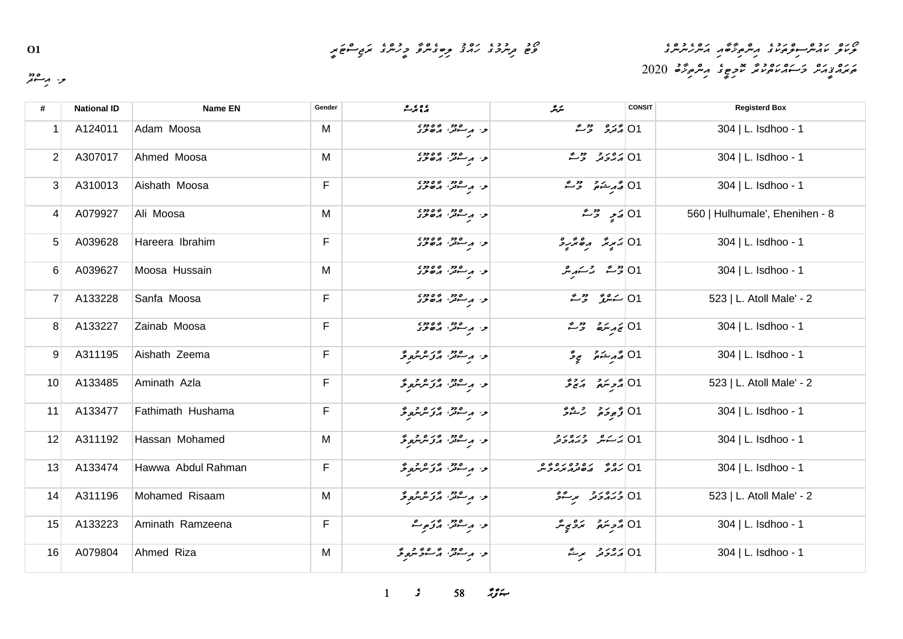*sCw7q7s5w7m< o<n9nOoAw7o< sCq;mAwBoEw7q<m; wBm;vB* م من المرة المرة المرة المرجع المرجع في المركبة 2020<br>مجم*د المريض المربوط المربع المرجع في المراجع المركبة* 

| 22 O     |           |
|----------|-----------|
| برىسىردر | $\cdot$ , |
|          |           |

| #              | <b>National ID</b> | Name EN            | Gender      | ړ، ئرگ                                        | سرپر                                         | <b>CONSIT</b> | <b>Registerd Box</b>           |
|----------------|--------------------|--------------------|-------------|-----------------------------------------------|----------------------------------------------|---------------|--------------------------------|
|                | A124011            | Adam Moosa         | M           | ه در محمد ۶۵۰۰ ورون<br>در مرسوس مرحومی        | $23$ دَمَرَوْ 2ْ $\sim$                      |               | 304   L. Isdhoo - 1            |
| $\mathbf{2}$   | A307017            | Ahmed Moosa        | M           | و. بر حاور ۱۳۵۶<br>و. بر ساور بر ۱۳۵۵         | $23.525$ O1                                  |               | 304   L. Isdhoo - 1            |
| $\mathbf{3}$   | A310013            | Aishath Moosa      | F           | و. بر حمد ۶۵۵۶<br>د بر حمد بره ود             | $23$ مَدِينَة وَ 2                           |               | 304   L. Isdhoo - 1            |
| $\overline{4}$ | A079927            | Ali Moosa          | M           | و. برسانتر، برەنوى                            | $23 \times 101$                              |               | 560   Hulhumale', Ehenihen - 8 |
| 5 <sup>5</sup> | A039628            | Hareera Ibrahim    | F           | د. به سنتر، بره ود،                           | 01 ئىي <i>دىگە مەھگرى</i> دۇ                 |               | 304   L. Isdhoo - 1            |
| $6 \mid$       | A039627            | Moosa Hussain      | M           | و. به سنتر، بره ود،                           | 01 تۇشقە ئەستىرىش                            |               | 304   L. Isdhoo - 1            |
|                | A133228            | Sanfa Moosa        | F           | و. بر حاور ۱۳۵۶<br>د بر سافر، بر <i>ه و</i> ر | $23$ $22$ $\sim$ 01                          |               | 523   L. Atoll Male' - 2       |
| 8              | A133227            | Zainab Moosa       | F           | و. پرستن، پره دوه                             | $23$ مَدِينَهُ $21$                          |               | 304   L. Isdhoo - 1            |
| 9              | A311195            | Aishath Zeema      | F           | و . م سور مور مرسر موقع                       | 01 مۇم شەقر ب <sub>و</sub> گر                |               | 304   L. Isdhoo - 1            |
| 10             | A133485            | Aminath Azla       | F           | د. م. سانش، مەز شرسىمبو ئ                     | 01 م <i>مَّحِسَمَۃُ مَہُنَّ</i>              |               | 523   L. Atoll Male' - 2       |
| 11             | A133477            | Fathimath Hushama  | F           | و. مستقر، مۇسرىترى ئى                         | 01 كَيْجِوَة مِنْ رَحْدَةً                   |               | 304   L. Isdhoo - 1            |
| 12             | A311192            | Hassan Mohamed     | M           | د. م. سانش، مەز شرسىمبو ئ                     | 01 ئەسىر قىمەد قىر                           |               | 304   L. Isdhoo - 1            |
| 13             | A133474            | Hawwa Abdul Rahman | $\mathsf F$ | أور ما سوفر، مۇر مەسموگە                      | 01 كەرەپ رەمەدە بورە بور                     |               | 304   L. Isdhoo - 1            |
| 14             | A311196            | Mohamed Risaam     | M           | د. م. سانش، مەز شرسىمبو ئ                     | 01  <i>32,352 برسگ</i> و                     |               | 523   L. Atoll Male' - 2       |
| 15             | A133223            | Aminath Ramzeena   | $\mathsf F$ | د اړستانگرا مرکزه پسه                         | 01 مۇج ئىرق ئىر <sub>قى</sub> بويى <i>گە</i> |               | 304   L. Isdhoo - 1            |
| 16             | A079804            | Ahmed Riza         | M           | ى رەھق ئەسىۋىترە ئۇ                           | 01 كەشكەتقى سېرىنگە                          |               | 304   L. Isdhoo - 1            |

*1 s* 58 *i*<sub>Si</sub>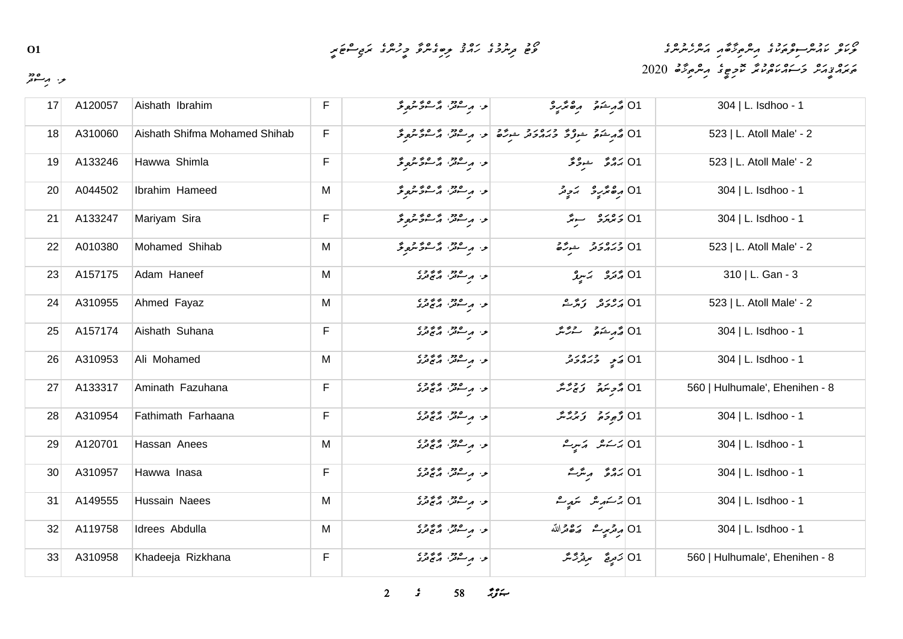*sCw7q7s5w7m< o<n9nOoAw7o< sCq;mAwBoEw7q<m; wBm;vB* م من المرة المرة المرة المرجع المرجع في المركبة 2020<br>مجم*د المريض المربوط المربع المرجع في المراجع المركبة* 

| 17 | A120057 | Aishath Ibrahim               | F | أو المستقرأ المستوسعون                           | 01 مُرمِسَمَ مِصْرَبِهِ                                                       | 304   L. Isdhoo - 1            |
|----|---------|-------------------------------|---|--------------------------------------------------|-------------------------------------------------------------------------------|--------------------------------|
| 18 | A310060 | Aishath Shifma Mohamed Shihab | F |                                                  | 01 \$ مِسْتَمَّ شِوْرٌ وَيَهْدُونَهُ شِرْرٌةً وَ مِسْتَمَّرٌ، وَسُوَّرْمِوَدُ | 523   L. Atoll Male' - 2       |
| 19 | A133246 | Hawwa Shimla                  | F | و. رىسى ئەرەپ ئەھم                               | 01 كَنْدْهُمْ ـ شِوْخْر                                                       | 523   L. Atoll Male' - 2       |
| 20 | A044502 | Ibrahim Hameed                | M | و. رسان ار مشرقه شور                             | 01 م <i>وڭ ئۇچى ئەچ</i> تر                                                    | 304   L. Isdhoo - 1            |
| 21 | A133247 | Mariyam Sira                  | F | أور مرسين مراجع شهوتم                            | 01 كەنگەر ئەسىر                                                               | 304   L. Isdhoo - 1            |
| 22 | A010380 | Mohamed Shihab                | M | و. رىسى ئەرەپ ئەھم ئو                            | $\frac{2}{3}$ دَبَرْدَ دَبَر شَدِرَّة $\sim$                                  | 523   L. Atoll Male' - 2       |
| 23 | A157175 | Adam Haneef                   | M | و. برستور، بروسی                                 | 01 م <i>مَّة تَرْسِعْ</i>                                                     | 310   L. Gan - 3               |
| 24 | A310955 | Ahmed Fayaz                   | M | و. برستور، بروسی                                 | 01 كەشرى ئەرگەشى                                                              | 523   L. Atoll Male' - 2       |
| 25 | A157174 | Aishath Suhana                | F | و. برستور، بروسی                                 | 01 مۇم ئىشقو قىسىمىتىگە                                                       | 304   L. Isdhoo - 1            |
| 26 | A310953 | Ali Mohamed                   | M | د . د صور محمدی د د .<br>  د . د سور اگرام د د . | 01 كەبىر ئەير ئەر                                                             | 304   L. Isdhoo - 1            |
| 27 | A133317 | Aminath Fazuhana              | F | و٠ د صور په ده د د                               | 01 مٌ مِسَمٌ وَنِي تَمَدُّ                                                    | 560   Hulhumale', Ehenihen - 8 |
| 28 | A310954 | Fathimath Farhaana            | F | و٠ در سه در ۴ و و ٥                              | 01 ۇجەدىھ     زىز ئەنتە                                                       | 304   L. Isdhoo - 1            |
| 29 | A120701 | Hassan Anees                  | M | و٠ د صور په ده د د                               | 01   پرسکس کم کمبرے                                                           | 304   L. Isdhoo - 1            |
| 30 | A310957 | Hawwa Inasa                   | F | و . مرسیق می ده.<br>د . مرسیق می تری             | 01 ئەير <i>ۇ مەم</i> ترىشە                                                    | 304   L. Isdhoo - 1            |
| 31 | A149555 | Hussain Naees                 | M | و. برستور، بروسی                                 | 01 پر <i>شہر متع</i> رف                                                       | 304   L. Isdhoo - 1            |
| 32 | A119758 | Idrees Abdulla                | M | و. برستور، برج دره                               | 01 م <i>ومزموت مەھى</i> راللە                                                 | 304   L. Isdhoo - 1            |
| 33 | A310958 | Khadeeja Rizkhana             | F | و٠ در سه در ۳۶ وره و                             | 01] زَمِيعٌ مَ مِثْرَدَّسَّرَ                                                 | 560   Hulhumale', Ehenihen - 8 |

**2** *s* **58** *z z*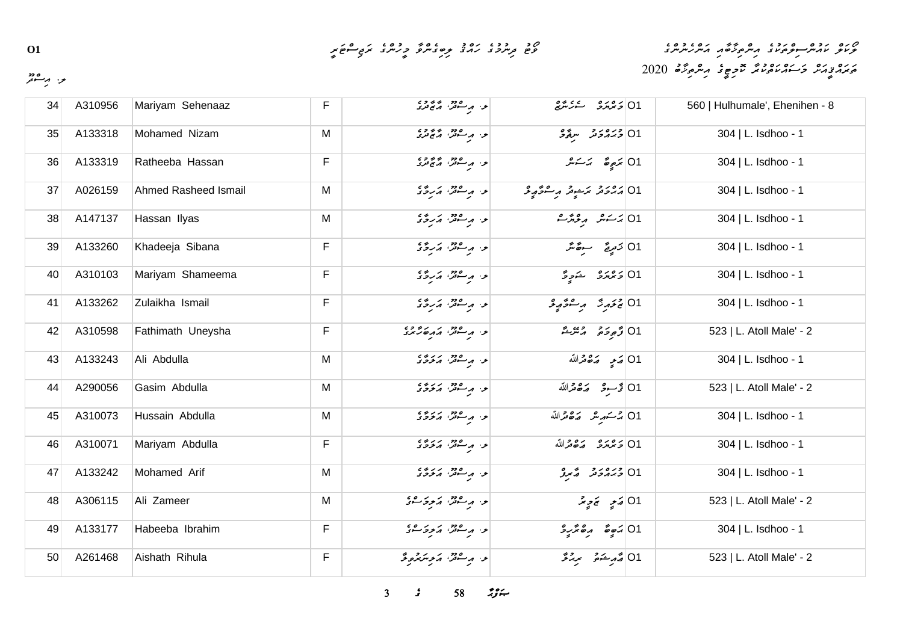*sCw7q7s5w7m< o<n9nOoAw7o< sCq;mAwBoEw7q<m; wBm;vB* م من المرة المرة المرة المرجع المرجع في المركبة 2020<br>مجم*د المريض المربوط المربع المرجع في المراجع المركبة* 

| 34 | A310956 | Mariyam Sehenaaz     | $\mathsf F$ | و٠ در سه در ۳۵ و د             | 01 كەندىر ئەسىر يىر ئىر                                                                       | 560   Hulhumale', Ehenihen - 8 |
|----|---------|----------------------|-------------|--------------------------------|-----------------------------------------------------------------------------------------------|--------------------------------|
| 35 | A133318 | Mohamed Nizam        | M           | و٠ در سه در ۴ و و ٥            | 01 <i>\$نەۋەقى</i> س <i>ىۋ</i> ۇ                                                              | 304   L. Isdhoo - 1            |
| 36 | A133319 | Ratheeba Hassan      | $\mathsf F$ | و. برستور، بروسی               | 01 كَمَعٍ هُمْ سَمَسْرٌ                                                                       | 304   L. Isdhoo - 1            |
| 37 | A026159 | Ahmed Rasheed Ismail | M           | كور وره ده كريده و             | 01 كەندى كەر بۇ بەر ئەر ئۇيدۇ.                                                                | 304   L. Isdhoo - 1            |
| 38 | A147137 | Hassan Ilyas         | M           | و. ماستقر، مرکزی               | 01   ئەسەھەر مەغەرمىقە                                                                        | 304   L. Isdhoo - 1            |
| 39 | A133260 | Khadeeja Sibana      | $\mathsf F$ | و ، ماستقراء مرکزی             | 01 كَتَعِيقٌ سَعِيقَةٌ.                                                                       | 304   L. Isdhoo - 1            |
| 40 | A310103 | Mariyam Shameema     | F           | د ، دستش کمرونی                | 01 كى ئىرنى ھەرى                                                                              | 304   L. Isdhoo - 1            |
| 41 | A133262 | Zulaikha Ismail      | $\mathsf F$ | و. مشتق مردوی                  | 01 ىم <i>قىرىڭ مەشۇم</i> ۇ                                                                    | 304   L. Isdhoo - 1            |
| 42 | A310598 | Fathimath Uneysha    | $\mathsf F$ | $\frac{1}{2}$                  | 01 ۇ <sub>ج</sub> وكى م <sup>ە</sup> ترىش                                                     | 523   L. Atoll Male' - 2       |
| 43 | A133243 | Ali Abdulla          | M           | و. ەسىن كەنزوق                 | 01 <i>ھَ۔ ج</i> صَحْرَاللّه                                                                   | 304   L. Isdhoo - 1            |
| 44 | A290056 | Gasim Abdulla        | M           | و. دستن پروه و                 | 01 تُوَّسِعْ مَ <b>صْ</b> قَرْاللَّه                                                          | 523   L. Atoll Male' - 2       |
| 45 | A310073 | Hussain Abdulla      | M           | و. ماستن مرده و                | 01 كەس <i>تىمبەنلە</i> كەھ قىراللە                                                            | 304   L. Isdhoo - 1            |
| 46 | A310071 | Mariyam Abdulla      | $\mathsf F$ | و. د شش پرووه                  | $O1$ $<$ $<$ $<$ $<$ $<$ $<$ $<$ $<$ $O1$                                                     | 304   L. Isdhoo - 1            |
| 47 | A133242 | Mohamed Arif         | M           | و. دستش پروژه                  | 01 كەبر بۇرگە ئەيدۇ                                                                           | 304   L. Isdhoo - 1            |
| 48 | A306115 | Ali Zameer           | M           | و . مرحص پروژنو                | $\mathcal{Z}$ اړکو پروگر $\vert$ 01                                                           | 523   L. Atoll Male' - 2       |
| 49 | A133177 | Habeeba Ibrahim      | F           | و. من مشهر المتوفر على         | $\mathcal{S}_{\boldsymbol{\mathcal{Z}}}$ كَتَفِعُ مِنْ مِنْ مِنْ مِنْ $\vert \text{O1} \vert$ | 304   L. Isdhoo - 1            |
| 50 | A261468 | Aishath Rihula       | F           | و ، را دون ، رَوِسَرَ پَرُو وَ | 01 مۇم شۇ ئىم بىر ئىگە                                                                        | 523   L. Atoll Male' - 2       |

**3** *s* **58** *z s*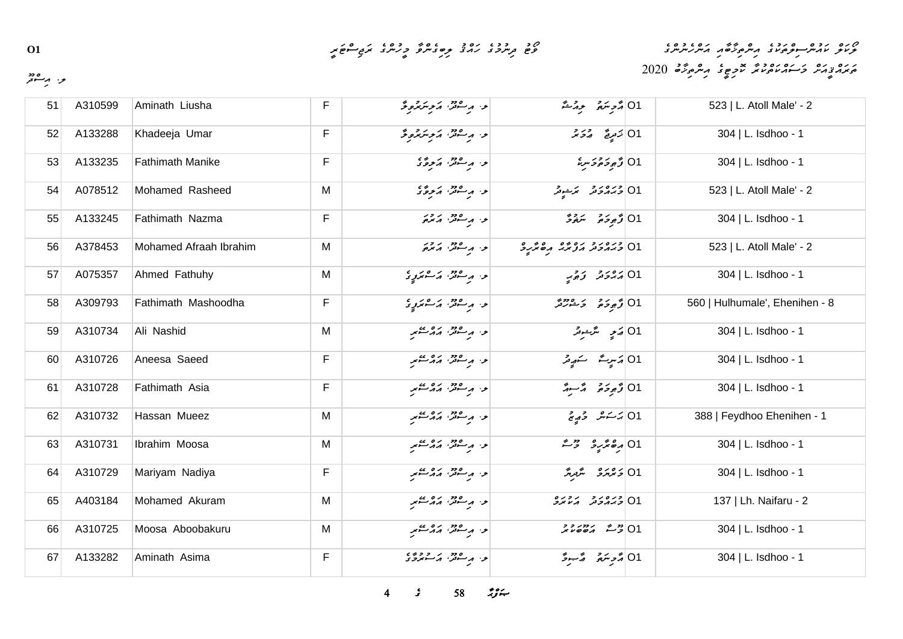*sCw7q7s5w7m< o<n9nOoAw7o< sCq;mAwBoEw7q<m; wBm;vB* م من المرة المرة المرة المرجع المرجع في المركبة 2020<br>مجم*د المريض المربوط المربع المرجع في المراجع المركبة* 

| 51 | A310599 | Aminath Liusha          | F            | و . را دهش کم د سرچرو څ | 01 أُمُّ حِبِيَّةٌ مَعْ حِبْرَ مِنْهُ            | 523   L. Atoll Male' - 2       |
|----|---------|-------------------------|--------------|-------------------------|--------------------------------------------------|--------------------------------|
| 52 | A133288 | Khadeeja Umar           | F            | و ، را دون كم و سكرو گ  |                                                  | 304   L. Isdhoo - 1            |
| 53 | A133235 | <b>Fathimath Manike</b> | F            | و ، ماستقراء مکوری      | 01 ۇ <sub>ھ</sub> و <i>خۇ</i> خ س <sub>ىنغ</sub> | 304   L. Isdhoo - 1            |
| 54 | A078512 | Mohamed Rasheed         | M            | د. مرگوری کروی          | 01 كەترى كى ترىنېدىر                             | 523   L. Atoll Male' - 2       |
| 55 | A133245 | Fathimath Nazma         | F            | و. مرحص برور            | 01 <i>وُّجِ دَمَّة</i> سَمْرَةً                  | 304   L. Isdhoo - 1            |
| 56 | A378453 | Mohamed Afraah Ibrahim  | M            | د. به سوتر، به برور     | 01 درور د رووژ مقتربه                            | 523   L. Atoll Male' - 2       |
| 57 | A075357 | Ahmed Fathuhy           | M            | و. من من مركب وي        | 01 كەشەكە ئەقەب                                  | 304   L. Isdhoo - 1            |
| 58 | A309793 | Fathimath Mashoodha     | $\mathsf F$  | و. بەسلىق، ئەسلىمكى ئ   | 01 گەپە خەش ئەشقىدىگە                            | 560   Hulhumale', Ehenihen - 8 |
| 59 | A310734 | Ali Nashid              | M            | و. مرسوس مره سومبر      | 01 كەمچە     ئىگرىشونىر                          | 304   L. Isdhoo - 1            |
| 60 | A310726 | Aneesa Saeed            | $\mathsf{F}$ | ىز، مەسىقى، مەمەسىمىي   | 01   پَرسِرْ حَمْدِ تَرْ                         | 304   L. Isdhoo - 1            |
| 61 | A310728 | Fathimath Asia          | $\mathsf{F}$ | ى بەر مەقتى بەھ مىتور   | 01 رَّجِوحَةَ مَرَّسِيَّ                         | 304   L. Isdhoo - 1            |
| 62 | A310732 | Hassan Mueez            | M            | ىق بەسلەش بەي ھەستىمبە  | 01 كەسكەش قەھدىتى                                | 388   Feydhoo Ehenihen - 1     |
| 63 | A310731 | Ibrahim Moosa           | M            | و. مرسوس مره عصم        | 01 مەھمەر بۇ ئەسىم                               | 304   L. Isdhoo - 1            |
| 64 | A310729 | Mariyam Nadiya          | F            | ا د ا مرسور از ده شور ا | 01 كەبھە <i>دۇ س</i> ىرى <i>گ</i>                | 304   L. Isdhoo - 1            |
| 65 | A403184 | Mohamed Akuram          | M            | ى بەر 20%، ئەكەن ئىمبر  | $5.222$ $2.232$                                  | 137   Lh. Naifaru - 2          |
| 66 | A310725 | Moosa Aboobakuru        | M            | ى بەر 20%، ئەكەن ئىمبر  | 2222 / 27                                        | 304   L. Isdhoo - 1            |
| 67 | A133282 | Aminath Asima           | $\mathsf F$  | و ، به سنتور و و و و د  | 01 أُمُّ مِنْهُمْ - مُرْسِوَّ                    | 304   L. Isdhoo - 1            |

*4 58*  $234$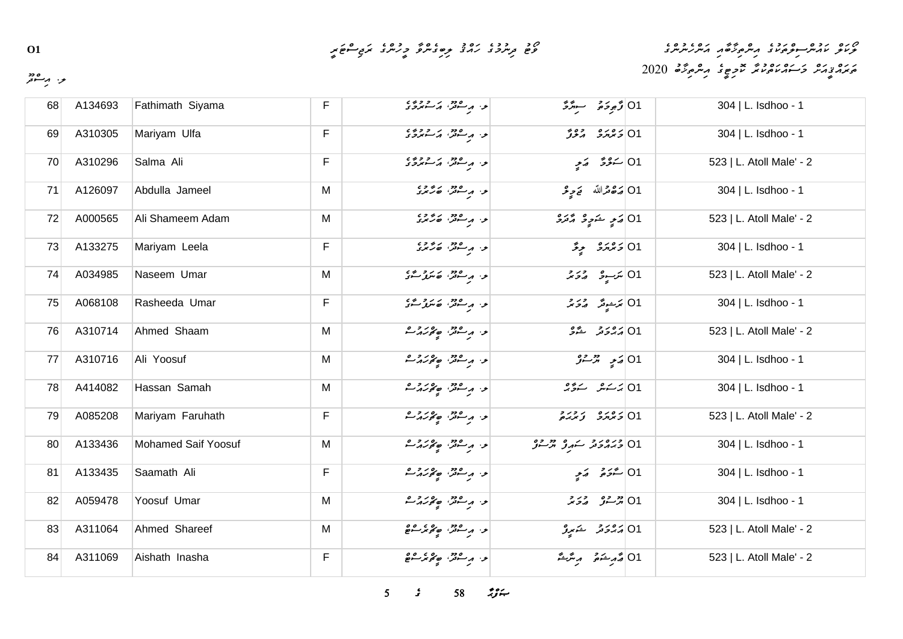*sCw7q7s5w7m< o<n9nOoAw7o< sCq;mAwBoEw7q<m; wBm;vB* م من المرة المرة المرة المرجع المرجع في المركبة 2020<br>مجم*د المريض المربوط المربع المرجع في المراجع المركبة* 

| 68 | A134693 | Fathimath Siyama           | F | و۰ در سرده بر دووی                                                                                                                                                                                                               | 01 <i>ؤوخو مې</i> رمۇ                        | 304   L. Isdhoo - 1      |
|----|---------|----------------------------|---|----------------------------------------------------------------------------------------------------------------------------------------------------------------------------------------------------------------------------------|----------------------------------------------|--------------------------|
| 69 | A310305 | Mariyam Ulfa               | F | و. ما منظمة المركز و و دا                                                                                                                                                                                                        | 01 <i>525 محوق</i>                           | 304   L. Isdhoo - 1      |
| 70 | A310296 | Salma Ali                  | F | ا د. اد ساور در دره داد کار در در ایران کار در ایران کار در ایران کار در ایران کار در ایران کار در ایران کار د<br>ایران کار در ایران کار در در در در ایران کار در ایران کار در ایران کار در ایران کار در در داد کار در داد کار د | 01  سَءُدَّۃَ - رَمِ                         | 523   L. Atoll Male' - 2 |
| 71 | A126097 | Abdulla Jameel             | M | و. مرسوس کاروه                                                                                                                                                                                                                   | 01 مَەھىراللە   ق <i>ج بى</i>                | 304   L. Isdhoo - 1      |
| 72 | A000565 | Ali Shameem Adam           | M | و. برسه ده کرد و د                                                                                                                                                                                                               | 01 ك <sub>ەنچ</sub> شەر <sub>و</sub> ۋ كەترۇ | 523   L. Atoll Male' - 2 |
| 73 | A133275 | Mariyam Leela              | F | د. به حدود روبرد                                                                                                                                                                                                                 | 01 كەندىمى موتى                              | 304   L. Isdhoo - 1      |
| 74 | A034985 | Naseem Umar                | M | و. ما مادور کامرو دی                                                                                                                                                                                                             | 01 كىزىبوقە ھەكەتمە                          | 523   L. Atoll Male' - 2 |
| 75 | A068108 | Rasheeda Umar              | F | و. به حصور کارو دی                                                                                                                                                                                                               | 01 يَرْجُوشَ - 25 يُرُ                       | 304   L. Isdhoo - 1      |
| 76 | A310714 | Ahmed Shaam                | M | و. مستقر، ھەرىر ھ                                                                                                                                                                                                                | $3.2527$ O1                                  | 523   L. Atoll Male' - 2 |
| 77 | A310716 | Ali Yoosuf                 | M | و. مستعل، ھەرىر ھ                                                                                                                                                                                                                | 01 ڪپر پڙيو ٿو                               | 304   L. Isdhoo - 1      |
| 78 | A414082 | Hassan Samah               | M | و. مشتر، ھەرىر م                                                                                                                                                                                                                 | 01   ئەستەشقا ئىقە ئە                        | 304   L. Isdhoo - 1      |
| 79 | A085208 | Mariyam Faruhath           | F | و. مستعل، ھەرىر ھ                                                                                                                                                                                                                | 01 كەبىر كەرگە كەبەر ئەندىك                  | 523   L. Atoll Male' - 2 |
| 80 | A133436 | <b>Mohamed Saif Yoosuf</b> | M | و مشتر، حکم مدد م                                                                                                                                                                                                                | 01 دېرو دو سرو د ده وه                       | 304   L. Isdhoo - 1      |
| 81 | A133435 | Saamath Ali                | F | و. مستر، ھەرىر م                                                                                                                                                                                                                 | 01 گەنىۋە كەمۇ                               | 304   L. Isdhoo - 1      |
| 82 | A059478 | Yoosuf Umar                | M | و. مستقر، ھەرىر ھ                                                                                                                                                                                                                | 01 تېرىنىۋە ھەنزىمە                          | 304   L. Isdhoo - 1      |
| 83 | A311064 | Ahmed Shareef              | M | و. مستر، ھەجرىسى                                                                                                                                                                                                                 | 01 كەشكەتقە ئىشەمبىرتى                       | 523   L. Atoll Male' - 2 |
| 84 | A311069 | Aishath Inasha             | F | و. مرحص وه مرحو                                                                                                                                                                                                                  | 01 مۇم <i>رىشقى م</i> ېتىرىشە                | 523   L. Atoll Male' - 2 |

*5 sC 58 nNw?mS*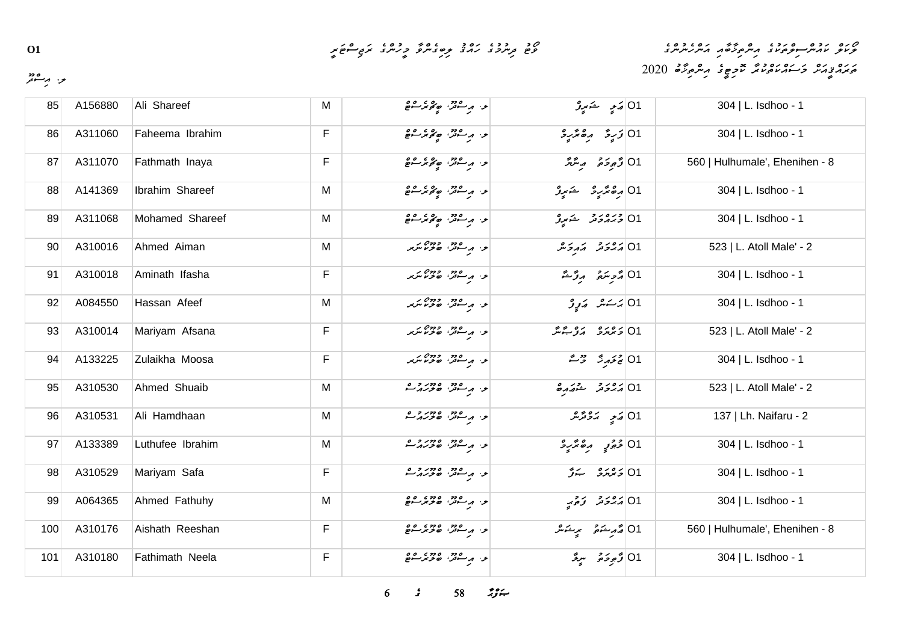*sCw7q7s5w7m< o<n9nOoAw7o< sCq;mAwBoEw7q<m; wBm;vB* م من المرة المرة المرة المرجع المرجع في المركبة 2020<br>مجم*د المريض المربوط المربع المرجع في المراجع المركبة* 

| 85  | A156880 | Ali Shareef      | M | و. مرحص ھەم ساھ      | 01 کړمو شمېرو                    | 304   L. Isdhoo - 1            |
|-----|---------|------------------|---|----------------------|----------------------------------|--------------------------------|
| 86  | A311060 | Faheema Ibrahim  | F | و. مرحص ھەمرىك       | 01 كۇرىچە مەھەمگەرى<br>01        | 304   L. Isdhoo - 1            |
| 87  | A311070 | Fathmath Inaya   | F | و. مرحص وه مرحو      | 01 زَّەپە ئەھمە سِتَىدَّ         | 560   Hulhumale', Ehenihen - 8 |
| 88  | A141369 | Ibrahim Shareef  | M | و. مرحص می مردم      | 01 مەھمگىر ئىسىمبىر              | 304   L. Isdhoo - 1            |
| 89  | A311068 | Mohamed Shareef  | M | و. مرسوس ھي مرسوم    | 01 ۇ <i>ئەۋى قىر خىرى</i>        | 304   L. Isdhoo - 1            |
| 90  | A310016 | Ahmed Aiman      | M | و. مرسومي موردم مريد | 01 كەبرى قىم كەرىپ               | 523   L. Atoll Male' - 2       |
| 91  | A310018 | Aminath Ifasha   | F | و. مرسوس دوده در     | 01 أَمَّ حِسَمَةٌ مِتَّمَّةٌ     | 304   L. Isdhoo - 1            |
| 92  | A084550 | Hassan Afeef     | M | و. ما حود ودوه مرد   | 01 ئەستەش ھەيولۇ                 | 304   L. Isdhoo - 1            |
| 93  | A310014 | Mariyam Afsana   | F | و. د ساور ووده در    | 01 ئەندىرى بروشگىر               | 523   L. Atoll Male' - 2       |
| 94  | A133225 | Zulaikha Moosa   | F | و. مشتر، حده مند     | $23 - 5 - 01$                    | 304   L. Isdhoo - 1            |
| 95  | A310530 | Ahmed Shuaib     | M | و. مستعر، صور د ه    | $6.62$ $25.25$ 01                | 523   L. Atoll Male' - 2       |
| 96  | A310531 | Ali Hamdhaan     | M | و. به سنتو، صوروره   | 01  ر <i>َى بِهِ بَ</i> وْتَرْسْ | 137   Lh. Naifaru - 2          |
| 97  | A133389 | Luthufee Ibrahim | M | و. به سنتو، ۱۳۶۵ و.  | 01 خوتوپە مەھمىر بى              | 304   L. Isdhoo - 1            |
| 98  | A310529 | Mariyam Safa     | F | و. به سنتر، حوزبر و  |                                  | 304   L. Isdhoo - 1            |
| 99  | A064365 | Ahmed Fathuhy    | M | و. مستعل معر من مه   | 01 كەش <sup>ى</sup> كەش ئۇمۇس    | 304   L. Isdhoo - 1            |
| 100 | A310176 | Aishath Reeshan  | F | و. مستعل موتر مصر    | 01 ۾ پرڪو - سيڪر                 | 560   Hulhumale', Ehenihen - 8 |
| 101 | A310180 | Fathimath Neela  | F | و. د سنتر، صوبور وه  | 01 رَّجِودَةُ بِهِ تَزْ          | 304   L. Isdhoo - 1            |

*6 sC 58 nNw?mS*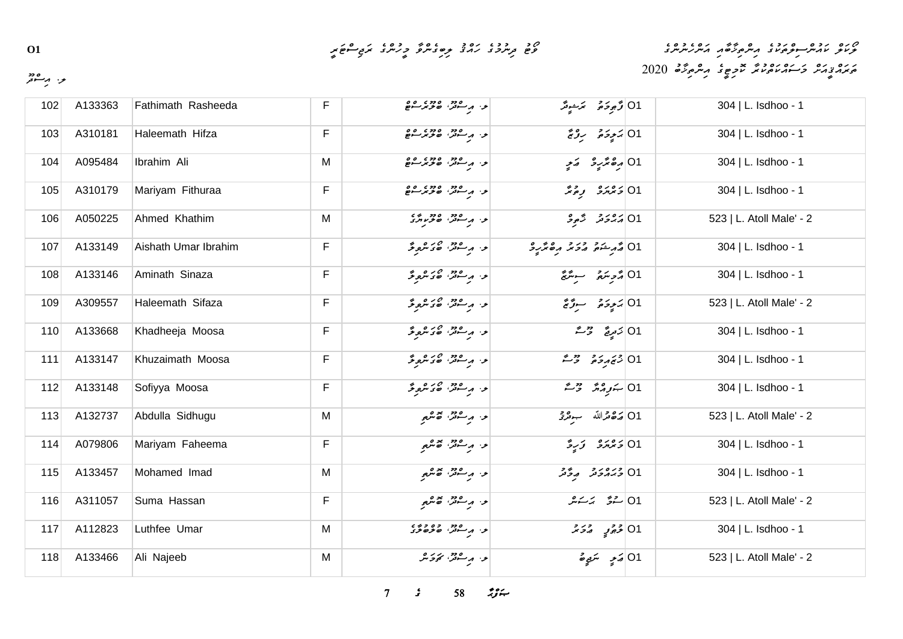*sCw7q7s5w7m< o<n9nOoAw7o< sCq;mAwBoEw7q<m; wBm;vB* م من المرة المرة المرة المرجع المرجع في المركبة 2020<br>مجم*د المريض المربوط المربع المرجع في المراجع المركبة* 

| 102 | A133363 | Fathimath Rasheeda   | F            | و. مستعل، صوبوسي                   | 01 رُّجِ دَمَ سَمَسُومَّر          | 304   L. Isdhoo - 1      |
|-----|---------|----------------------|--------------|------------------------------------|------------------------------------|--------------------------|
| 103 | A310181 | Haleemath Hifza      | F            | و. بر سوتو، صوبور ده               | 01 كەمەدە ئەرقىج                   | 304   L. Isdhoo - 1      |
| 104 | A095484 | Ibrahim Ali          | M            | و. مساور ۵۶۰۵ وه                   | 01 <i>۾ ڇُٽي وُ</i> چ <i>ي</i>     | 304   L. Isdhoo - 1      |
| 105 | A310179 | Mariyam Fithuraa     | $\mathsf{F}$ | و. بر حدود ۵۵ وه وه                | 01 كەنگە <i>بىر بىر بىر ئى</i>     | 304   L. Isdhoo - 1      |
| 106 | A050225 | Ahmed Khathim        | M            | و. پرسانس صور دی                   | 01 كەش <sup>ى</sup> كەر ئىمبى      | 523   L. Atoll Male' - 2 |
| 107 | A133149 | Aishath Umar Ibrahim | F            | و. مشتر، ځو شوڅ                    | 01 مەم شەم مەدىمە مەھەرد           | 304   L. Isdhoo - 1      |
| 108 | A133146 | Aminath Sinaza       | $\mathsf F$  | و. مەسىر، ھىمبىرى ئى               | 01 مُجبِسَمُ جِسَّبَعُ             | 304   L. Isdhoo - 1      |
| 109 | A309557 | Haleemath Sifaza     | F            | و. مەسىر، ئەر ئەرىج                | 01 كَمْ يِوَدَّةْ مِسْتَرْجَّ      | 523   L. Atoll Male' - 2 |
| 110 | A133668 | Khadheeja Moosa      | $\mathsf F$  | و. مشتر، ځوشونځه                   | 01   زَمِيعٌ     وَ ْ تَ مَّ       | 304   L. Isdhoo - 1      |
| 111 | A133147 | Khuzaimath Moosa     | $\mathsf{F}$ | و. مەسىر، ھەشھۇ                    | $23 - 22 = 01$                     | 304   L. Isdhoo - 1      |
| 112 | A133148 | Sofiyya Moosa        | $\mathsf F$  | و. مەسىق ھەشھۇ                     | 01 بەرەپم ق-ش                      | 304   L. Isdhoo - 1      |
| 113 | A132737 | Abdulla Sidhugu      | M            | و. مر حقر، ت شهو                   |                                    | 523   L. Atoll Male' - 2 |
| 114 | A079806 | Mariyam Faheema      | $\mathsf{F}$ | و. مر حمقر، ھىئىم                  | 01 كەندىرى كەرىگ                   | 304   L. Isdhoo - 1      |
| 115 | A133457 | Mohamed Imad         | M            | و. مر حور، سم م                    | 01 <i>\$نەۋەتى م</i> و <i>دى</i> ر | 304   L. Isdhoo - 1      |
| 116 | A311057 | Suma Hassan          | $\mathsf F$  | و. مر حور، سم م                    | 01 كىرى ئەسكىلە                    | 523   L. Atoll Male' - 2 |
| 117 | A112823 | Luthfee Umar         | M            | و. پرستن، صوصور<br>د. پرستن، صوصور | 01 توفوس مەدىمە                    | 304   L. Isdhoo - 1      |
| 118 | A133466 | Ali Najeeb           | M            | و. بەسىش كۆڭ ش                     | 01 <i>ھَ جِ</i> سَمَعٍ صَح         | 523   L. Atoll Male' - 2 |

*7 sC 58 nNw?mS*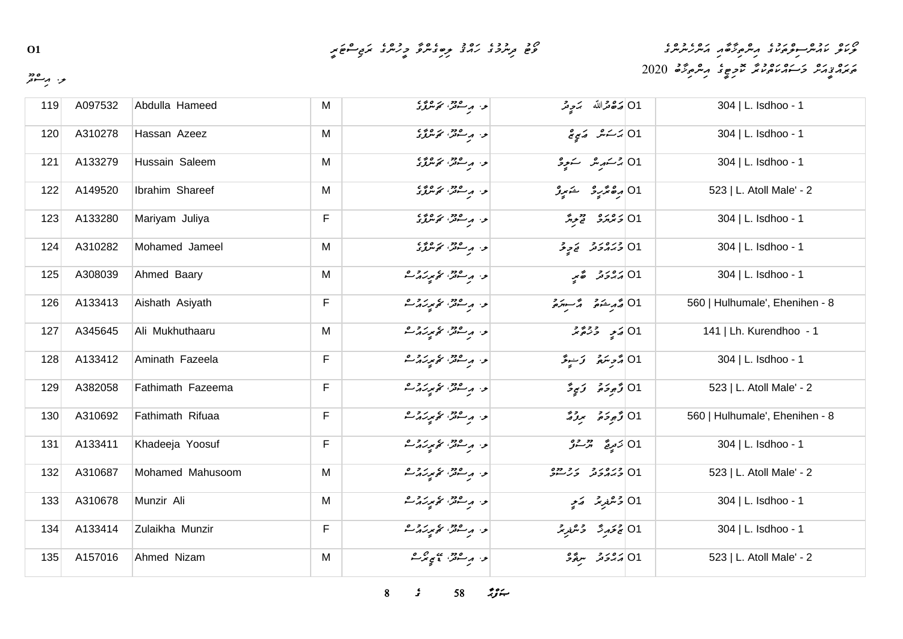*sCw7q7s5w7m< o<n9nOoAw7o< sCq;mAwBoEw7q<m; wBm;vB* م من المرة المرة المرة المرجع المرجع في المركبة 2020<br>مجم*د المريض المربوط المربع المرجع في المراجع المركبة* 

| 119 | A097532 | Abdulla Hameed    | M           | و٠ در سهتر، ک <sub>و</sub> سرور  | O1 كەڭداللە ئەرىتىر                   | 304   L. Isdhoo - 1            |
|-----|---------|-------------------|-------------|----------------------------------|---------------------------------------|--------------------------------|
| 120 | A310278 | Hassan Azeez      | M           | و. برستش کمی مرکزی               | 01 كەسكەش كەيپى تو                    | 304   L. Isdhoo - 1            |
| 121 | A133279 | Hussain Saleem    | M           | و. برستش مخ <sup>ر</sup> وم و    | 01   پرستمبر سکوچی                    | 304   L. Isdhoo - 1            |
| 122 | A149520 | Ibrahim Shareef   | M           | و. برستن، کرسرور                 | 01 مەھەر بۇ سىمبىر                    | 523   L. Atoll Male' - 2       |
| 123 | A133280 | Mariyam Juliya    | F           | و. پر حوش مخ <sup>ر</sup> دون    | 01 كەبەر ئۇ قىم بۇ                    | 304   L. Isdhoo - 1            |
| 124 | A310282 | Mohamed Jameel    | M           | و. برستور مح <sup>رم و د</sup> ی | 01 كەترى تىم قىم تىلى قىلىپ قىلىپ ئىل | 304   L. Isdhoo - 1            |
| 125 | A308039 | Ahmed Baary       | M           | و. ماسكان كام برگار ش            | 01 <i>  أَرْبُرْدَ تَدْ _ قَامِ</i>   | 304   L. Isdhoo - 1            |
| 126 | A133413 | Aishath Asiyath   | $\mathsf F$ | و ، مر حوض محمور مر د ه          | 01 مۇم شىق ئەسىسىدۇ.                  | 560   Hulhumale', Ehenihen - 8 |
| 127 | A345645 | Ali Mukhuthaaru   | M           | و. مسائل محمد روم                | 01 <i>ھَجِ دَنْ</i> ھُمْ              | 141   Lh. Kurendhoo - 1        |
| 128 | A133412 | Aminath Fazeela   | F           | و ، مرسوس محمور مر               | 01 مَّ مِسَمَّى وَسِعَّ               | 304   L. Isdhoo - 1            |
| 129 | A382058 | Fathimath Fazeema | F           | و ، ما سوتر، محمور کر ده         | 01 گەچ ئەتە قى يىچ گ                  | 523   L. Atoll Male' - 2       |
| 130 | A310692 | Fathimath Rifuaa  | F           | و. ماستش محمور مار               | 01 <i>وُّجِوحَةْ بِروْة</i> ُ         | 560   Hulhumale', Ehenihen - 8 |
| 131 | A133411 | Khadeeja Yoosuf   | $\mathsf F$ | و ، مرسوس محمور مر               | 01 كَتَعْرِيحَ مُتَرْسُونَ            | 304   L. Isdhoo - 1            |
| 132 | A310687 | Mohamed Mahusoom  | M           | و. مشتر، محيزتم ا                | 2222220                               | 523   L. Atoll Male' - 2       |
| 133 | A310678 | Munzir Ali        | M           | و. ما موفر، محمور ما د           | 01   ج <sup>8</sup> شنبه بمه مكتبر    | 304   L. Isdhoo - 1            |
| 134 | A133414 | Zulaikha Munzir   | F           | د. م <i>وسیق کامپریزم</i> ی      | 01] يُحَمِّدِنَّة وَسُّنْدِيْر        | 304   L. Isdhoo - 1            |
| 135 | A157016 | Ahmed Nizam       | M           | ىن مەسىقى قايمۇسى                | 01 <i>كەندى كى</i> ر ئىر              | 523   L. Atoll Male' - 2       |

**8** *s* **58** *n***<sub>y</sub> <b>***s*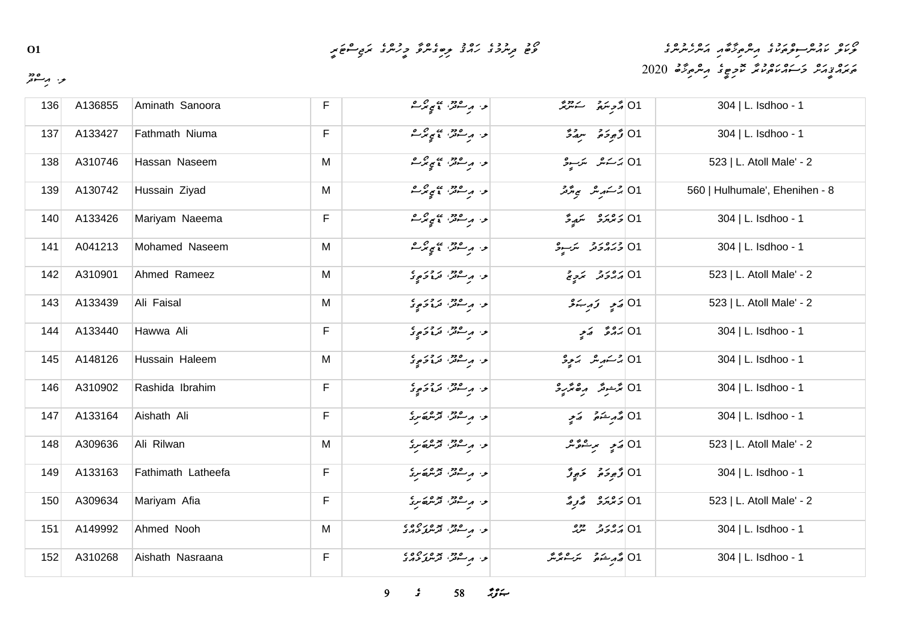*sCw7q7s5w7m< o<n9nOoAw7o< sCq;mAwBoEw7q<m; wBm;vB* م من المرة المرة المرة المرجع المرجع في المركبة 2020<br>مجم*د المريض المربوط المربع المرجع في المراجع المركبة* 

| 136 | A136855 | Aminath Sanoora    | $\mathsf F$  | د. م <i>ې</i> شتر، عموم مېشته                             | 01 مُ مِ سَمَّرَةٌ سَمَّ سَمَّرَةٌ                       | 304   L. Isdhoo - 1            |
|-----|---------|--------------------|--------------|-----------------------------------------------------------|----------------------------------------------------------|--------------------------------|
| 137 | A133427 | Fathmath Niuma     | F            | ىر. مەسىقر، غېم ترگ                                       | 01 أَوَّجِوَدَةُ مِنْ سِمَّةً                            | 304   L. Isdhoo - 1            |
| 138 | A310746 | Hassan Naseem      | M            | و. مەسىق ئۇمچىرىشى                                        | 01   پزشک مگرسونی                                        | 523   L. Atoll Male' - 2       |
| 139 | A130742 | Hussain Ziyad      | M            | و. مەسىر ئەسمى ئەسم                                       | 01 كەسكەر بىر بىر بىر يېزىتىر                            | 560   Hulhumale', Ehenihen - 8 |
| 140 | A133426 | Mariyam Naeema     | $\mathsf{F}$ | و. مرحقن عموم م                                           | 01 كەمە <i>مگە ئىمبە</i> گە                              | 304   L. Isdhoo - 1            |
| 141 | A041213 | Mohamed Naseem     | M            | ىن مەسىقى، ئۇ ئېرىمىش                                     | 01  ج: جرج جي سرّ سوء ح                                  | 304   L. Isdhoo - 1            |
| 142 | A310901 | Ahmed Rameez       | M            | و. مرحص ترور ء                                            | 01 كەشەك ئىر ئىر                                         | 523   L. Atoll Male' - 2       |
| 143 | A133439 | Ali Faisal         | M            | و. مرحق، ترور ،                                           | 01 ھَءِ تَصِبَعُ                                         | 523   L. Atoll Male' - 2       |
| 144 | A133440 | Hawwa Ali          | $\mathsf F$  | و. پر دور برور بر                                         | 01 كەچمىق كەمچە                                          | 304   L. Isdhoo - 1            |
| 145 | A148126 | Hussain Haleem     | M            | و. پر دور برور بر                                         | 01 پرڪبريش پرچي                                          | 304   L. Isdhoo - 1            |
| 146 | A310902 | Rashida Ibrahim    | $\mathsf F$  | و. مرحص ترور ء                                            | 01 مُحْسِنًا مِنْ مُحْرِدً                               | 304   L. Isdhoo - 1            |
| 147 | A133164 | Aishath Ali        | $\mathsf F$  | و. مرسوس مرده بره                                         | 01 م <i>ۇم شۇھ</i> كەمچ                                  | 304   L. Isdhoo - 1            |
| 148 | A309636 | Ali Rilwan         | M            | و. مرسوس ترسمضری                                          | 01 ك <sub>ەنچى</sub> بېرىش <i>ەڭ ن</i> ىر                | 523   L. Atoll Male' - 2       |
| 149 | A133163 | Fathimath Latheefa | $\mathsf{F}$ | و. مرسوس مرده بره د                                       | 01 <i>وُّجِ وَحَمَّ</i> حَج <i>ِّدٍ وَّ</i>              | 304   L. Isdhoo - 1            |
| 150 | A309634 | Mariyam Afia       | $\mathsf F$  | و. ریاستانگر ترسمکاری                                     | 01 كەممىز <i>مىڭ مەر</i> گە                              | 523   L. Atoll Male' - 2       |
| 151 | A149992 | Ahmed Nooh         | M            | و . مرسوس الاس و د ۲۰۵ و و.<br>د ابر سوس الاسمار مردم و ا | 01 كەندى ئەندىسى بىر                                     | 304   L. Isdhoo - 1            |
| 152 | A310268 | Aishath Nasraana   | $\mathsf F$  | و . د ساند اس د ۵ د م و د<br>او . د ساند اندس د د د د     | 01 <mark>ئ</mark> ەم يەندىق <sub>ە س</sub> ىر يىگەنگەنگە | 304   L. Isdhoo - 1            |

*9 s* 58 *i*<sub>Si</sub>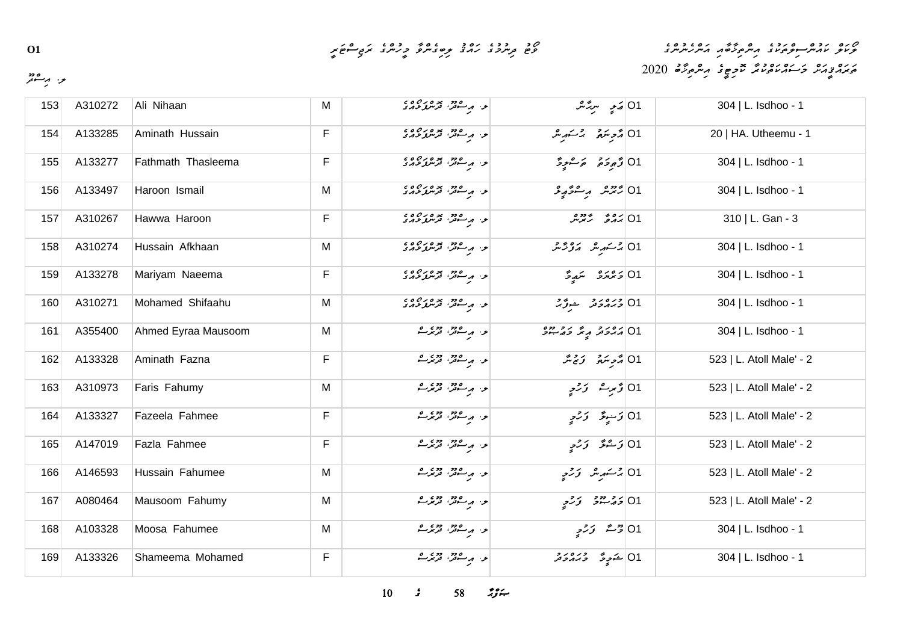*sCw7q7s5w7m< o<n9nOoAw7o< sCq;mAwBoEw7q<m; wBm;vB* م من المرة المرة المرة المرجع المرجع في المركبة 2020<br>مجم*د المريض المربوط المربع المرجع في المراجع المركبة* 

| 153 | A310272 | Ali Nihaan          | M | و . در محتوی ده در در در<br>د . در سوتر ، ترس تر در د                                                              | 01  ریمویے سریٹریمل              | 304   L. Isdhoo - 1      |
|-----|---------|---------------------|---|--------------------------------------------------------------------------------------------------------------------|----------------------------------|--------------------------|
| 154 | A133285 | Aminath Hussain     | F | و . مرسوس الاس و د ۵ و د و<br>المحر : المرس المرس و المرس                                                          | 01 مٌ مِ سَمَعٌ پُ سَمہِ مِّر    | 20   HA. Utheemu - 1     |
| 155 | A133277 | Fathmath Thasleema  | F | و . مرسوس الاس و د ۵ و د و<br>المحر : المرس المرس و المرس                                                          | 01 زَّەپرىق مۇشىرىدَّ            | 304   L. Isdhoo - 1      |
| 156 | A133497 | Haroon Ismail       | M | و . د ساتر، تده د ۵ ه ع<br>و . د ساتر، تدس و د ۵ ه                                                                 | 01 ئۇنزىتر بەستۇپ ئو             | 304   L. Isdhoo - 1      |
| 157 | A310267 | Hawwa Haroon        | F | و. د ساتر، تده د ۵۵ ه<br>د اوساتر، ترس د دور                                                                       | 01 يَہْرُوَ گَيْرَسُ             | 310   L. Gan - 3         |
| 158 | A310274 | Hussain Afkhaan     | M | و . مرسومی توسط و ۵ و ۷<br>و . مرسومی توسط و در                                                                    | 01 يرتئة مرور بحارث              | 304   L. Isdhoo - 1      |
| 159 | A133278 | Mariyam Naeema      | F | و . مرسوس الاس و د ۲۰۵ و و<br>المحر : مرسوس المرسوم و المرسوم المرسوم المرسوم المرسوم المرسوم المرسوم المرسوم المر | 01 كەبھە <i>گە</i> سى <i>مەڭ</i> | 304   L. Isdhoo - 1      |
| 160 | A310271 | Mohamed Shifaahu    | M | و . مرسوس الده د ۵ و و د<br>المحر : مرسوس الده مرض الدي                                                            | $2.52220$ $2.52220$              | 304   L. Isdhoo - 1      |
| 161 | A355400 | Ahmed Eyraa Mausoom | M | و. ماستور، فریز ک                                                                                                  | 01 كەبرى تەرىپ ئەھەسىدى          | 304   L. Isdhoo - 1      |
| 162 | A133328 | Aminath Fazna       | F | و. مرتقل تریز و                                                                                                    | 01 مَّ حِسَمَۃ وَيُحَسَّر        | 523   L. Atoll Male' - 2 |
| 163 | A310973 | Faris Fahumy        | M | و. د سوټر، تریز ک                                                                                                  | 01 أوٌمبر شي تورْح و             | 523   L. Atoll Male' - 2 |
| 164 | A133327 | Fazeela Fahmee      | F | ا د. اور حدود دوره ده است.<br>الحراء اور حدود العربور العرب                                                        | 01 كۇنىدۇ كەرگىچ                 | 523   L. Atoll Male' - 2 |
| 165 | A147019 | Fazla Fahmee        | F | و. برسمتر، تریز ک                                                                                                  | 01 كَوْشَعَرَ كَوْرْحٍ           | 523   L. Atoll Male' - 2 |
| 166 | A146593 | Hussain Fahumee     | M | و. مرسوس مرير ص                                                                                                    | 01  پرستمبر تر ترجي              | 523   L. Atoll Male' - 2 |
| 167 | A080464 | Mausoom Fahumy      | M | و. برستش تریز م                                                                                                    | 01 كەم يېقىق ئۇرتىي              | 523   L. Atoll Male' - 2 |
| 168 | A103328 | Moosa Fahumee       | M | و. مرسوس مرير م                                                                                                    | 01 جي ترٿي                       | 304   L. Isdhoo - 1      |
| 169 | A133326 | Shameema Mohamed    | F | و. ماستور، توری ه                                                                                                  | 01 خوچ ئىمگە ئەر                 | 304   L. Isdhoo - 1      |

*10 s* 58 *if*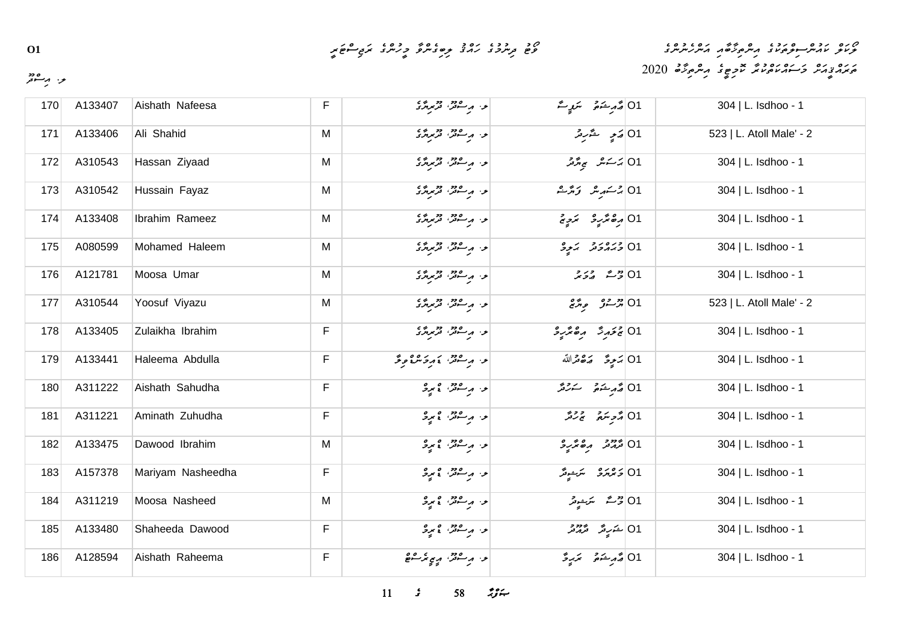*sCw7q7s5w7m< o<n9nOoAw7o< sCq;mAwBoEw7q<m; wBm;vB* م من المرة المرة المرة المرجع المرجع في المركبة 2020<br>مجم*د المريض المربوط المربع المرجع في المراجع المركبة* 

| 170 | A133407 | Aishath Nafeesa   | $\mathsf{F}$ | و. رسمن تربر گرد       | 01 ۾ پرڪنو - سَمَدٍ گ                    | 304   L. Isdhoo - 1      |
|-----|---------|-------------------|--------------|------------------------|------------------------------------------|--------------------------|
| 171 | A133406 | Ali Shahid        | M            | و. در دور در در        | 01 کھ پے مشریقر                          | 523   L. Atoll Male' - 2 |
| 172 | A310543 | Hassan Ziyaad     | M            | و. مرسوس فرمز پرو      | 01   پرسکسٹر سمبر پروگر                  | 304   L. Isdhoo - 1      |
| 173 | A310542 | Hussain Fayaz     | M            | و. ماستور، فرمز پرو    | 01 پرستمبر ترتژ شه                       | 304   L. Isdhoo - 1      |
| 174 | A133408 | Ibrahim Rameez    | M            | و. در دور در در        | 01 مەھەر بۇ سىرچە                        | 304   L. Isdhoo - 1      |
| 175 | A080599 | Mohamed Haleem    | M            | و. در دور در در        | 01  <i>\$نَہُ\$ةَ بَوِدْ</i>             | 304   L. Isdhoo - 1      |
| 176 | A121781 | Moosa Umar        | M            | و. رسمن تربر ژو        | $33.2$ $23$ 01                           | 304   L. Isdhoo - 1      |
| 177 | A310544 | Yoosuf Viyazu     | M            | و. د سوتر، دو ده       | 01 تېر - دو په موجو                      | 523   L. Atoll Male' - 2 |
| 178 | A133405 | Zulaikha Ibrahim  | $\mathsf{F}$ | و. در دور دو دره د     | 01 كىخەر ئەر مەھ <i>مگەر</i> 2           | 304   L. Isdhoo - 1      |
| 179 | A133441 | Haleema Abdulla   | $\mathsf F$  | و مشتق نم پرتمبر و و څ | 01 كىموى <i>ڭ مەھە</i> راللە             | 304   L. Isdhoo - 1      |
| 180 | A311222 | Aishath Sahudha   | $\mathsf{F}$ | ی در عقر، عمره         | 01 ۾ پرڪتو ڪريڙ                          | 304   L. Isdhoo - 1      |
| 181 | A311221 | Aminath Zuhudha   | F            | و رحمن المعرفر         | 01 أُمُّ مِسْمَعٌ مَّ مِنْ مَّدْ         | 304   L. Isdhoo - 1      |
| 182 | A133475 | Dawood Ibrahim    | M            | و رحمن المعرفر         | 01 مُرْمَ <sup>و</sup> ر مِرْهُ مُرْرِدْ | 304   L. Isdhoo - 1      |
| 183 | A157378 | Mariyam Nasheedha | $\mathsf F$  | و. مرحوم عمرو          | 01  5 يُرْيَرُوْ = سَرَشِيشٌ             | 304   L. Isdhoo - 1      |
| 184 | A311219 | Moosa Nasheed     | M            | و رحمن المعرفر         | 01 جي مگر سر پيديگر                      | 304   L. Isdhoo - 1      |
| 185 | A133480 | Shaheeda Dawood   | F            | و. مرحوم عمرو          | 01 شریعہ محمد م                          | 304   L. Isdhoo - 1      |
| 186 | A128594 | Aishath Raheema   | $\mathsf F$  | ىن مەسىق مەيدىكى ھ     | 01 مۇم شۇ ئىم ئىر                        | 304   L. Isdhoo - 1      |

 $11$  *s* 58  $23$   $-$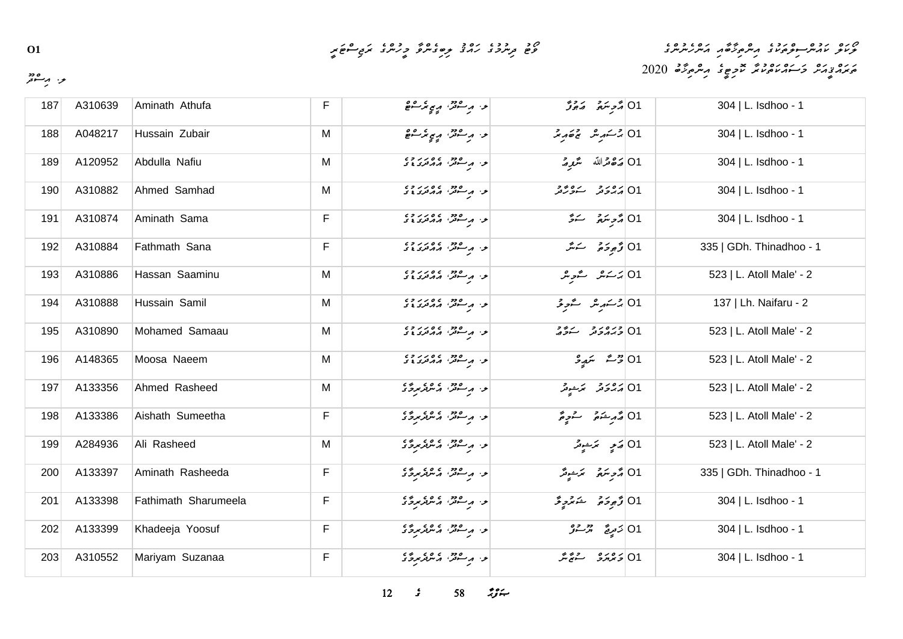*sCw7q7s5w7m< o<n9nOoAw7o< sCq;mAwBoEw7q<m; wBm;vB* م من المرة المرة المرة المرجع المرجع في المركبة 2020<br>مجم*د المريض المربوط المربع المرجع في المراجع المركبة* 

| 187 | A310639 | Aminath Athufa       | $\mathsf{F}$ | د. مشتر، میچرگو                                     | 01 أُمُّحِ سَمَعٌ مَنْ وَمُحَمَّدٌ     | 304   L. Isdhoo - 1      |
|-----|---------|----------------------|--------------|-----------------------------------------------------|----------------------------------------|--------------------------|
| 188 | A048217 | Hussain Zubair       | M            | د. مستقر، مہر عرصو                                  | 01 يُرْسَمهِ بِمْهِ صَهْرِ بِرْ        | 304   L. Isdhoo - 1      |
| 189 | A120952 | Abdulla Nafiu        | M            | د. مستعل، ممدوروه<br>مستعل، ممدوروه                 | O1 كَەشكەللە ش <i>و</i> كە             | 304   L. Isdhoo - 1      |
| 190 | A310882 | Ahmed Samhad         | M            | و. برستن، بروروی<br>و. برستن، برونوروی              | 01 كەبرى ئەر ئىرگىز                    | 304   L. Isdhoo - 1      |
| 191 | A310874 | Aminath Sama         | $\mathsf{F}$ | ه د سوتر، درد د د د د د د د                         | 01 م <sup>ح</sup> رم سَعَرَ جَعَمَد    | 304   L. Isdhoo - 1      |
| 192 | A310884 | Fathmath Sana        | $\mathsf F$  | و. مرسوس به مرد د د د                               | 01 ڙَجِرَتُمُ سَنَتَر                  | 335   GDh. Thinadhoo - 1 |
| 193 | A310886 | Hassan Saaminu       | M            | و . مرسوس ، ه د د د د د<br>د . مرسوس ، مایر مدی و ی | 01   پرسترش ستگویش                     | 523   L. Atoll Male' - 2 |
| 194 | A310888 | Hussain Samil        | M            | والمرتفق بمصرورون                                   | 01   پرستمبر بر ستگوی                  | 137   Lh. Naifaru - 2    |
| 195 | A310890 | Mohamed Samaau       | M            | و٠ در حود ٥ در د د د د<br>و٠ در حود ٠ د د تری و ی   | 332.201                                | 523   L. Atoll Male' - 2 |
| 196 | A148365 | Moosa Naeem          | M            | و . مرسوس ، ۱۵ در و ،<br>و . مرسوس ، ماره در و ،    | $\frac{2}{3}$ مَهِ مَرْ $\sim$ 701     | 523   L. Atoll Male' - 2 |
| 197 | A133356 | Ahmed Rasheed        | M            | و٠ د سوتر، د سرتربرو د                              | 01   كەشكە تەر ئىكەن ئىستىر ئىس        | 523   L. Atoll Male' - 2 |
| 198 | A133386 | Aishath Sumeetha     | $\mathsf F$  | و٠ د سوتر، د سرتربرو د                              | 01 ۾ پرڪو گرچو گر                      | 523   L. Atoll Male' - 2 |
| 199 | A284936 | Ali Rasheed          | M            | و٠ وسوس وسربر دو                                    | 01 کھیے - مکشومگر                      | 523   L. Atoll Male' - 2 |
| 200 | A133397 | Aminath Rasheeda     | F            | و. مرحوم عامه وي                                    | 01 مَّ حِ سَمَّةٍ مَسْجِعَةٌ           | 335   GDh. Thinadhoo - 1 |
| 201 | A133398 | Fathimath Sharumeela | $\mathsf F$  | و٠ م سوتر، ما ما ما دوره د                          | 01 ۇمودۇ شىردۇ                         | 304   L. Isdhoo - 1      |
| 202 | A133399 | Khadeeja Yoosuf      | $\mathsf F$  | و. ما حمق ما موفر بروی                              | 01 ك <sup>ى</sup> مپى <i>قى تۆ</i> شكى | 304   L. Isdhoo - 1      |
| 203 | A310552 | Mariyam Suzanaa      | $\mathsf F$  | و . د سوتر ، د سرتر پروژ                            | 01 كەنگەر ئەس ئىق ئىر                  | 304   L. Isdhoo - 1      |

 $12$  *s* 58  $23$   $-$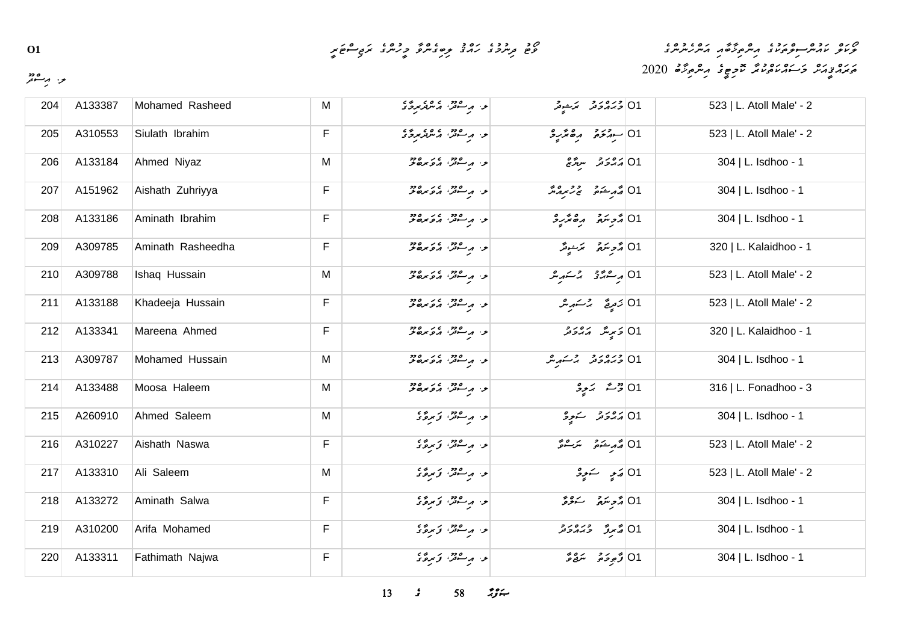*sCw7q7s5w7m< o<n9nOoAw7o< sCq;mAwBoEw7q<m; wBm;vB* م من المرة المرة المرة المرجع المرجع في المركبة 2020<br>مجم*د المريض المربوط المربع المرجع في المراجع المركبة* 

| 204 | A133387 | Mohamed Rasheed   | M           | و . پر سوټر کامان دی   | 01  2323 كارمىيەتە                 | 523   L. Atoll Male' - 2 |
|-----|---------|-------------------|-------------|------------------------|------------------------------------|--------------------------|
| 205 | A310553 | Siulath Ibrahim   | F           | و٠ و سوتر، و سرتربرو و | $\sim$ 10 سوړنو په موسیق           | 523   L. Atoll Male' - 2 |
| 206 | A133184 | Ahmed Niyaz       | M           | י תיינג' תפינסיב       | 01 كەبرى كىرىدىنى بىر ئىس          | 304   L. Isdhoo - 1      |
| 207 | A151962 | Aishath Zuhriyya  | F           | י תיינקי הפינסיב       | 01 مۇم شەھ بىم ئىر بىر مە          | 304   L. Isdhoo - 1      |
| 208 | A133186 | Aminath Ibrahim   | F           | י גייני גם מים         | 01 مٌوِسَمَ <i>وْ مِ</i> هْتَرِ وَ | 304   L. Isdhoo - 1      |
| 209 | A309785 | Aminath Rasheedha | F           | י תְּימִנ הַלְימִי     | 01 مُ حِ سَمَعٌ مَ سَنِيقٌ         | 320   L. Kalaidhoo - 1   |
| 210 | A309788 | Ishaq Hussain     | M           | י תיינג' תפינסיב       | 01 م سىنىڭ بىر شەمبەش              | 523   L. Atoll Male' - 2 |
| 211 | A133188 | Khadeeja Hussain  | $\mathsf F$ | י גנייני גפיניים       | 01   كَتَمِيعٌ = شُرَيْتِهِ سُرٍّ  | 523   L. Atoll Male' - 2 |
| 212 | A133341 | Mareena Ahmed     | F           | י תיינג' תפינסיב       | 01 كۇمبەنگە كەندىخەتر              | 320   L. Kalaidhoo - 1   |
| 213 | A309787 | Mohamed Hussain   | M           | י תיינג' תפינסיב       | 01 دېم دې د شمېر ش                 | 304   L. Isdhoo - 1      |
| 214 | A133488 | Moosa Haleem      | M           | י תיינג' תפינסיב       | 01 جيءَ پروڈ                       | 316   L. Fonadhoo - 3    |
| 215 | A260910 | Ahmed Saleem      | M           | و ، را دونز، تو بردگان | 01 كەندى كەربى                     | 304   L. Isdhoo - 1      |
| 216 | A310227 | Aishath Naswa     | F           | و ، رحين تربره ي       | 01 مۇم شۇمۇ سىرسىمۇ                | 523   L. Atoll Male' - 2 |
| 217 | A133310 | Ali Saleem        | M           | و ، مرحق و بروی        | 01 ړَم کودگ                        | 523   L. Atoll Male' - 2 |
| 218 | A133272 | Aminath Salwa     | F           | و ، مرحق وَمَرة وَ     | 01 أُمُّ جِسَعَةٌ سَوَعَهُ         | 304   L. Isdhoo - 1      |
| 219 | A310200 | Arifa Mohamed     | F           | و. رحيق وَمُرِدَّى     | 01 مَّ مِنَّ حَمَدُهُ حَمَّد       | 304   L. Isdhoo - 1      |
| 220 | A133311 | Fathimath Najwa   | F           | و ، مرحق وَمَرة وَ     | 01 <i>وُّجِ دَمْ</i> مَنْ مَرَّةً  | 304   L. Isdhoo - 1      |

*13 s* 58 *if*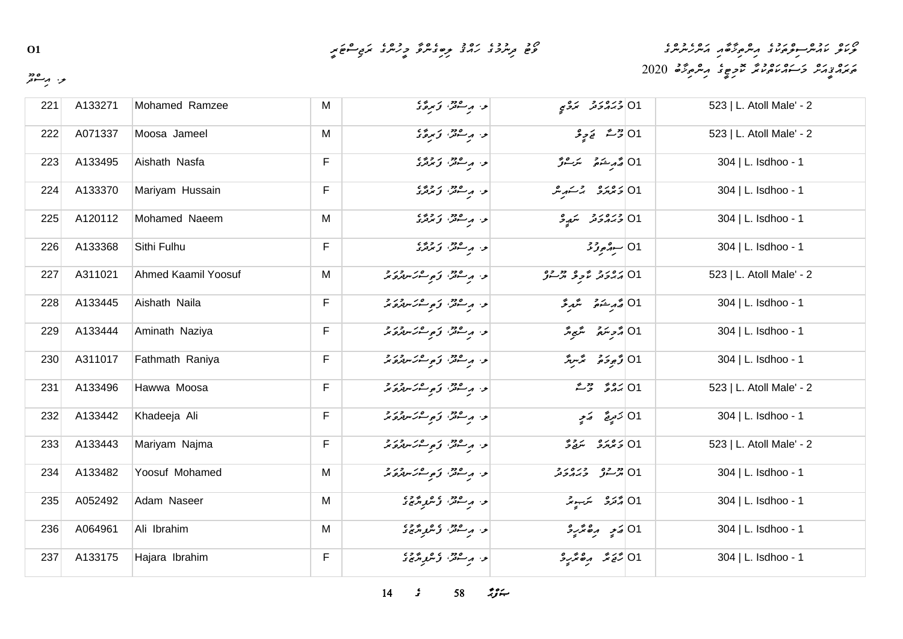*sCw7q7s5w7m< o<n9nOoAw7o< sCq;mAwBoEw7q<m; wBm;vB* م من المرة المرة المرة المرجع المرجع في المركبة 2020<br>مجم*د المريض المربوط المربع المرجع في المراجع المركبة* 

| 221 | A133271 | Mohamed Ramzee             | M | و ، را عقل وَ بروٌ ی             | 01  <i>\$نەۋەقە بۇۋى</i> ي            | 523   L. Atoll Male' - 2 |
|-----|---------|----------------------------|---|----------------------------------|---------------------------------------|--------------------------|
| 222 | A071337 | Moosa Jameel               | M | و ، مرحق وَمَرة وَ               | 01 انۆشقە ئەمەيد                      | 523   L. Atoll Male' - 2 |
| 223 | A133495 | Aishath Nasfa              | F | و ، ماستش کویزوی                 | 01 مۇم شۇ سىرسىمۇ                     | 304   L. Isdhoo - 1      |
| 224 | A133370 | Mariyam Hussain            | F | و. پرستن، تخ بولاد               | 01 كەنگەر ئەسىر شەر ش                 | 304   L. Isdhoo - 1      |
| 225 | A120112 | Mohamed Naeem              | M | و ، ماستش کویزیوی                | 01  <i>\$ يُدُوُدُو مُنْ مَرْمُ</i> و | 304   L. Isdhoo - 1      |
| 226 | A133368 | Sithi Fulhu                | F | و . پرستن، توبرتری               | 01 سورموژنز                           | 304   L. Isdhoo - 1      |
| 227 | A311021 | <b>Ahmed Kaamil Yoosuf</b> | M | و ، من الله و و المرکب و د و     | 01 كەندى تۇر ئۇر قويىسى               | 523   L. Atoll Male' - 2 |
| 228 | A133445 | Aishath Naila              | F | و ، مرسوس کی صر استر استفرار و . | 01 مەم ئىقىم ئىتىمبوگە                | 304   L. Isdhoo - 1      |
| 229 | A133444 | Aminath Naziya             | F | و من الله وه و الله الله و د و   | 01 مَّ حِ سَمَّ مَّ سَمَّعِ مَّ       | 304   L. Isdhoo - 1      |
| 230 | A311017 | Fathmath Raniya            | F | و . مرسوس کی شرکس ور و           | 01 رَّجِ دَمَ تَمَّ سِرَّ             | 304   L. Isdhoo - 1      |
| 231 | A133496 | Hawwa Moosa                | F | و ، مرسوس کی شرکس در د           | $23$ $52/01$                          | 523   L. Atoll Male' - 2 |
| 232 | A133442 | Khadeeja Ali               | F | و ، مرتقل کو پر شرکتروند         |                                       | 304   L. Isdhoo - 1      |
| 233 | A133443 | Mariyam Najma              | F | و الاسلام وه و المسافره بود      | 01 كەبەد ئەرقى ئىر                    | 523   L. Atoll Male' - 2 |
| 234 | A133482 | Yoosuf Mohamed             | M | و الرحمد وكم والمستكر وراد       | 01 تېر - تۇ ئەتمەد تىر                | 304   L. Isdhoo - 1      |
| 235 | A052492 | Adam Naseer                | M | و . پر دور و عروجوی              | 01 مُحَمَّدٌ سَنَبِيْتُ               | 304   L. Isdhoo - 1      |
| 236 | A064961 | Ali Ibrahim                | M | و. من فقر، وتكرير من د           | 01 کيږ په موغربي                      | 304   L. Isdhoo - 1      |
| 237 | A133175 | Hajara Ibrahim             | F | و . مرسومي کوشو و و .            | 01   رائع متن مرہ مگر ہو گا           | 304   L. Isdhoo - 1      |

*14 s* 58 *if*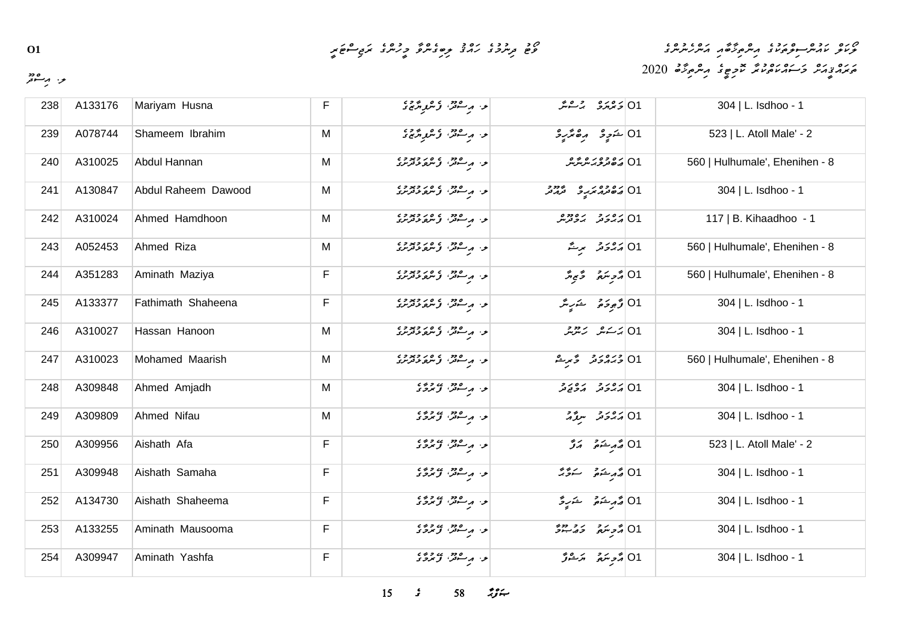*sCw7q7s5w7m< o<n9nOoAw7o< sCq;mAwBoEw7q<m; wBm;vB* م من المرة المرة المرة المرجع المرجع في المركبة 2020<br>مجم*د المريض المربوط المربع المرجع في المراجع المركبة* 

| 238 | A133176 | Mariyam Husna       | $\mathsf{F}$ | و. برسانس وعرض وه                                        | 01 كەندىرى بەيلىگە                                    | 304   L. Isdhoo - 1            |
|-----|---------|---------------------|--------------|----------------------------------------------------------|-------------------------------------------------------|--------------------------------|
| 239 | A078744 | Shameem Ibrahim     | M            | و . بر حق و شروع و                                       | $\mathcal{S}_{\mathbf{z}}$ خود مۇمگرىز $\mathcal{O}1$ | 523   L. Atoll Male' - 2       |
| 240 | A310025 | Abdul Hannan        | M            | و۰ در ۱۵۶۵ وروپووه<br>در در ۱۶۷ وسرچ دورو                | 01 <mark>رەۋۋېرىرىئرىئر</mark>                        | 560   Hulhumale', Ehenihen - 8 |
| 241 | A130847 | Abdul Raheem Dawood | M            | و . در سه در وروبه و د<br>و . در سه در از کاربوری        | 01 كەھەركە كىرى ئەدەر ب                               | 304   L. Isdhoo - 1            |
| 242 | A310024 | Ahmed Hamdhoon      | M            | و . مرسوس و برویدو ،<br>و . مرسوس و سره لاتر برو         | 01 كەبروتە بەۋەتەر                                    | 117   B. Kihaadhoo - 1         |
| 243 | A052453 | Ahmed Riza          | M            | و . مرسوس و مرويو و ،<br>و . مرسوس و سرج لا ترس          | 01 كەشكەتىر - بويىتى                                  | 560   Hulhumale', Ehenihen - 8 |
| 244 | A351283 | Aminath Maziya      | F            | و۰ در ۱۵۶۵ وروپووه<br>در در ۱۶۷ وسرچ دورو                | 01 أُمُّ حِسَمٌ وَمَنِيمٌ                             | 560   Hulhumale', Ehenihen - 8 |
| 245 | A133377 | Fathimath Shaheena  | $\mathsf F$  | و . در سه در اور ويو و ،<br>و . در سه در او سرچ لاتر لري | 01 ۇچۇڭمۇ سۇرپىگە                                     | 304   L. Isdhoo - 1            |
| 246 | A310027 | Hassan Hanoon       | M            | و . در سه در وروبه و د<br>و . در سه در از کاربوری        | 01 كەسىرىش كەنتىر بىر                                 | 304   L. Isdhoo - 1            |
| 247 | A310023 | Mohamed Maarish     | M            | و . مرسوس و مرويو و ،<br>و . مرسوس و سرج لا ترس          | 01   ج. جرچ گر گر گر جر                               | 560   Hulhumale', Ehenihen - 8 |
| 248 | A309848 | Ahmed Amjadh        | M            | و. برسهن وبروء                                           | 01 كەبرى ھەر كەن ئە                                   | 304   L. Isdhoo - 1            |
| 249 | A309809 | Ahmed Nifau         | M            | و. پرسهن ویروی                                           | 01 كەش <sup>ى</sup> كەشقە ئىستەر                      | 304   L. Isdhoo - 1            |
| 250 | A309956 | Aishath Afa         | $\mathsf F$  | و. بر حود عادون<br>و. بر حسن تومرون                      | 01 مۇم شەقىم ئىرگە                                    | 523   L. Atoll Male' - 2       |
| 251 | A309948 | Aishath Samaha      | $\mathsf{F}$ | و. پرسهن ویروه                                           | 01 مۇم شۇر سىۋىر                                      | 304   L. Isdhoo - 1            |
| 252 | A134730 | Aishath Shaheema    | $\mathsf{F}$ | و. برسهن وبروء                                           | 01 مُ مِسْرَةٌ مُ سَرِرَّ                             | 304   L. Isdhoo - 1            |
| 253 | A133255 | Aminath Mausooma    | F            | و. پرسهن ویروه                                           | 01 مَّحِسَمَۃُ حَمَّسَتَرَ                            | 304   L. Isdhoo - 1            |
| 254 | A309947 | Aminath Yashfa      | F            | و. پرسهن ویروی                                           | 01 أُمَّ حِسَمٌ مَشْرٌ                                | 304   L. Isdhoo - 1            |

*15 s* 58 *if*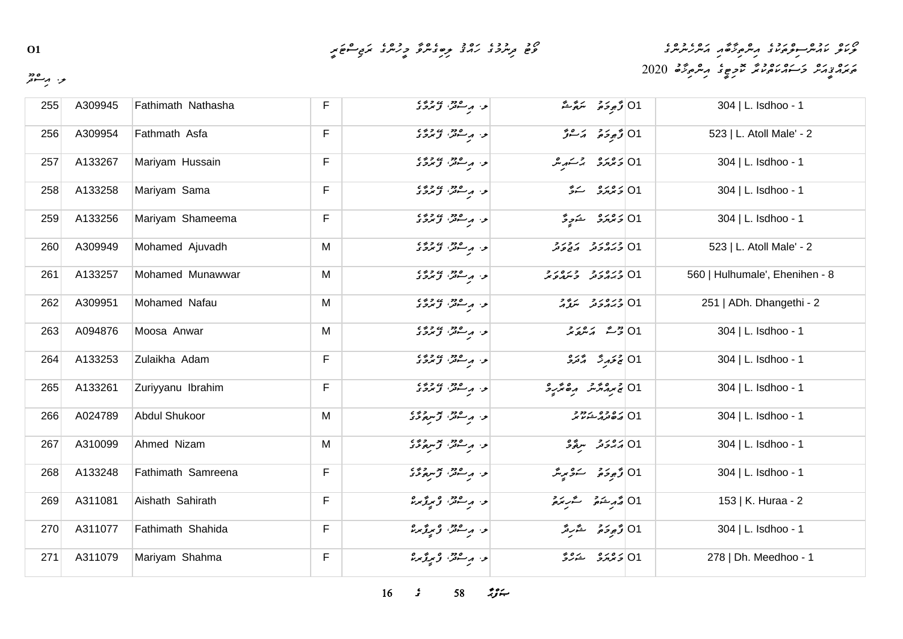*sCw7q7s5w7m< o<n9nOoAw7o< sCq;mAwBoEw7q<m; wBm;vB* م من المرة المرة المرة المرجع المرجع في المركبة 2020<br>مجم*د المريض المربوط المربع المرجع في المراجع المركبة* 

| 255 | A309945 | Fathimath Nathasha | F           | و. پرسهن ویروی                         | 01 أَوْجِ دَمْ مَسَمَّدٌ                    | 304   L. Isdhoo - 1            |
|-----|---------|--------------------|-------------|----------------------------------------|---------------------------------------------|--------------------------------|
| 256 | A309954 | Fathmath Asfa      | F           | و. به سه در ۲۵۵ ورو د                  | 01 زَّجِ دَمَّ مَ سَرْزٌ                    | 523   L. Atoll Male' - 2       |
| 257 | A133267 | Mariyam Hussain    | F           | و. به سه در ۲۵۵ ورو د                  | 01 كى ئىرتكى بىر شىر ش                      | 304   L. Isdhoo - 1            |
| 258 | A133258 | Mariyam Sama       | $\mathsf F$ | و. بر حود برود و د                     | $5 - 322 = 01$                              | 304   L. Isdhoo - 1            |
| 259 | A133256 | Mariyam Shameema   | $\mathsf F$ | و. د صور به ود ،<br>و. د سوتر، تومرو د | 01 كى يىرى ئىم يىشى ئىچە ئى                 | 304   L. Isdhoo - 1            |
| 260 | A309949 | Mohamed Ajuvadh    | M           | و. ما مود کا دوه کا                    | $01$ 3,000 $25.00$                          | 523   L. Atoll Male' - 2       |
| 261 | A133257 | Mohamed Munawwar   | M           | و. برسهن وبروء                         | 01 ديروبو - ديروبر د                        | 560   Hulhumale', Ehenihen - 8 |
| 262 | A309951 | Mohamed Nafau      | M           | و. برسهن وموده                         | 01 كەبر بەر ئىرگەر                          | 251   ADh. Dhangethi - 2       |
| 263 | A094876 | Moosa Anwar        | M           | و. پرسهن وسوء                          | 01 تۇشق ئەيھۇتمە                            | 304   L. Isdhoo - 1            |
| 264 | A133253 | Zulaikha Adam      | F           | و. به سه در ۲۵۵ ورو د                  | 01 كى خَرْمَدَّ گَرْمَدَّدَّ                | 304   L. Isdhoo - 1            |
| 265 | A133261 | Zuriyyanu Ibrahim  | F           | و. پرسهن وسوء                          | 01 ى <sub>ج بىر</sub> مۇس مەھ <i>مگې</i> رى | 304   L. Isdhoo - 1            |
| 266 | A024789 | Abdul Shukoor      | M           | و. رحمن وسعوده                         | 01 كەھەرگە شەھىر                            | 304   L. Isdhoo - 1            |
| 267 | A310099 | Ahmed Nizam        | M           | و. رحمن وسعودي                         | 01 كەش <sup>ى</sup> رىقە سى <i>نگ</i> ۇ     | 304   L. Isdhoo - 1            |
| 268 | A133248 | Fathimath Samreena | F           | و مسافر مجموعه                         | 01   ژېږد خه د سکو مړينژ                    | 304   L. Isdhoo - 1            |
| 269 | A311081 | Aishath Sahirath   | $\mathsf F$ | و رياستر، ويروَيره                     | 01 ۾ پرڪنو شڪر بئرو                         | 153   K. Huraa - 2             |
| 270 | A311077 | Fathimath Shahida  | F           | و رومين ويرومه                         | 01 رَّجِوحَة حَشَّرِيْتَهُ                  | 304   L. Isdhoo - 1            |
| 271 | A311079 | Mariyam Shahma     | $\mathsf F$ | و ، ما عقل و مروَّ مره                 | $5.222 - 2.500$                             | 278   Dh. Meedhoo - 1          |

 $16$  *s* 58  $23$   $-$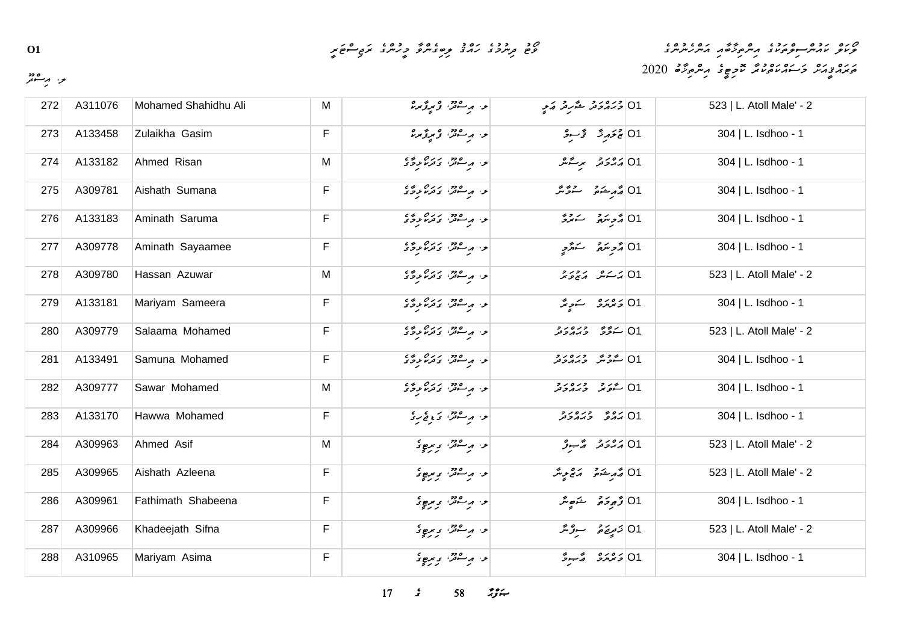*sCw7q7s5w7m< o<n9nOoAw7o< sCq;mAwBoEw7q<m; wBm;vB* م من المرة المرة المرة المرجع المرجع في المركبة 2020<br>مجم*د المريض المربوط المربع المرجع في المراجع المركبة* 

| 272 | A311076 | Mohamed Shahidhu Ali | M           | د. مرت ده. و مروَّ مره                          | 01 وُرَدُدُوَنَرْ خَرَبَرْ دَبِرِ | 523   L. Atoll Male' - 2 |
|-----|---------|----------------------|-------------|-------------------------------------------------|-----------------------------------|--------------------------|
| 273 | A133458 | Zulaikha Gasim       | F           | و رياستر، ويروَيره                              | 01  ج تحرير مجھ سوچ               | 304   L. Isdhoo - 1      |
| 274 | A133182 | Ahmed Risan          | M           | د ، پرستن، ناوره او ،<br>  د ، پرستن، ناوره دون |                                   | 304   L. Isdhoo - 1      |
| 275 | A309781 | Aishath Sumana       | $\mathsf F$ | و ، پرستن، ناوره و ،                            | 01 مۇم شۇر ئىقى ئىر               | 304   L. Isdhoo - 1      |
| 276 | A133183 | Aminath Saruma       | F           | ه . د ستن تاوره ده.<br>مستن                     | 01 أُمُّ مِنْهُمْ سَنَمْرَدُّ     | 304   L. Isdhoo - 1      |
| 277 | A309778 | Aminath Sayaamee     | $\mathsf F$ | والمرسوس وفراع والمحا                           | 01 أُمُّ حِسَنَةً مُسَتَّمَّعٍ    | 304   L. Isdhoo - 1      |
| 278 | A309780 | Hassan Azuwar        | M           | و ، روده رژه دوه                                | 01 ئەسىئەر مەنج ئەتر              | 523   L. Atoll Male' - 2 |
| 279 | A133181 | Mariyam Sameera      | $\mathsf F$ | و . رودو رزه و .                                | 01 دَ بْرْبَرْدْ سَوِيْر          | 304   L. Isdhoo - 1      |
| 280 | A309779 | Salaama Mohamed      | $\mathsf F$ | و. مرسوس روره و د                               | 01 كەنىۋە بەيرە ئەر               | 523   L. Atoll Male' - 2 |
| 281 | A133491 | Samuna Mohamed       | $\mathsf F$ | و . مرسوس و دره . د ،                           | 01 گەۋىگە دېرەرد                  | 304   L. Isdhoo - 1      |
| 282 | A309777 | Sawar Mohamed        | M           | و٠ در ٥ در ٥ در ٥<br>در در ساتل، د تورا نور د   | 01 گەنز قىدە دىن                  | 304   L. Isdhoo - 1      |
| 283 | A133170 | Hawwa Mohamed        | F           | ی پرے پی کی ج مرک                               | 01 ئەمۇر مەممەم                   | 304   L. Isdhoo - 1      |
| 284 | A309963 | Ahmed Asif           | M           | و. مرسیق و مرج و                                | 01 كەش <sup>ى</sup> تەڭ ھەسبوق    | 523   L. Atoll Male' - 2 |
| 285 | A309965 | Aishath Azleena      | F           | و. مرسمتر، وبریدگی                              | 01 مۇم شەھ ھەتمى <i>جىنگ</i> ر    | 523   L. Atoll Male' - 2 |
| 286 | A309961 | Fathimath Shabeena   | F           | و. من الله و مرج د                              | 01 ژُھِ دَمُ شَھِسُّ              | 304   L. Isdhoo - 1      |
| 287 | A309966 | Khadeejath Sifna     | F           | و رودو روپوځ                                    | 01 كەرىرى ئەشرىق ئىسر             | 523   L. Atoll Male' - 2 |
| 288 | A310965 | Mariyam Asima        | $\mathsf F$ | و. مرحص وبرج و                                  | 01 كَمَعْتَمَدَّ مُحْسِدَةً       | 304   L. Isdhoo - 1      |

*17 s* 58 *if*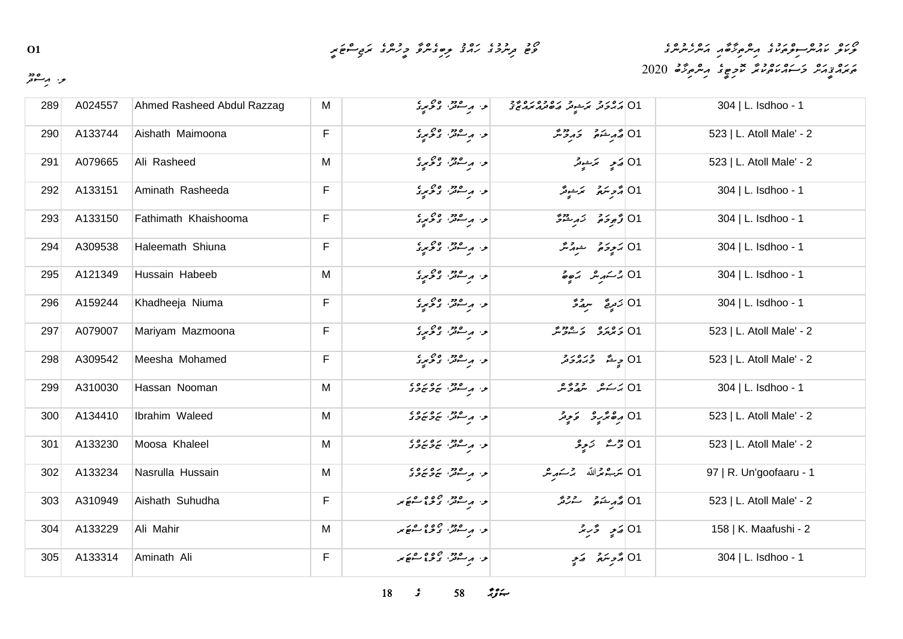*sCw7q7s5w7m< o<n9nOoAw7o< sCq;mAwBoEw7q<m; wBm;vB* م من المرة المرة المرة المرجع المرجع في المركبة 2020<br>مجم*د المريض المربوط المربع المرجع في المراجع المركبة* 

| 289 | A024557 | Ahmed Rasheed Abdul Razzag | M            | د ، مر ۱۶۵ وگورئ                                                                                                                                                                                                                 | $\frac{1}{2}$ كەبەك بىر ئىشوتىر كەھ تىركە بىركەنج | 304   L. Isdhoo - 1      |
|-----|---------|----------------------------|--------------|----------------------------------------------------------------------------------------------------------------------------------------------------------------------------------------------------------------------------------|---------------------------------------------------|--------------------------|
| 290 | A133744 | Aishath Maimoona           | $\mathsf F$  | و. من عقر، وحي ي                                                                                                                                                                                                                 | 01   قەرىشقى ھەرق ئىر                             | 523   L. Atoll Male' - 2 |
| 291 | A079665 | Ali Rasheed                | M            | و. پرستن، وصحيحه                                                                                                                                                                                                                 | 01 کھ پر مرحوم ک                                  | 523   L. Atoll Male' - 2 |
| 292 | A133151 | Aminath Rasheeda           | $\mathsf F$  | و. ماستن وه ده                                                                                                                                                                                                                   | 01 مٌ مِ سَمَعٌ مَ سَمِيعٌ مَ                     | 304   L. Isdhoo - 1      |
| 293 | A133150 | Fathimath Khaishooma       | $\mathsf F$  | و. پر دور ه وي ع                                                                                                                                                                                                                 | 01 زَّەپرەَ ئەرتىشۇ                               | 304   L. Isdhoo - 1      |
| 294 | A309538 | Haleemath Shiuna           | $\mathsf F$  | و. پرستن، وفوسی                                                                                                                                                                                                                  | 01 كېرىخۇ ھېرىگە                                  | 304   L. Isdhoo - 1      |
| 295 | A121349 | Hussain Habeeb             | M            | و ، مرسوس وه وه                                                                                                                                                                                                                  | 01 پر شهر پر پر پر                                | 304   L. Isdhoo - 1      |
| 296 | A159244 | Khadheeja Niuma            | $\mathsf{F}$ | و. مرحص وه وه                                                                                                                                                                                                                    | 01 كَتْمِيعٌ مُسْتَمَرٌّ مُ                       | 304   L. Isdhoo - 1      |
| 297 | A079007 | Mariyam Mazmoona           | $\mathsf F$  | و. پر دور وه و                                                                                                                                                                                                                   | 01 كەندىرى كىشىۋىتر                               | 523   L. Atoll Male' - 2 |
| 298 | A309542 | Meesha Mohamed             | $\mathsf F$  | ا د ا در ۱۳۵۵ وج د د کار د کار د کار د کار د کار د کار د کار د کار د کار د کار د کار د کار د کار د کار د کار د<br>او او او کار د کار د کار کار د کار د کار د کار د کار د کار د کار د کار د کار د کار د کار د کار د کار د کار د ک | 01 <sub>حي</sub> ستر <i>ڏندونر</i>                | 523   L. Atoll Male' - 2 |
| 299 | A310030 | Hassan Nooman              | M            | و ، مرسوس سے وسے و ی                                                                                                                                                                                                             | 01 كەسكە ئەيدۇنلە                                 | 304   L. Isdhoo - 1      |
| 300 | A134410 | Ibrahim Waleed             | M            | و. مستش شخص ده د                                                                                                                                                                                                                 | 01 م <i>وڭ ئۇر</i> ۇ ھ <i>ۇم</i> ۇ                | 523   L. Atoll Male' - 2 |
| 301 | A133230 | Moosa Khaleel              | M            | و. مرسوس سے وسی وی                                                                                                                                                                                                               | 01  جُرْحَۃ کَ مِرِ عُرْ                          | 523   L. Atoll Male' - 2 |
| 302 | A133234 | Nasrulla Hussain           | M            | و. وسنتر، سی دره ده                                                                                                                                                                                                              | 01   سَرَىجە يَرْ اللّه      يُرْ سَمَدٍ يْرْ     | 97   R. Un'goofaaru - 1  |
| 303 | A310949 | Aishath Suhudha            | $\mathsf F$  | والمرسيس موه مصر                                                                                                                                                                                                                 | 01 مۇم شۇمۇ سىنىڭد                                | 523   L. Atoll Male' - 2 |
| 304 | A133229 | Ali Mahir                  | M            | و. مسلس ووه مورد                                                                                                                                                                                                                 | 01 کمی ڈریڈ                                       | 158   K. Maafushi - 2    |
| 305 | A133314 | Aminath Ali                | $\mathsf F$  | من المرسوس من من من من المرسوخ من المرسوخ من المرسوخ المرسوخ المرسوخ المرسوخ المرسوخ المرسوخ المرسوخ المرسوخ ا                                                                                                                   | 01 أ <i>مَّ</i> حِ سَمَّةً مَسَمٍّ                | 304   L. Isdhoo - 1      |

**18** *s* **58** *n***<sub>y</sub> <b>***n*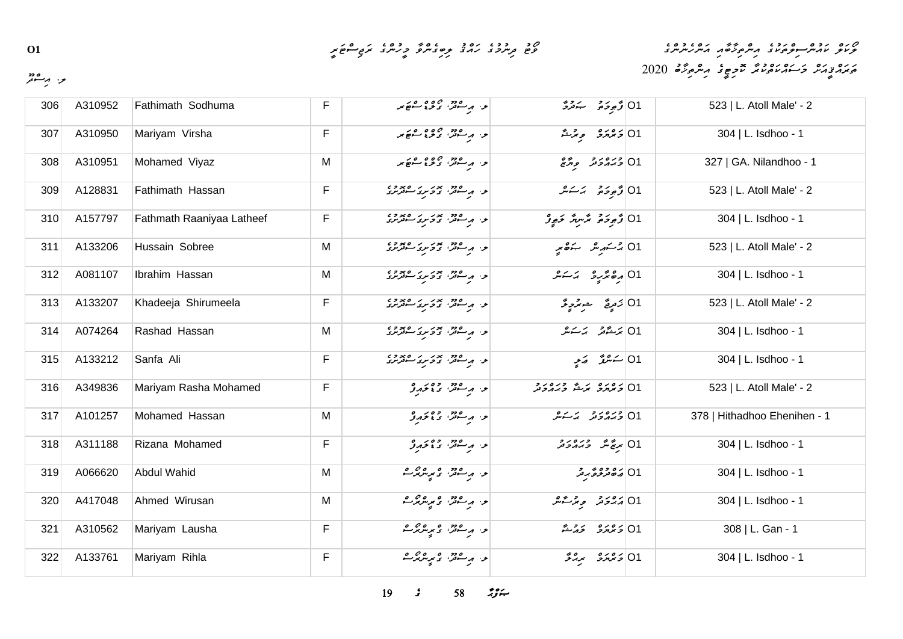*sCw7q7s5w7m< o<n9nOoAw7o< sCq;mAwBoEw7q<m; wBm;vB* م من المرة المرة المرة المرجع المرجع في المركبة 2020<br>مجم*د المريض المربوط المربع المرجع في المراجع المركبة* 

| 306 | A310952 | Fathimath Sodhuma         | F | ى بەر مەدەر مەدەر مەيد                                                                                                                                                                                                           | 01 رُّجِوحَةْ سَنَقْرَةُ                   | 523   L. Atoll Male' - 2     |
|-----|---------|---------------------------|---|----------------------------------------------------------------------------------------------------------------------------------------------------------------------------------------------------------------------------------|--------------------------------------------|------------------------------|
| 307 | A310950 | Mariyam Virsha            | F | م المرسوس 260 مريد                                                                                                                                                                                                               | 01 كەنگەر ئەرگىشە                          | 304   L. Isdhoo - 1          |
| 308 | A310951 | Mohamed Viyaz             | M | والمرسيس مهمه مصر                                                                                                                                                                                                                | 01 <i>وبرو دقر و مرتع</i>                  | 327   GA. Nilandhoo - 1      |
| 309 | A128831 | Fathimath Hassan          | F | بود برستین نمادشود و در در در در در در این در در این میتوان در این میتوان در این کاربرد در این کاربرد در این ک                                                                                                                   | 01 ۇ <sub>ج</sub> ورۇ ئەسەملە              | 523   L. Atoll Male' - 2     |
| 310 | A157797 | Fathmath Raaniyaa Latheef | F | بود به سود استاد بر در ۲۶ و در ۲۵<br>بود به سودر از برابری سودر بری                                                                                                                                                              | 01 <i>ڙوِدَوْ تُرْسِرُّ خَوِرِدْ</i>       | 304   L. Isdhoo - 1          |
| 311 | A133206 | Hussain Sobree            | M | نو . پرستور او در در دوره و در در در انتخاب در در انتخاب در در انتخاب در در انتخاب در در انتخاب در در انتخاب د<br>انتخاب در انتخاب در انتخاب در انتخاب در در در انتخاب در در انتخاب در انتخاب در در انتخاب در در انتخاب در در ان | 01 پرستمبر سکھیں                           | 523   L. Atoll Male' - 2     |
| 312 | A081107 | Ibrahim Hassan            | M | بود برستین نمادشود و در در در در در در این در در این میتوان در این میتوان در این کاربرد در این کاربرد در این ک                                                                                                                   | 01 مەھە <i>ئەبەۋە بەسكىل</i>               | 304   L. Isdhoo - 1          |
| 313 | A133207 | Khadeeja Shirumeela       | F | و به رقابود انداز کارونان در د                                                                                                                                                                                                   | 01 كَسِيعٌ صَمِيْرَةٍ وَّ                  | 523   L. Atoll Male' - 2     |
| 314 | A074264 | Rashad Hassan             | M | ن بر حود البرابر را در دارد.<br>انو ابر سوتر البرابر دارد برابر دارد برابر دارد برابر دارد برابر دارد برابر دارد بر                                                                                                              | 01 كارشگانى كەسكەنلى                       | 304   L. Isdhoo - 1          |
| 315 | A133212 | Sanfa Ali                 | F | بود برستین نمادشود و در در در در در در این در در این میتوان در این میتوان در این کاربرد در این کاربرد در این ک                                                                                                                   | 01 ڪشق صَعِ                                | 304   L. Isdhoo - 1          |
| 316 | A349836 | Mariyam Rasha Mohamed     | F | و رماش ده ده و                                                                                                                                                                                                                   | 01 كەندىكى ئەرەر د                         | 523   L. Atoll Male' - 2     |
| 317 | A101257 | Mohamed Hassan            | M | والمرسين وه ومرو                                                                                                                                                                                                                 | 01 ۇ ئەۋە ئەس ئەسكىش                       | 378   Hithadhoo Ehenihen - 1 |
| 318 | A311188 | Rizana Mohamed            | F | والمرتفق وه ومرو                                                                                                                                                                                                                 | 01 مِيعَ سَمَّ حَمَدَهُ حَ <sup>م</sup> َد | 304   L. Isdhoo - 1          |
| 319 | A066620 | <b>Abdul Wahid</b>        | M | و. را موتر، و بر مرکز ک                                                                                                                                                                                                          | 01 كەھەر <i>بىرىگە</i>                     | 304   L. Isdhoo - 1          |
| 320 | A417048 | Ahmed Wirusan             | M | و. را موتر، و برسربرگ                                                                                                                                                                                                            | 01   ئەبرى ئەسىمى ئەسىر                    | 304   L. Isdhoo - 1          |
| 321 | A310562 | Mariyam Lausha            | F | و. را موتر، و بر مرکز ک                                                                                                                                                                                                          | $01$ $5.35$                                | 308   L. Gan - 1             |
| 322 | A133761 | Mariyam Rihla             | F | و. مرسوس ومرمزمر                                                                                                                                                                                                                 | 01 كەنگەر ئەرگەنگە                         | 304   L. Isdhoo - 1          |

*19 s* 58 *i*<sub>S</sub> $\approx$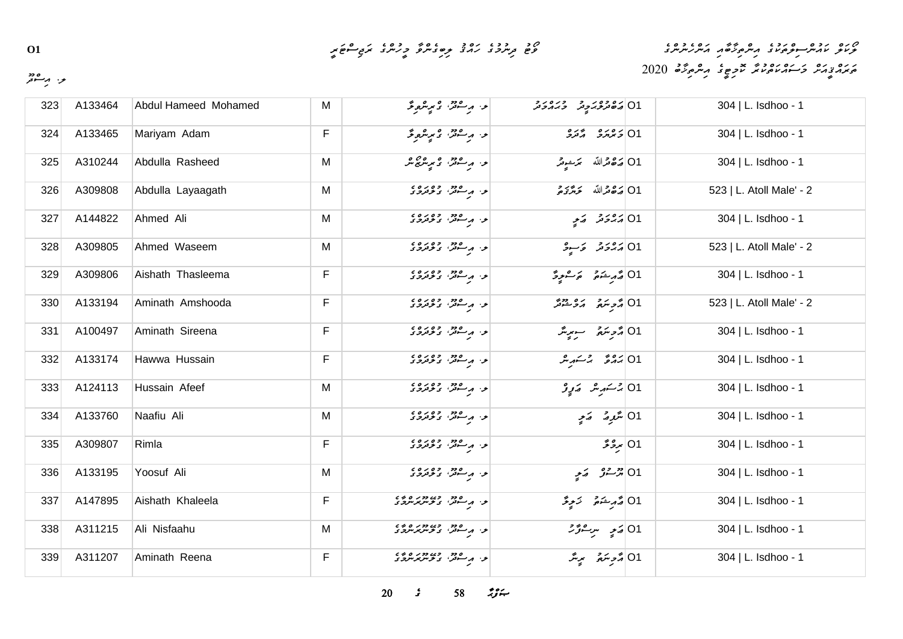*sCw7q7s5w7m< o<n9nOoAw7o< sCq;mAwBoEw7q<m; wBm;vB* م من المرة المرة المرة المرجع المرجع في المركبة 2020<br>مجم*د المريض المربوط المربع المرجع في المراجع المركبة* 

| 323 | A133464 | Abdul Hameed Mohamed | M           | أور ماسكانى المحامر بالرجائح                                                                                                                                                                                                   | 01 كەھىر ئۇيرىقر بەر ئەر ئەر                  | 304   L. Isdhoo - 1      |
|-----|---------|----------------------|-------------|--------------------------------------------------------------------------------------------------------------------------------------------------------------------------------------------------------------------------------|-----------------------------------------------|--------------------------|
| 324 | A133465 | Mariyam Adam         | F           | أور ماسكانى المحامر مركز ونحر                                                                                                                                                                                                  | $01$ كَرْيَرْدْ كَرْيَرْدْ                    | 304   L. Isdhoo - 1      |
| 325 | A310244 | Abdulla Rasheed      | M           | و. من دوره و مره چ ش                                                                                                                                                                                                           | 01 كەھەراللە <del>ك</del> رىش <sub>و</sub> تر | 304   L. Isdhoo - 1      |
| 326 | A309808 | Abdulla Layaagath    | M           | و. پرستن، ووره و                                                                                                                                                                                                               | 01 كەھىراللە ئ <i>ۇرگ<sub>ە</sub> تو</i>      | 523   L. Atoll Male' - 2 |
| 327 | A144822 | Ahmed Ali            | M           | و. پرستن، ووره و                                                                                                                                                                                                               | 01 <i>25 مگ</i> و تھو                         | 304   L. Isdhoo - 1      |
| 328 | A309805 | Ahmed Waseem         | M           | و. پرستن، ووره و                                                                                                                                                                                                               | 01 كەندى قەسىرى                               | 523   L. Atoll Male' - 2 |
| 329 | A309806 | Aishath Thasleema    | F           | و. پرستن، ووره و                                                                                                                                                                                                               | 01 ۾ په شمر پر عرم پر گ                       | 304   L. Isdhoo - 1      |
| 330 | A133194 | Aminath Amshooda     | $\mathsf F$ | و. مرسوس وه ده و.<br>  د. مرسوس و ومره و                                                                                                                                                                                       | 01 مَّحِسَمَۃُ مَکَشَفَّہُ                    | 523   L. Atoll Male' - 2 |
| 331 | A100497 | Aminath Sireena      | F           | و. پرستن، وه ده و.<br>د پرستن، وتونروی                                                                                                                                                                                         | 01 مٌحِ سَمَعٌ مَسْبِيعٌ مِنْ                 | 304   L. Isdhoo - 1      |
| 332 | A133174 | Hawwa Hussain        | F           | و . مرسوس و و د ه و .<br>د . مرسوس و و ترور                                                                                                                                                                                    | 01 كەشرق بەسكەر ش                             | 304   L. Isdhoo - 1      |
| 333 | A124113 | Hussain Afeef        | M           | و. پرستن، ووره و                                                                                                                                                                                                               | 01   پرستمبر عمد م <i>حدو</i> ثر              | 304   L. Isdhoo - 1      |
| 334 | A133760 | Naafiu Ali           | M           | و. پرستن، ووره و                                                                                                                                                                                                               | 01 شَعْرِهُ - مَسِمِ                          | 304   L. Isdhoo - 1      |
| 335 | A309807 | Rimla                | F           | و. پرسور، وه ده و                                                                                                                                                                                                              | 01 بردگ                                       | 304   L. Isdhoo - 1      |
| 336 | A133195 | Yoosuf Ali           | M           | و. پرستن، وه ده و.<br>و. پرستن، و وتروی                                                                                                                                                                                        | 01 پڙھڻو ڪيو                                  | 304   L. Isdhoo - 1      |
| 337 | A147895 | Aishath Khaleela     | F           | و . در دور ورود ده ده کار داده کار در داده کار در در داده کار در داده کار در داده کار در داده کار در داده کار<br>در این کار در داده کار در داده کار در داده کار داده کار داده کار داده کار داده کار داده کار داده کار داده کار | 01 ۾ پرڪو - رَمِو 5                           | 304   L. Isdhoo - 1      |
| 338 | A311215 | Ali Nisfaahu         | M           | و . م سلمل اور و در و د و د<br>او . م سلمل او و سربر سرو د                                                                                                                                                                     | 01   رَمٍ سِرِ سِرْ رُحْرُ حُ                 | 304   L. Isdhoo - 1      |
| 339 | A311207 | Aminath Reena        | F           | و . در ساتر : ورور و د و د<br>د . در ساتر : و وسرپرسرو د                                                                                                                                                                       | 01 مٌ <i>وِ مَنْهُ</i> مِيسٌ                  | 304   L. Isdhoo - 1      |

 $20$  *s* 58 *n***<sub>3</sub>** $\div$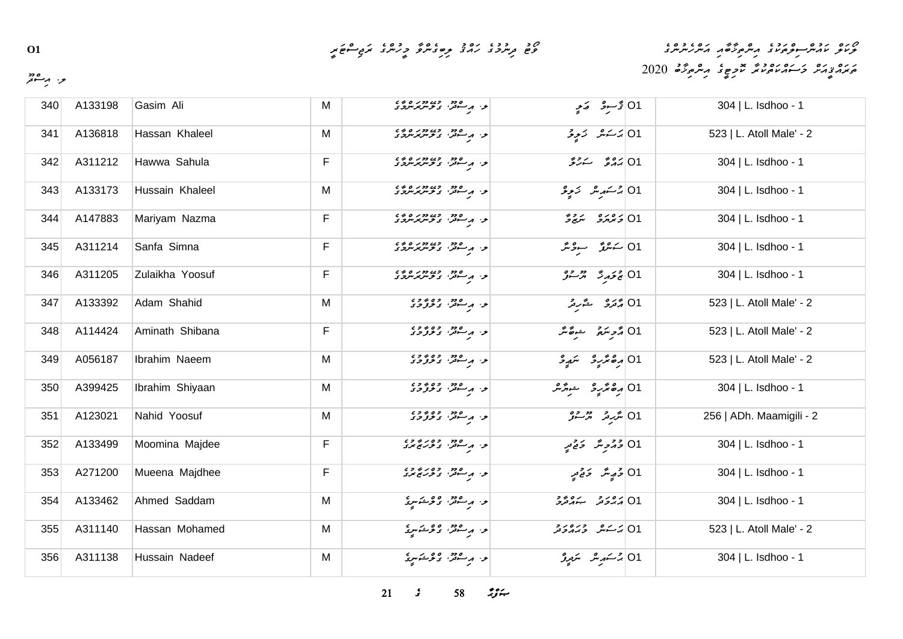*sCw7q7s5w7m< o<n9nOoAw7o< sCq;mAwBoEw7q<m; wBm;vB* م من المرة المرة المرة المرجع المرجع في المركبة 2020<br>مجم*د المريض المربوط المربع المرجع في المراجع المركبة* 

| 340 | A133198 | Gasim Ali       | M | و . در حاود . ودي دور ه و د .<br>و . در ساتن . د تر سر پر سرچ د  | 01 تخ سوڤ <i>م</i> َبرٍ          | 304   L. Isdhoo - 1      |
|-----|---------|-----------------|---|------------------------------------------------------------------|----------------------------------|--------------------------|
| 341 | A136818 | Hassan Khaleel  | M | و . در ۵ وو . ووړ وه د د<br>و . در سوتر ، د توسرپرسرچ د          | 01   پرسترپی کی کری تح           | 523   L. Atoll Male' - 2 |
| 342 | A311212 | Hawwa Sahula    | F | י ה הינקי - 20 בבי הם 20<br>יכי ה הינקי - 20 ביתים ביותר         | 01 كەندۇ سەرىمۇ                  | 304   L. Isdhoo - 1      |
| 343 | A133173 | Hussain Khaleel | M | و . مرسوس وي دور ه د »<br>و . مرسوس و وسربرسرو د                 | 01  پرستهر ترموی ا               | 304   L. Isdhoo - 1      |
| 344 | A147883 | Mariyam Nazma   | F | و . در ساتر او در ۲۵ دور و در ۶<br>در او ساتر او نومبربورو د     | $5.32$ کا کا کریمرگر سرچ         | 304   L. Isdhoo - 1      |
| 345 | A311214 | Sanfa Simna     | F |                                                                  | 01 كەنتىرتى سوڭەتتىر             | 304   L. Isdhoo - 1      |
| 346 | A311205 | Zulaikha Yoosuf | F | י ה הינקי - 20 בבי הם 20<br>יכי ה הינקי - 20 ביתים ביותר         | 01 كى تۇرىش تەرقىيىتى ئى         | 304   L. Isdhoo - 1      |
| 347 | A133392 | Adam Shahid     | M | و. پرسه و وه و و و                                               | 01 م <i>مْعَرْ</i> مُسْتَمِتِّرَ | 523   L. Atoll Male' - 2 |
| 348 | A114424 | Aminath Shibana | F | و. پرسه و وه و و و                                               | 01 مُجِسَعُ شِيقَةً              | 523   L. Atoll Male' - 2 |
| 349 | A056187 | Ibrahim Naeem   | M | و. پرسه ده وه وه.<br>و. پرسه د کوتون                             | 01 مەھ <i>ئۇچى ھەي</i> ۋ         | 523   L. Atoll Male' - 2 |
| 350 | A399425 | Ibrahim Shiyaan | M | و. پرسه ده وه وه.<br>و. پرسه د کوتون                             | 01 <i>رەنگەر ئىشىرى ھى</i>       | 304   L. Isdhoo - 1      |
| 351 | A123021 | Nahid Yoosuf    | M | و. پرستن، وه ووء                                                 | 01 مگربەتە تەخمىستۇ              | 256   ADh. Maamigili - 2 |
| 352 | A133499 | Moomina Majdee  | F | و . به ستن . وه د و و و .<br>و . به ستن                          | 01   3 مُرْحِ مُرَ = 3 مَحِ مِرِ | 304   L. Isdhoo - 1      |
| 353 | A271200 | Mueena Majdhee  | F | و . پر حو <i>ز وه دوه</i><br>و . پر سوټر <sub>کا</sub> توریخ بوی | 01   رحم پس گريم تو پر           | 304   L. Isdhoo - 1      |
| 354 | A133462 | Ahmed Saddam    | M | و. برحين ووحيهو                                                  | 01 كەبروتىر سەممەترى             | 304   L. Isdhoo - 1      |
| 355 | A311140 | Hassan Mohamed  | M | المحزر والمحترمة والمحر والمحدث                                  | 01 ئەسەھرە جەمھەر قىر            | 523   L. Atoll Male' - 2 |
| 356 | A311138 | Hussain Nadeef  | M | و ، پرسهن ووستهره                                                | 01   پرستمبر مگر سکوپوژ          | 304   L. Isdhoo - 1      |

 $21$  *s* 58  $23$   $-$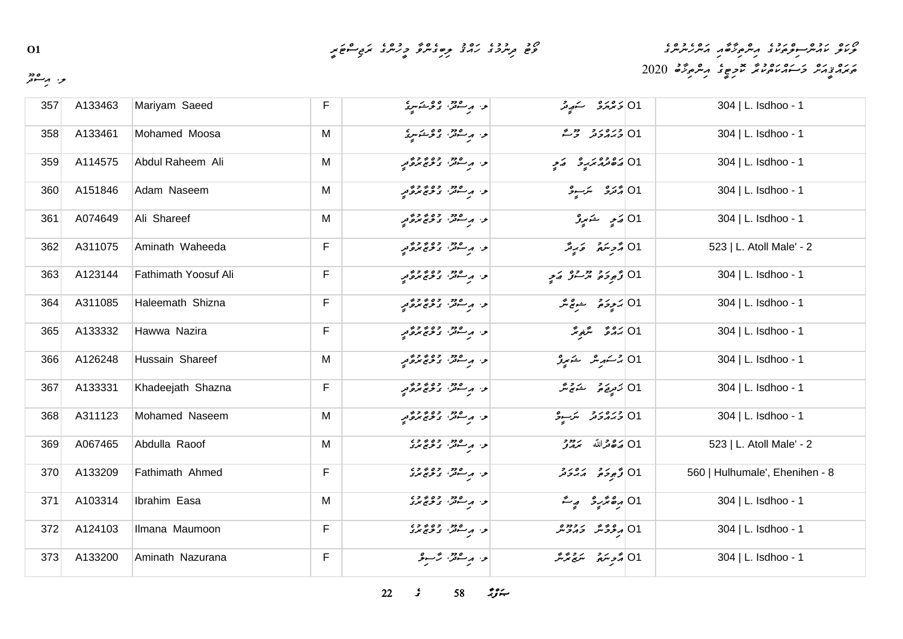*sCw7q7s5w7m< o<n9nOoAw7o< sCq;mAwBoEw7q<m; wBm;vB* م من المرة المرة المرة المرجع المرجع في المركبة 2020<br>مجم*د المريض المربوط المربع المرجع في المراجع المركبة* 

| 357 | A133463 | Mariyam Saeed        | F | و. بەسىتى كەنتىكىرى                                     | 01 كى ئىرتى سىمبىتى                     | 304   L. Isdhoo - 1            |
|-----|---------|----------------------|---|---------------------------------------------------------|-----------------------------------------|--------------------------------|
| 358 | A133461 | Mohamed Moosa        | M | و ، پرسه و ووځسر                                        | 01 دېرونه ژبځ                           | 304   L. Isdhoo - 1            |
| 359 | A114575 | Abdul Raheem Ali     | M | و٠ د سرس وه وه وو                                       | 01 <i>مەھىرم تربى</i> ھەمچ              | 304   L. Isdhoo - 1            |
| 360 | A151846 | Adam Naseem          | M | و٠ در ۶۵۰ وه ۶ وه.                                      | 01 ك <sup>ى</sup> ترى سىرىدى            | 304   L. Isdhoo - 1            |
| 361 | A074649 | Ali Shareef          | M | و٠ در ٥٥٠ و٥ وو و و                                     | 01 کړم شمېرژ                            | 304   L. Isdhoo - 1            |
| 362 | A311075 | Aminath Waheeda      | F | و٠ در سه در ۶۶۵ وي.<br>و٠ در سه در کامونو مورو تو       | 01 أُمُّ حِسَمٌ مَ مَ يَمَّرُ           | 523   L. Atoll Male' - 2       |
| 363 | A123144 | Fathimath Yoosuf Ali | F | و٠ و سنتر، ووه ووه و                                    | 01 گۇھ دىخرىق ھەمچە                     | 304   L. Isdhoo - 1            |
| 364 | A311085 | Haleemath Shizna     | F | و٠ د سه ده وه وو و.                                     | 01 كېموچۇ ھېتىگە                        | 304   L. Isdhoo - 1            |
| 365 | A133332 | Hawwa Nazira         | F | و٠ د سرس وه ووځ مرغ تړ                                  | 01 <i>يَدْهُمَّ</i> سَّمْعِ مَّدَ       | 304   L. Isdhoo - 1            |
| 366 | A126248 | Hussain Shareef      | M | و. به سهمن الاولاد و د                                  | 01 پرڪمبريش ڪمبري                       | 304   L. Isdhoo - 1            |
| 367 | A133331 | Khadeejath Shazna    | F | و٠ د سرس وه ووځ مرغ تړ                                  | 01   كَەيرِيَىھ ھُسَمَّى مَدَّ          | 304   L. Isdhoo - 1            |
| 368 | A311123 | Mohamed Naseem       | M | و٠ د سرس وه ووځ مرغ تړ                                  | 01  ج: جرج جي سرّ سور ح                 | 304   L. Isdhoo - 1            |
| 369 | A067465 | Abdulla Raoof        | M | و . پر سوتو، وه تو و ،<br>و . پر سوتو، تح <b>وی</b> بوی | O1 كەھىراللە <i>مەدو</i>                | 523   L. Atoll Male' - 2       |
| 370 | A133209 | Fathimath Ahmed      | F | و. پرسوش و وه و و .                                     | 01 زٌمودَهُ گَرَرُدُ                    | 560   Hulhumale', Ehenihen - 8 |
| 371 | A103314 | Ibrahim Easa         | M | و٠ د صور وه وو و د<br>و٠ د سوتر و و و ر                 | 01 <i>۾ ڇُٽي</i> و <sub>۾</sub> گ       | 304   L. Isdhoo - 1            |
| 372 | A124103 | Ilmana Maumoon       | F | و. پرسوس وه وه.<br>و. پرسوس و وه وه.                    | 01 م <i>وقت دوده.</i>                   | 304   L. Isdhoo - 1            |
| 373 | A133200 | Aminath Nazurana     | F | ىق بەستىق گەسىۋ                                         | 01 أَمَّ مِ سَمَّ مَنْ مَّرْ مَّرْ مِنْ | 304   L. Isdhoo - 1            |

*22 sC 58 nNw?mS*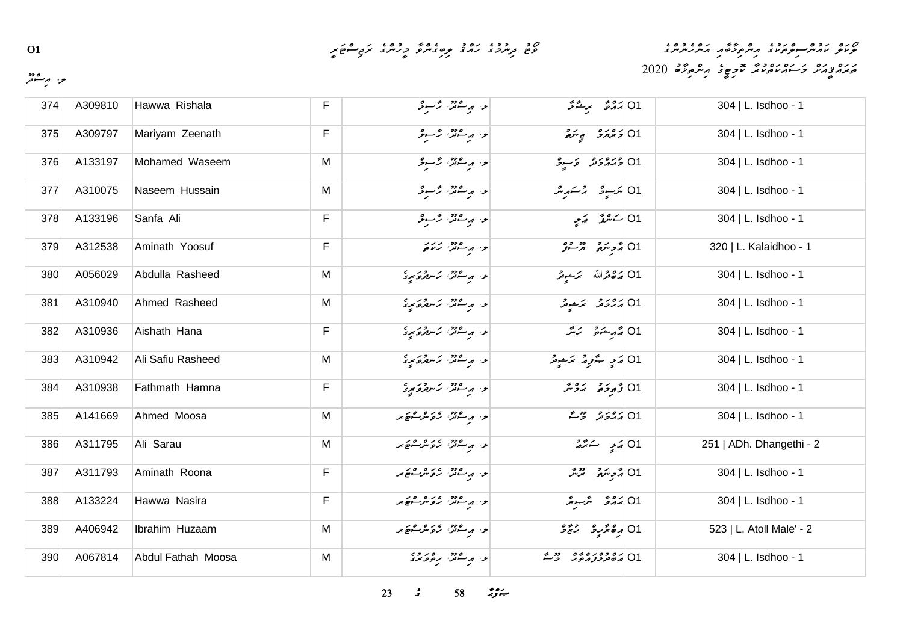*sCw7q7s5w7m< o<n9nOoAw7o< sCq;mAwBoEw7q<m; wBm;vB* م من المرة المرة المرة المرجع المرجع في المركبة 2020<br>مجم*د المريض المربوط المربع المرجع في المراجع المركبة* 

| 374 | A309810 | Hawwa Rishala      | $\mathsf F$  | ى بەرلىق رىسو                                     | 01 كەمگە ئىم ئىستىگە ئى             | 304   L. Isdhoo - 1      |
|-----|---------|--------------------|--------------|---------------------------------------------------|-------------------------------------|--------------------------|
| 375 | A309797 | Mariyam Zeenath    | F            | ا د اړسکش رژسونو                                  | 01 ك <i>ۇنگەڭ يې ئىگ</i> ۇ          | 304   L. Isdhoo - 1      |
| 376 | A133197 | Mohamed Waseem     | M            | ا دا اور شوش رگسبونو                              | 01 كەندى ئەسبى                      | 304   L. Isdhoo - 1      |
| 377 | A310075 | Naseem Hussain     | M            | ى رىق ئىسۇ                                        | 01] ىترىپەنى - ج.سىر يىل            | 304   L. Isdhoo - 1      |
| 378 | A133196 | Sanfa Ali          | F            | ى بەسىتى ئەسىۋ                                    | 01 ڪشمگر صَعِي                      | 304   L. Isdhoo - 1      |
| 379 | A312538 | Aminath Yoosuf     | $\mathsf{F}$ | و. مەسكى ئەرىر                                    | 01 أُمُّ مِ يَمْهُمْ لِمَ تَرْسُونُ | 320   L. Kalaidhoo - 1   |
| 380 | A056029 | Abdulla Rasheed    | M            | و. من الله كالله كروم من                          | 01 كەھەراللە كرىشوتر                | 304   L. Isdhoo - 1      |
| 381 | A310940 | Ahmed Rasheed      | M            | و. من الله كالله وكريرى                           | 01 كەبۇ <i>كىم تىم تەيەنگە</i>      | 304   L. Isdhoo - 1      |
| 382 | A310936 | Aishath Hana       | $\mathsf F$  | و. ما حقق كالعرض مرة                              | 01 ۾ په شمق تر تر                   | 304   L. Isdhoo - 1      |
| 383 | A310942 | Ali Safiu Rasheed  | M            | و. مرسوس کرس دور د                                | 01 کی بے وگ ترجوٹر                  | 304   L. Isdhoo - 1      |
| 384 | A310938 | Fathmath Hamna     | $\mathsf F$  | و٠ و سافل کاروگروموی                              | 01 زً <sub>ّج</sub> ودَة دَرْسٌ     | 304   L. Isdhoo - 1      |
| 385 | A141669 | Ahmed Moosa        | M            | و . م سوتو، اره ده در<br>و . م سوتو، ارد سوسوی بر | 01 كەبرى تەسىمبىسى ئەسىمب           | 304   L. Isdhoo - 1      |
| 386 | A311795 | Ali Sarau          | M            | و به سنتو، رو در در در                            | 01   رَمِي سَمَّدَتْهُ              | 251   ADh. Dhangethi - 2 |
| 387 | A311793 | Aminath Roona      | F            | و. به سنتو، ترو مرضوع بر                          | 01 م <i>مَّحِ سَعَةَ</i> مَحْسَنَّر | 304   L. Isdhoo - 1      |
| 388 | A133224 | Hawwa Nasira       | $\mathsf F$  | و. به سنتو، ترو مرضوع بر                          | 01 كەشۇ شەھ                         | 304   L. Isdhoo - 1      |
| 389 | A406942 | Ibrahim Huzaam     | M            | و. به سوتو، نرو مهرسون د                          | 01 مەھەمگىرى ئىگى 3                 | 523   L. Atoll Male' - 2 |
| 390 | A067814 | Abdul Fathah Moosa | M            | و. مرسوس رود و ،                                  | 01 كەھەردە بەر بەر يە               | 304   L. Isdhoo - 1      |

**23** *s* **58** *n***<sub>y</sub> <b>***n*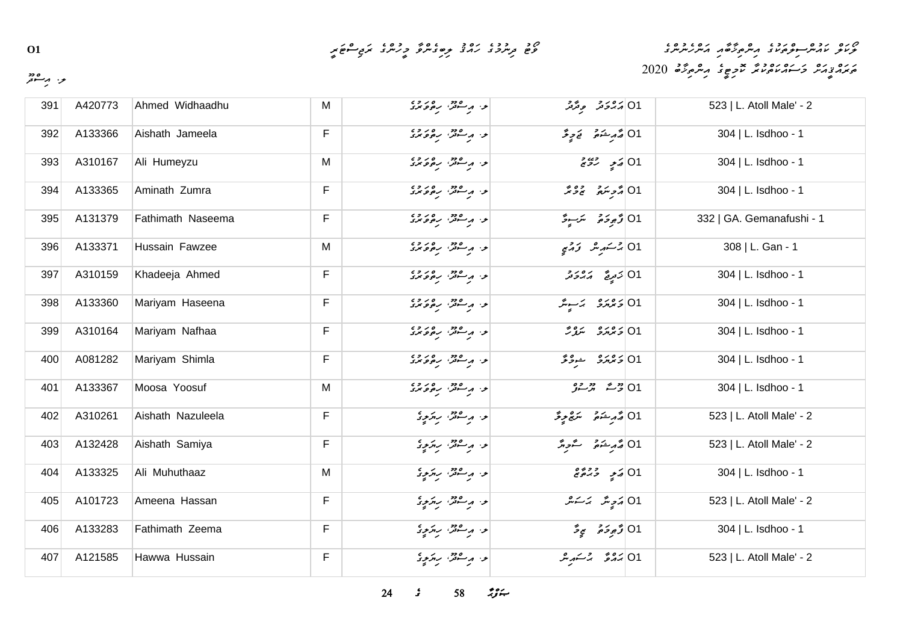*sCw7q7s5w7m< o<n9nOoAw7o< sCq;mAwBoEw7q<m; wBm;vB* م من المرة المرة المرة المرجع المرجع في المركبة 2020<br>مجم*د المريض المربوط المربع المرجع في المراجع المركبة* 

| 391 | A420773 | Ahmed Widhaadhu   | M           | و پر دور رورو           | 01   <i>مَہْدُدَ</i> مْ وِمُّہْ     | 523   L. Atoll Male' - 2  |
|-----|---------|-------------------|-------------|-------------------------|-------------------------------------|---------------------------|
| 392 | A133366 | Aishath Jameela   | F           | و. پرسنتر، رورور        | 01 أَمَّەبِ شَمَّةً ۖ فَيَحِرَّدُ   | 304   L. Isdhoo - 1       |
| 393 | A310167 | Ali Humeyzu       | M           | و٠ در ٥٥٠ روه و٢        | 01 کچ رقيع ج                        | 304   L. Isdhoo - 1       |
| 394 | A133365 | Aminath Zumra     | F           | و. برسیس ره دره         | 01 أُمُّ مِسَمَّدٍ مِنْ مِنْ مِنْ   | 304   L. Isdhoo - 1       |
| 395 | A131379 | Fathimath Naseema | $\mathsf F$ | و پرسنگ ره دوه          | 01 رَّجِودَةُ سَرَسٍوَّ             | 332   GA. Gemanafushi - 1 |
| 396 | A133371 | Hussain Fawzee    | M           | و. پرسنتر، رورور        | 01 كەسئەرىش ئەرقمىي                 | 308   L. Gan - 1          |
| 397 | A310159 | Khadeeja Ahmed    | F           | و. مرحص ره د د ،        | 01 كَتَعِيقٌ      مَكْ دَمَّرٌ      | 304   L. Isdhoo - 1       |
| 398 | A133360 | Mariyam Haseena   | F           | و به سنتر، رود و ،      | 01 كى ئۇچرى ئىسىدىگە                | 304   L. Isdhoo - 1       |
| 399 | A310164 | Mariyam Nafhaa    | F           | و. برسیس ره دره         | 01 كەبىر بىر ئىستىر شەرب            | 304   L. Isdhoo - 1       |
| 400 | A081282 | Mariyam Shimla    | F           | و. پرسنتر، رەدى دە      | $5.32 \div 5.01$ خوڅ                | 304   L. Isdhoo - 1       |
| 401 | A133367 | Moosa Yoosuf      | M           | و. پرسنتر، رەدى دە      | 01 تۇشق تەرجىتۇ                     | 304   L. Isdhoo - 1       |
| 402 | A310261 | Aishath Nazuleela | F           | و. رسمن باروء           | 01 مۇرىشقى سىھ يوق                  | 523   L. Atoll Male' - 2  |
| 403 | A132428 | Aishath Samiya    | F           | ا د اور ۱۳۵۵ روز در د   | 01 مُ مِسْدَمْ مُ سُمْحِ مَّرْ      | 523   L. Atoll Male' - 2  |
| 404 | A133325 | Ali Muhuthaaz     | M           | و. رسانش ریزوی          | $\sim$ 10 كتابر - 23.5 كتابر $\sim$ | 304   L. Isdhoo - 1       |
| 405 | A101723 | Ameena Hassan     | F           | و ، مرتقل روکوی         | 01 كەچ ئىلى ئەسكىلى                 | 523   L. Atoll Male' - 2  |
| 406 | A133283 | Fathimath Zeema   | F           | و روده رمزده            | 01 <i>وُّجِودَة</i> بِيءً           | 304   L. Isdhoo - 1       |
| 407 | A121585 | Hawwa Hussain     | F           | و ، راستانگر، رامز پروژ | 01 كەشرق بەستەپەنلە                 | 523   L. Atoll Male' - 2  |

**24** *s* **58** *n***<sub>3</sub> <b>***n*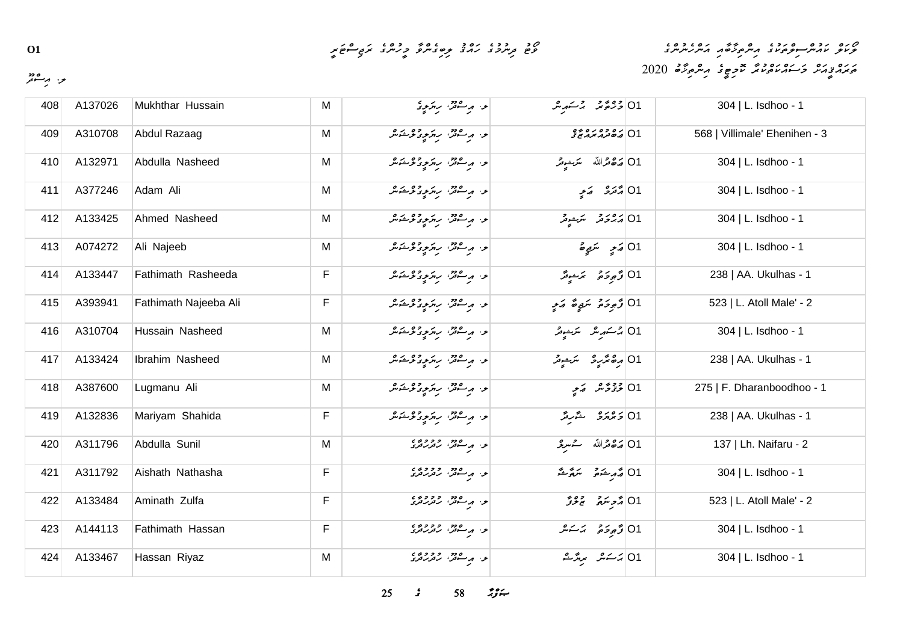*sCw7q7s5w7m< o<n9nOoAw7o< sCq;mAwBoEw7q<m; wBm;vB* م من المسجد المسجد المسجد المسجد المسجد العام 2020<br>مسجد المسجد المسجد المسجد المسجد المسجد المسجد المسجد المسجد ال

| 408 | A137026 | Mukhthar Hussain      | M           | و ، را مادر ار مرکز دی                  | 01 ئۇيۇتمە بۇ شەرىئە                       | 304   L. Isdhoo - 1           |
|-----|---------|-----------------------|-------------|-----------------------------------------|--------------------------------------------|-------------------------------|
| 409 | A310708 | Abdul Razaag          | M           | و ، من مشتر المرکز و استفار             | 01 كەھەممەمبۇ                              | 568   Villimale' Ehenihen - 3 |
| 410 | A132971 | Abdulla Nasheed       | M           | و رسان رود دوسکار                       | 01 كەھەراللە     مترى <u>س</u> وتر         | 304   L. Isdhoo - 1           |
| 411 | A377246 | Adam Ali              | M           | و ، رود. رېزو دوغه ک                    | 01 مُرترق صَعِ                             | 304   L. Isdhoo - 1           |
| 412 | A133425 | Ahmed Nasheed         | M           | و رسن روود وشده.                        | 01 <i>مُ بُرْدَ مُرْ سُرْحِينْرِ مُرْ</i>  | 304   L. Isdhoo - 1           |
| 413 | A074272 | Ali Najeeb            | M           | و . م ساور مرکز و دیگر مگر              | 01 <i>ھَ جِ</i> سَمَعِ صَح                 | 304   L. Isdhoo - 1           |
| 414 | A133447 | Fathimath Rasheeda    | F           | و . م ساور مرکز و دیگر مگر              | 01 گۇجۇڭمۇ ئىمىشىڭر                        | 238   AA. Ukulhas - 1         |
| 415 | A393941 | Fathimath Najeeba Ali | F           | و . م سائل بهرو د و شکار                | 01 <i>وُّجِوَدَهُ</i> سَمِعٍ قَدَمٍ        | 523   L. Atoll Male' - 2      |
| 416 | A310704 | Hussain Nasheed       | M           | و. رئيس برگرو ووڪس                      | 01   پرسکور مگر سور مگر میں تھا<br>مرکز ہے | 304   L. Isdhoo - 1           |
| 417 | A133424 | Ibrahim Nasheed       | M           | و ، رود. رېزو دوغه ک                    | 01 م <i>وڭ مگرى</i> ھەمبۇمى                | 238   AA. Ukulhas - 1         |
| 418 | A387600 | Lugmanu Ali           | M           | و . م ساور مرکز و دیگر مگر              | 01 جۇ <i>ۋۇنگە ب<sub>ەك</sub>ى</i> ر       | 275   F. Dharanboodhoo - 1    |
| 419 | A132836 | Mariyam Shahida       | F           | و ، مرحق رېزو دو شکړ                    | 01 كەندىرى ھەرىگە                          | 238   AA. Ukulhas - 1         |
| 420 | A311796 | Abdulla Sunil         | M           | و٠ د مشتمل روووه                        | 01 كەچ قەللە سىمب <i>ىرى</i>               | 137   Lh. Naifaru - 2         |
| 421 | A311792 | Aishath Nathasha      | F           | و٠ پر دوو ووووه د<br>د پر سافر، رفزرفری | 01 مُ مِ حَمَّةٍ مَعَمَّدَةٌ.              | 304   L. Isdhoo - 1           |
| 422 | A133484 | Aminath Zulfa         | $\mathsf F$ | و٠ در ٥٥٥ - وووړ ،<br>و٠ درستن          | 01 مُ <i>جِينَ جَ</i> وَ وَ                | 523   L. Atoll Male' - 2      |
| 423 | A144113 | Fathimath Hassan      | $\mathsf F$ | و٠ د سردو، وووړي<br>و٠ د سردو، رتورتوي  | 01 زٌموِچَهُ بَرَسَىْر                     | 304   L. Isdhoo - 1           |
| 424 | A133467 | Hassan Riyaz          | M           | و٠ در ٥٥٥ - ووون<br>و٠ درستين رتورتور   | 01 كەسكەنلەر بىرچە شە                      | 304   L. Isdhoo - 1           |

 $25$  *s*  $58$  *n***<sub>3</sub>** *n*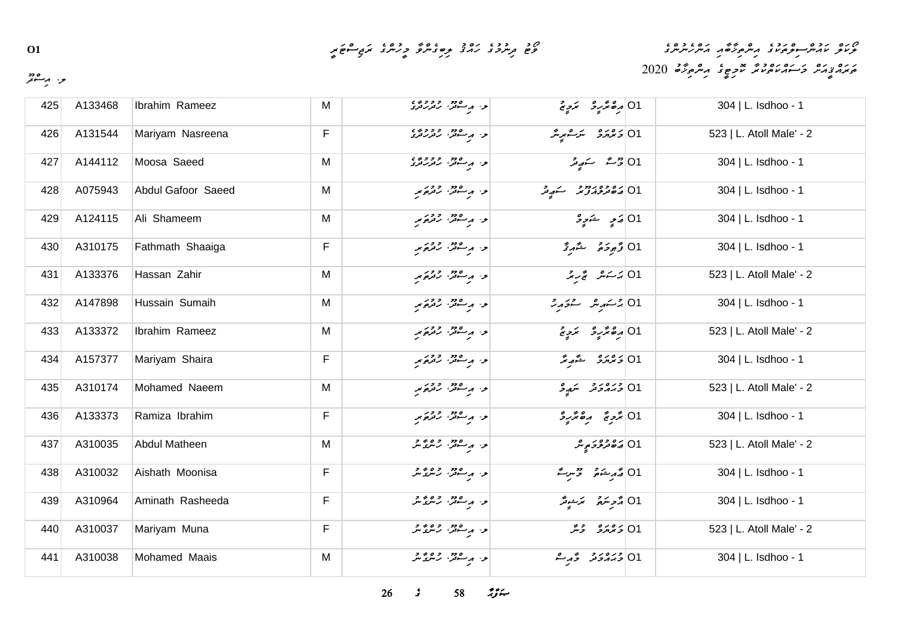*sCw7q7s5w7m< o<n9nOoAw7o< sCq;mAwBoEw7q<m; wBm;vB* م من المرة المرة المرة المرجع المرجع في المركبة 2020<br>مجم*د المريض المربوط المربع المرجع في المراجع المركبة* 

| 425 | A133468 | Ibrahim Rameez     | M           | و۰ در ۱۶۵۵ وووړي<br>و۰ درسونل رتورونون | 01 رەڭزېر ئىچ ئى              | 304   L. Isdhoo - 1      |
|-----|---------|--------------------|-------------|----------------------------------------|-------------------------------|--------------------------|
| 426 | A131544 | Mariyam Nasreena   | F           | و٠ در ٥٥٥ - وووړ                       | 01 كەنگەر ئەس ئىر ئىس ئەس     | 523   L. Atoll Male' - 2 |
| 427 | A144112 | Moosa Saeed        | M           | و٠ در ٥٥٥ - وووړ                       | 01 جڙئے ڪمپيٽر                | 304   L. Isdhoo - 1      |
| 428 | A075943 | Abdul Gafoor Saeed | M           | و. ما سوتر، رود د                      | 01 كەھىر ئەزەدە سەرپەر        | 304   L. Isdhoo - 1      |
| 429 | A124115 | Ali Shameem        | M           | و. رسمن روور                           | 01 <i>ڇَوِ خوچ</i> و          | 304   L. Isdhoo - 1      |
| 430 | A310175 | Fathmath Shaaiga   | F           | و. رحين روور                           | 01 زَّجِرَةً شَّهرَّةً        | 304   L. Isdhoo - 1      |
| 431 | A133376 | Hassan Zahir       | M           | و. رحمن روور                           | 01   پرسٹر مح پر بٹر          | 523   L. Atoll Male' - 2 |
| 432 | A147898 | Hussain Sumaih     | M           | و. ماساور دور                          | 01 پرستهر شرقه رقم            | 304   L. Isdhoo - 1      |
| 433 | A133372 | Ibrahim Rameez     | M           | و. ما سوفر، رود بر                     | 01 م <i>وڭ ئۇچ ئىچ</i>        | 523   L. Atoll Male' - 2 |
| 434 | A157377 | Mariyam Shaira     | F           | و. رسمن، رود ر                         | 01 كەنگەرنىڭ مەشقەر ئىگە      | 304   L. Isdhoo - 1      |
| 435 | A310174 | Mohamed Naeem      | M           | و. د سوتر، رود د                       | 01  <i>وبروبرو سَه</i> ِ وَ   | 523   L. Atoll Male' - 2 |
| 436 | A133373 | Ramiza Ibrahim     | $\mathsf F$ | و. ما سوفر، رود بر                     | 01 بُرُدِيَّ مِنْ بِرْدِ      | 304   L. Isdhoo - 1      |
| 437 | A310035 | Abdul Matheen      | M           | و. مستقل روه و و                       | 01 كەھەر <i>3 دېمبر</i>       | 523   L. Atoll Male' - 2 |
| 438 | A310032 | Aishath Moonisa    | F           | و. مستقل رقمی مر                       | 01 ۾ پرڪو " وسرگ              | 304   L. Isdhoo - 1      |
| 439 | A310964 | Aminath Rasheeda   | F           | و. مستقرأ رحمة م                       | 01 أَمَّ حِسَمَةٌ مَسْبِقَّهُ | 304   L. Isdhoo - 1      |
| 440 | A310037 | Mariyam Muna       | F           | و. مستقرأ رحمت من                      | 01 كەبۇرگە ئەنگە              | 523   L. Atoll Male' - 2 |
| 441 | A310038 | Mohamed Maais      | M           | و. من قصر ره دور                       | 01 كۇبروگۇر قەرىشە            | 304   L. Isdhoo - 1      |

 $26$  *s* 58 *n***<sub>3</sub> <del>***n***<sub>3</sub>** *n***<sub>1</sub>** *n***<sub>1</sub>**</del>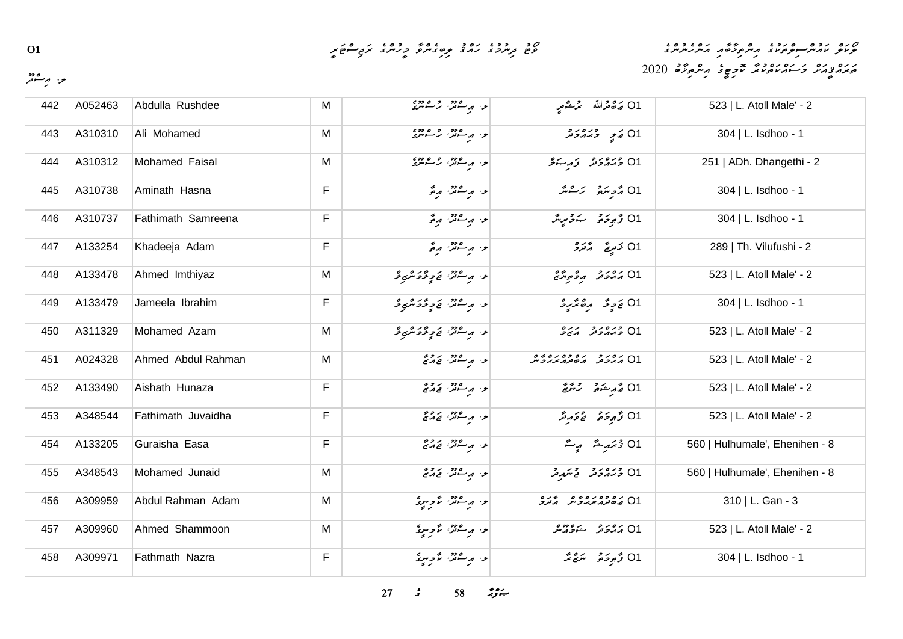*sCw7q7s5w7m< o<n9nOoAw7o< sCq;mAwBoEw7q<m; wBm;vB* م من المرة المرة المرة المرجع المرجع في المركبة 2020<br>مجم*د المريض المربوط المربع المرجع في المراجع المركبة* 

| 442 | A052463 | Abdulla Rushdee    | M            | و. مرسیق روزه ده                           |                                                                                           | 523   L. Atoll Male' - 2       |
|-----|---------|--------------------|--------------|--------------------------------------------|-------------------------------------------------------------------------------------------|--------------------------------|
| 443 | A310310 | Ali Mohamed        | M            | و. پرستور، رژستور،                         | 01 كەيپ ئەير ئەرىخ                                                                        | 304   L. Isdhoo - 1            |
| 444 | A310312 | Mohamed Faisal     | M            | و. پرستور، رژستوری                         | 01 320 30 ق.م مسكو                                                                        | 251   ADh. Dhangethi - 2       |
| 445 | A310738 | Aminath Hasna      | $\mathsf{F}$ | و. برستش برخ                               | 01 مٌ وِ سَرَةٍ كَ سَرْ مَثَر                                                             | 304   L. Isdhoo - 1            |
| 446 | A310737 | Fathimath Samreena | F            | و. برستن برځ                               | 01 ۇمودۇ سەدىرىد                                                                          | 304   L. Isdhoo - 1            |
| 447 | A133254 | Khadeeja Adam      | $\mathsf F$  | و. برسین برخ                               | 01 كَتَمِيعٌ - مُرْتَمَر \$                                                               | 289   Th. Vilufushi - 2        |
| 448 | A133478 | Ahmed Imthiyaz     | M            | و ، روده نوپوکرهپوک                        | 01 كەبرى قىر مەم <i>مەم بى</i>                                                            | 523   L. Atoll Male' - 2       |
| 449 | A133479 | Jameela Ibrahim    | $\mathsf F$  | ى بەللەش قەر ئەر ئىر ئى                    | $\sim$ اءَدٍ وَ مَسْتَدِدِهِ اللَّهِ عَلَيْهِ اللَّهِ اللَّهِ مِنْ اللَّهِ اللَّهُ $\sim$ | 304   L. Isdhoo - 1            |
| 450 | A311329 | Mohamed Azam       | M            | ى بەسىن قەرۇۋىرىم                          | $55.25$ $01$                                                                              | 523   L. Atoll Male' - 2       |
| 451 | A024328 | Ahmed Abdul Rahman | M            | ا د . ادر صحیح از دیم                      | 01 גפני גם כסגם בים                                                                       | 523   L. Atoll Male' - 2       |
| 452 | A133490 | Aishath Hunaza     | F            | و. برستن قادم                              | 01 ۾ پرڪو - شريع ٿو                                                                       | 523   L. Atoll Male' - 2       |
| 453 | A348544 | Fathimath Juvaidha | F            | و . د شهر . و . و .<br>و . د شهر . و . د ج | 01 گەچە ئەھ قەقدىر                                                                        | 523   L. Atoll Male' - 2       |
| 454 | A133205 | Guraisha Easa      | F            | و . د شهر . و . و .<br>و . د شهر . و . د ج | 01 تۇتتىرىش مېڭ                                                                           | 560   Hulhumale', Ehenihen - 8 |
| 455 | A348543 | Mohamed Junaid     | M            | و. برستن قادم                              | 01 دېممرد تو شمېر                                                                         | 560   Hulhumale', Ehenihen - 8 |
| 456 | A309959 | Abdul Rahman Adam  | M            | و. ماسكاني، ماگر سرى                       | 01 رەپرە دەپرە بەرە                                                                       | 310   L. Gan - 3               |
| 457 | A309960 | Ahmed Shammoon     | M            | و. ماسكاني، مگرمبرند                       | 01 كەبروتر بىرە«ھ                                                                         | 523   L. Atoll Male' - 2       |
| 458 | A309971 | Fathmath Nazra     | F            | و. رڪن گوسڪ                                | 01 زَّەپرەَ ئۇستى ئىگە                                                                    | 304   L. Isdhoo - 1            |

*27 sC 58 nNw?mS*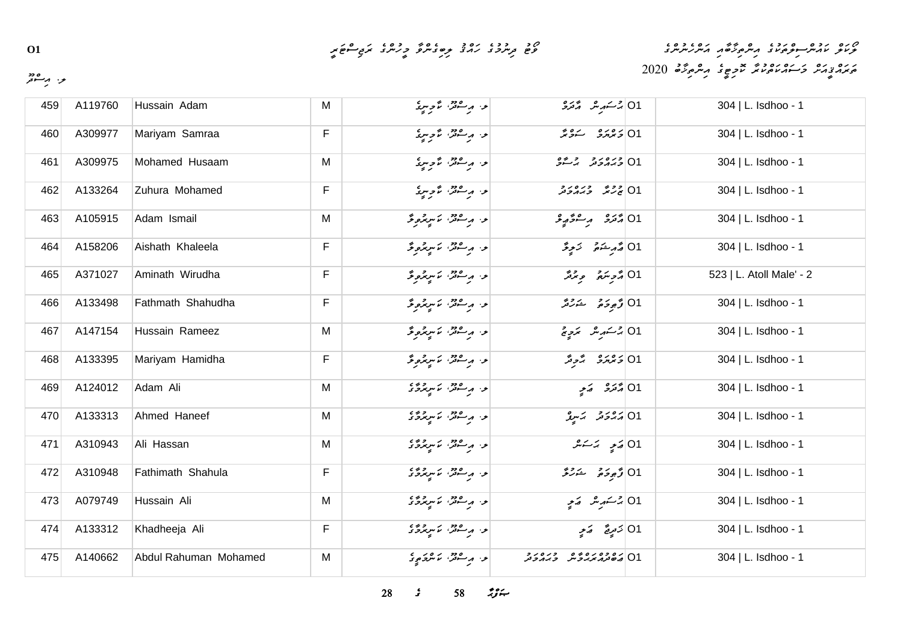*sCw7q7s5w7m< o<n9nOoAw7o< sCq;mAwBoEw7q<m; wBm;vB* م من المرة المرة المرة المرجع المرجع في المركبة 2020<br>مجم*د المريض المربوط المربع المرجع في المراجع المركبة* 

| 459 | A119760 | Hussain Adam          | M            | د. رڪٽر، گھ سرگ         | 01  پرسنهر گرنگرو                  | 304   L. Isdhoo - 1      |
|-----|---------|-----------------------|--------------|-------------------------|------------------------------------|--------------------------|
| 460 | A309977 | Mariyam Samraa        | $\mathsf F$  | و. رڪنڙ، عوسري          | 01 كەنگەر ئىس ئىسى                 | 304   L. Isdhoo - 1      |
| 461 | A309975 | Mohamed Husaam        | M            | ا د ا مرسانژ، اگادیبرنگ | $3 - 2 - 2 - 2 - 01$               | 304   L. Isdhoo - 1      |
| 462 | A133264 | Zuhura Mohamed        | $\mathsf F$  | و. مەسىقى ئۇچرىكى       | 01 يحرثر وبرورو                    | 304   L. Isdhoo - 1      |
| 463 | A105915 | Adam Ismail           | M            | در مرسانش کاسربروگر     | 01   ئۇنىۋە بەرسى <i>ۋەپى</i> ۋ    | 304   L. Isdhoo - 1      |
| 464 | A158206 | Aishath Khaleela      | $\mathsf F$  | و ، را دون کاسرچرو څ    | 01 مۇم شەتر ئىم ئىچە ئى            | 304   L. Isdhoo - 1      |
| 465 | A371027 | Aminath Wirudha       | F            | و. رڪھڙ، سُريگونگ       | 01 أُمَّحِ سَمَّعُ وَ مِمْعًد      | 523   L. Atoll Male' - 2 |
| 466 | A133498 | Fathmath Shahudha     | $\mathsf F$  | و ، را دون کاسرچرو څ    | 01 زَّەپرىق شەرقە                  | 304   L. Isdhoo - 1      |
| 467 | A147154 | Hussain Rameez        | M            | و ، را دور ، مسرچونځ    | 01 كەسىھ مەدىپى                    | 304   L. Isdhoo - 1      |
| 468 | A133395 | Mariyam Hamidha       | $\mathsf{F}$ | ىن مەسكى، ئاسىرىگرىز گ  | 01 كەبھەر ئەبەر ئى                 | 304   L. Isdhoo - 1      |
| 469 | A124012 | Adam Ali              | M            | و. رسمن کمپربروی        | 01 جُمَدَّدُ - رَمِ                | 304   L. Isdhoo - 1      |
| 470 | A133313 | Ahmed Haneef          | M            | و. رسان کامپروی         |                                    | 304   L. Isdhoo - 1      |
| 471 | A310943 | Ali Hassan            | M            | و. رقم دور دور          | 01 كەيپ - ئەسكەنلە                 | 304   L. Isdhoo - 1      |
| 472 | A310948 | Fathimath Shahula     | F            | و. در دود. ناسرپروی     | 01 زَّەپِرَةْ شَرْرْدَّ            | 304   L. Isdhoo - 1      |
| 473 | A079749 | Hussain Ali           | M            | و. رسمن کمپربروی        | 01 پرڪيريش <i>پڌي</i>              | 304   L. Isdhoo - 1      |
| 474 | A133312 | Khadheeja Ali         | $\mathsf F$  | و. من دور کامبربروی     | 01 كَتْمِيعٌ - صَعِي               | 304   L. Isdhoo - 1      |
| 475 | A140662 | Abdul Rahuman Mohamed | M            | ر مستقر، متفرق و د      | 01 <mark>" ۋە ئەرەك ئەرەر د</mark> | 304   L. Isdhoo - 1      |

*28 sC 58 nNw?mS*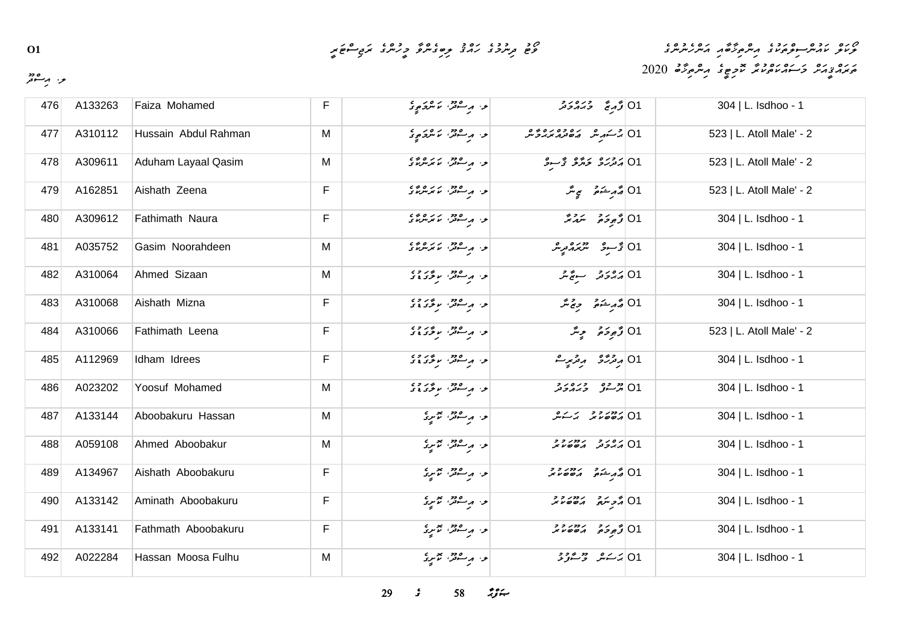*sCw7q7s5w7m< o<n9nOoAw7o< sCq;mAwBoEw7q<m; wBm;vB* م من المرة المرة المرة المرجع المرجع في المركبة 2020<br>مجم*د المريض المربوط المربع المرجع في المراجع المركبة* 

| 476 | A133263 | Faiza Mohamed        | $\mathsf F$ | د په حدود کامرد کام     | 01 <i>ؤم</i> ِيحَ   د <sup>ې</sup> رم <i>دو</i> نر | 304   L. Isdhoo - 1      |
|-----|---------|----------------------|-------------|-------------------------|----------------------------------------------------|--------------------------|
| 477 | A310112 | Hussain Abdul Rahman | M           | و رقب تاردو ک           | 01 كەسكىرىش كەھەرمەمەر 2 م                         | 523   L. Atoll Male' - 2 |
| 478 | A309611 | Aduham Layaal Qasim  | M           | و. مرسوس متر مده وه     | 01 كەنزىرى ئەرگە ئى-م                              | 523   L. Atoll Male' - 2 |
| 479 | A162851 | Aishath Zeena        | F           | و. ما حود المما بر ۱۳۵۵ | 01 ۾ پرڪنھ <sub>مج</sub> يئر                       | 523   L. Atoll Male' - 2 |
| 480 | A309612 | Fathimath Naura      | F           | و. به حقق المتمامات     | 01 زَّەپرەَ مَنْ مَدْ مَدْ                         | 304   L. Isdhoo - 1      |
| 481 | A035752 | Gasim Noorahdeen     | M           | و. ما حود المما بر ۱۳۵۵ | 01 ت <sub>خ</sub> سوف <i>ت متمد م</i> رینگر        | 304   L. Isdhoo - 1      |
| 482 | A310064 | Ahmed Sizaan         | M           | ی پرے پڑی بانی دی       | 01 كەبرى ئەس سونتى ئىر                             | 304   L. Isdhoo - 1      |
| 483 | A310068 | Aishath Mizna        | $\mathsf F$ | ی پره ده بوده           | 01 ۾ م شم صحي مرض                                  | 304   L. Isdhoo - 1      |
| 484 | A310066 | Fathimath Leena      | F           | ى بەرەپىقى بەنۇر دە     | 01 <i>ؤوخو چ</i> ئر                                | 523   L. Atoll Male' - 2 |
| 485 | A112969 | Idham Idrees         | F           | ی دیگری بوتروی          | 01  موقرئزو   موقرمریٹ                             | 304   L. Isdhoo - 1      |
| 486 | A023202 | Yoosuf Mohamed       | M           | ى بەرەپىقى بەنۇر دە     | 01 تېرىنۇ بەيرە ئەر                                | 304   L. Isdhoo - 1      |
| 487 | A133144 | Aboobakuru Hassan    | M           | و. مرحص کامری           | $22220$ $101$                                      | 304   L. Isdhoo - 1      |
| 488 | A059108 | Ahmed Aboobakur      | M           | و . مرت و . م بری       | 222222222101                                       | 304   L. Isdhoo - 1      |
| 489 | A134967 | Aishath Aboobakuru   | F           | و ، مرحص عربی           | $2222$ مُصِدَمُ مَقْصَلَة                          | 304   L. Isdhoo - 1      |
| 490 | A133142 | Aminath Aboobakuru   | F           | و به سه د سور           | $23222$ $2422$                                     | 304   L. Isdhoo - 1      |
| 491 | A133141 | Fathmath Aboobakuru  | F           | و ، مرڪوبي عموري        | 01 ژُهِ دَهُ مُقْعَلَمٌ                            | 304   L. Isdhoo - 1      |
| 492 | A022284 | Hassan Moosa Fulhu   | M           | و. در حقر، نوری         | 01 ئەسىر تۇشۇر                                     | 304   L. Isdhoo - 1      |

*29 sC 58 nNw?mS*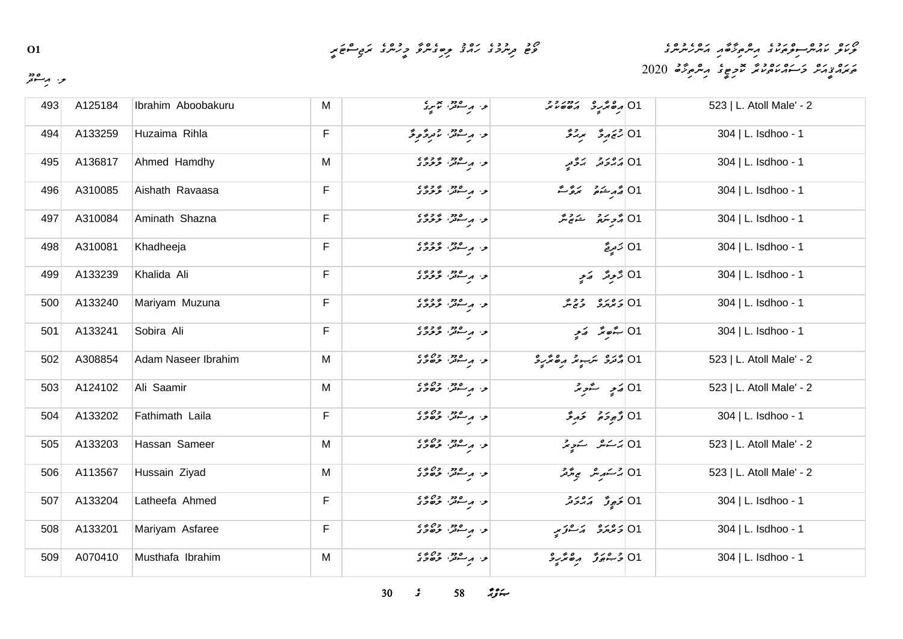*sCw7q7s5w7m< o<n9nOoAw7o< sCq;mAwBoEw7q<m; wBm;vB* م من المرة المرة المرة المرجع المرجع في المركبة 2020<br>مجم*د المريض المربوط المربع المرجع في المراجع المركبة* 

| 493 | A125184 | Ibrahim Aboobakuru  | M           | و . به سود العربي                                                                                                                                                                                                               | 01 مەھزىر مەمەد د                             | 523   L. Atoll Male' - 2 |
|-----|---------|---------------------|-------------|---------------------------------------------------------------------------------------------------------------------------------------------------------------------------------------------------------------------------------|-----------------------------------------------|--------------------------|
| 494 | A133259 | Huzaima Rihla       | F           | و. مەسىق ئىرگە ئورگە ئ                                                                                                                                                                                                          | 01 <i>جنج بوچ</i> گورند                       | 304   L. Isdhoo - 1      |
| 495 | A136817 | Ahmed Hamdhy        | M           | و. پرسش تژودی                                                                                                                                                                                                                   | 01 ك <i>ەندى كى</i> ئەرەپ                     | 304   L. Isdhoo - 1      |
| 496 | A310085 | Aishath Ravaasa     | F           | و. ما مادور المحروري                                                                                                                                                                                                            | 01 أَمَّ مِنْ سَوَّتَهُ مَسَّرَةً             | 304   L. Isdhoo - 1      |
| 497 | A310084 | Aminath Shazna      | F           | و. پر دور وووه                                                                                                                                                                                                                  | 01 أَمَّ حِسَنَةً مُسَوَّتِينَّهُ             | 304   L. Isdhoo - 1      |
| 498 | A310081 | Khadheeja           | F           | و. پرستن، تژووی                                                                                                                                                                                                                 | 01   زَمِرِجٌ                                 | 304   L. Isdhoo - 1      |
| 499 | A133239 | Khalida Ali         | F           | ا د ا در ۱۳۵۵ و وه د کار د کار د کار د کار د کار د کار د کار د کار د کار د کار د کار د کار د کار د کار د کار د<br>افزار د کار کار کار د کار کار د کار د کار د کار د کار د کار د کار د کار د کار کار د کار د کار د کار کار د کار | 01 ڈوِتَر کے دِ                               | 304   L. Isdhoo - 1      |
| 500 | A133240 | Mariyam Muzuna      | $\mathsf F$ | و. پرستن، تژووی                                                                                                                                                                                                                 | 01 كەبۇرگە ئەم ئۇيىگە                         | 304   L. Isdhoo - 1      |
| 501 | A133241 | Sobira Ali          | F           | و. پرسش تخوفری                                                                                                                                                                                                                  | 01 بڻه پُه پُر                                | 304   L. Isdhoo - 1      |
| 502 | A308854 | Adam Naseer Ibrahim | M           | $\begin{bmatrix} 1 & 1 & 1 & 1 & 1 \\ 1 & 1 & 1 & 1 & 1 \\ 1 & 1 & 1 & 1 & 1 \end{bmatrix}$                                                                                                                                     | 01 أَدْمَرُوْ   مَرْسِومْ   مِرْكَة مَّرْرِدْ | 523   L. Atoll Male' - 2 |
| 503 | A124102 | Ali Saamir          | M           | و د سنتر، وه ود                                                                                                                                                                                                                 | 01 کھ پر گھویٹر                               | 523   L. Atoll Male' - 2 |
| 504 | A133202 | Fathimath Laila     | F           | و. د سرد ده د د د                                                                                                                                                                                                               | 01 <i>وَّجِ وَمَعْ تَحْمِدُوَّ</i>            | 304   L. Isdhoo - 1      |
| 505 | A133203 | Hassan Sameer       | M           | و د مرسور وه و د د<br>و د مرسور و د د د                                                                                                                                                                                         | 01   يَرْسَسْ سَوِيْرَ                        | 523   L. Atoll Male' - 2 |
| 506 | A113567 | Hussain Ziyad       | M           | و. د سرد ده ده د                                                                                                                                                                                                                | 01 بر سَمبر مَرْ سِهْرَ مَرْ                  | 523   L. Atoll Male' - 2 |
| 507 | A133204 | Latheefa Ahmed      | F           | $\begin{bmatrix} 1 & 1 & 1 & 1 & 1 \\ 1 & 1 & 1 & 1 & 1 \\ 1 & 1 & 1 & 1 & 1 \end{bmatrix}$                                                                                                                                     | 01 كۇم <sub>ۇ</sub> گە كەندى قىل              | 304   L. Isdhoo - 1      |
| 508 | A133201 | Mariyam Asfaree     | F           | و. د سرگر، وه ود                                                                                                                                                                                                                | 01 كۈچرىزى كەسكەترىپ                          | 304   L. Isdhoo - 1      |
| 509 | A070410 | Musthafa Ibrahim    | M           | د. به سند. ده در<br>  د. به سند. وه در                                                                                                                                                                                          | 01 دممۇق مەھمىر د                             | 304   L. Isdhoo - 1      |

**30** *s* **58** *n***<sub>y</sub><sub>***s***</sub>**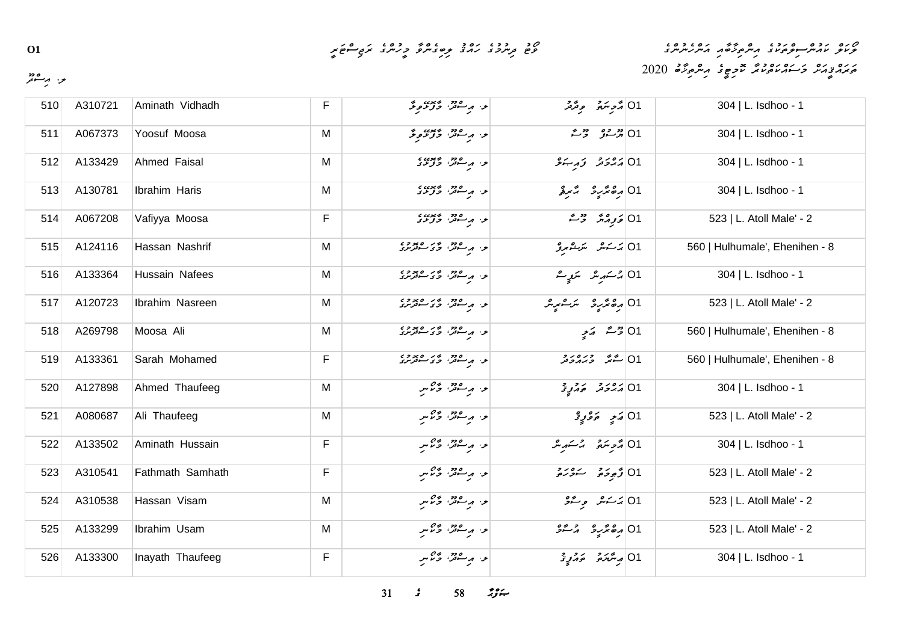*sCw7q7s5w7m< o<n9nOoAw7o< sCq;mAwBoEw7q<m; wBm;vB* م من المرة المرة المرة المرجع المرجع في المركبة 2020<br>مجم*د المريض المربوط المربع المرجع في المراجع المركبة* 

| 510 | A310721 | Aminath Vidhadh  | F           | و. مەسىن ئۇترىمۇ                                         | 01 أُمُّ مِسَمَّدٍ مِعَمَّد                     | 304   L. Isdhoo - 1            |
|-----|---------|------------------|-------------|----------------------------------------------------------|-------------------------------------------------|--------------------------------|
| 511 | A067373 | Yoosuf Moosa     | M           | و ، را دود په پوته و گ                                   | $23$ $32\%$ 01                                  | 304   L. Isdhoo - 1            |
| 512 | A133429 | Ahmed Faisal     | M           | و. پرستن، ویون                                           | 01 كەبرى قەربىگى                                | 304   L. Isdhoo - 1            |
| 513 | A130781 | Ibrahim Haris    | M           | و. پر حود محمدی<br>و. پر حود محوم دی                     | 01 م <i>وڭ ئۇرۇ بۇيدۇ</i>                       | 304   L. Isdhoo - 1            |
| 514 | A067208 | Vafiyya Moosa    | $\mathsf F$ | و. پر دود. محمدی                                         | 01 ۇروپۇ بىق ئىس                                | 523   L. Atoll Male' - 2       |
| 515 | A124116 | Hassan Nashrif   | M           | و . پرساوي اور ۱۶۵۵<br>و . پرساوي اور معروري             | 01 كەسەنلەر سەيھە بىرد                          | 560   Hulhumale', Ehenihen - 8 |
| 516 | A133364 | Hussain Nafees   | M           | و . در سه در از ۲۵ ورو .<br>و . در سه در از در سه در برو | 01  پرستهر مگر سکوچیکس                          | 304   L. Isdhoo - 1            |
| 517 | A120723 | Ibrahim Nasreen  | M           | و . پرسائل، ناد ۱۶۵۵<br>و . پرسائل، ناو سائرس            | 01 مەھ ئەربى - ئىرگىمىرىنى                      | 523   L. Atoll Male' - 2       |
| 518 | A269798 | Moosa Ali        | M           | و . پرساوي اور ۲۵ ورو<br>او . پرساوي اور مصر             | 01 ٿڙشته پر تيمبر                               | 560   Hulhumale', Ehenihen - 8 |
| 519 | A133361 | Sarah Mohamed    | F           | و . مرسوس تر و د و د و د<br>ابو . مرسوس تر و سومرس       | 01 گەنز بەزەر ئە                                | 560   Hulhumale', Ehenihen - 8 |
| 520 | A127898 | Ahmed Thaufeeg   | M           | ى بەسىتى ئەمىر                                           | 01 كەبرى <i>قەربى</i> ئ                         | 304   L. Isdhoo - 1            |
| 521 | A080687 | Ali Thaufeeg     | M           | ى مەھۋە ئەمىر                                            | 01 <i>ھَ جِھ وَو</i> ِيْنَ                      | 523   L. Atoll Male' - 2       |
| 522 | A133502 | Aminath Hussain  | $\mathsf F$ | ىن مەستىق ئۇنتىس                                         | 01 مٌ مِيرَ مِيرَ سَنَ مِيرِ مِير               | 304   L. Isdhoo - 1            |
| 523 | A310541 | Fathmath Samhath | F           | ىن مەسىقى ئۇتئاس                                         | 01 زٌموحَمْ سَوَرَمْ                            | 523   L. Atoll Male' - 2       |
| 524 | A310538 | Hassan Visam     | M           | أور وسفق وحماس                                           | 01   يَرْسَسْ وِسَّنْزْ                         | 523   L. Atoll Male' - 2       |
| 525 | A133299 | Ibrahim Usam     | M           | و ، رحيق وحس                                             | 01 رەپرىي مەشۋ                                  | 523   L. Atoll Male' - 2       |
| 526 | A133300 | Inayath Thaufeeg | F           | ىن مەسىقى ئۇتتىپ                                         | 01 <sub>م</sub> ېشزىق مۇر <i>گ<sub>و</sub>ڭ</i> | 304   L. Isdhoo - 1            |

**31** *s* **58** *n***<sub>y</sub> <b>***n*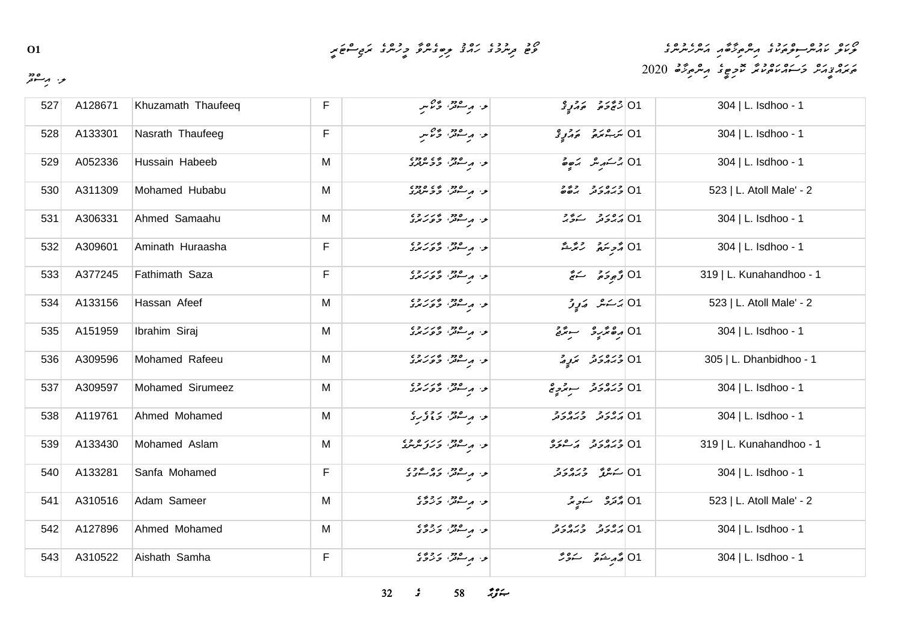*sCw7q7s5w7m< o<n9nOoAw7o< sCq;mAwBoEw7q<m; wBm;vB* م من المرة المرة المرة المرجع المرجع في المركبة 2020<br>مجم*د المريض المربوط المربع المرجع في المراجع المركبة* 

| 527 | A128671 | Khuzamath Thaufeeq | F | ىن مەسكى ئۇتۇس                         | $\left. \begin{array}{cc} \mathcal{L}_{\mathcal{S}} & \mathcal{L}_{\mathcal{S}} \ \mathcal{L}_{\mathcal{S}} & \mathcal{L}_{\mathcal{S}} \ \mathcal{L}_{\mathcal{S}} & \mathcal{L}_{\mathcal{S}} \end{array} \right  \mathcal{O}$ | 304   L. Isdhoo - 1      |
|-----|---------|--------------------|---|----------------------------------------|----------------------------------------------------------------------------------------------------------------------------------------------------------------------------------------------------------------------------------|--------------------------|
| 528 | A133301 | Nasrath Thaufeeg   | F | ى مەشقۇ، ئۇنۇس                         | 01 <i>متر يېڅنو خوړنو</i> په                                                                                                                                                                                                     | 304   L. Isdhoo - 1      |
| 529 | A052336 | Hussain Habeeb     | M | و. برستش و و وو و<br>د برستش و و سربرو | 01 كەسىمبە <i>مەھ</i>                                                                                                                                                                                                            | 304   L. Isdhoo - 1      |
| 530 | A311309 | Mohamed Hubabu     | M | و. برستن، ووسير                        | 222220                                                                                                                                                                                                                           | 523   L. Atoll Male' - 2 |
| 531 | A306331 | Ahmed Samaahu      | M | و. پرستن، وی دروه                      | 01 كەبروتى سۇرتى                                                                                                                                                                                                                 | 304   L. Isdhoo - 1      |
| 532 | A309601 | Aminath Huraasha   | F | و. پرستن، ووربروه                      | 01 مَّ مِ سَمَّد شَمَّسَةَ ۖ                                                                                                                                                                                                     | 304   L. Isdhoo - 1      |
| 533 | A377245 | Fathimath Saza     | F | و. پرستن، وکاربروه                     | 01 ۇجۇڭر شۇ                                                                                                                                                                                                                      | 319   L. Kunahandhoo - 1 |
| 534 | A133156 | Hassan Afeef       | M | و. پرستن، وی روی                       | 01 پرستر پروژ                                                                                                                                                                                                                    | 523   L. Atoll Male' - 2 |
| 535 | A151959 | Ibrahim Siraj      | M | و ، پرستن وی دروه                      | 01 رەمگەر ئەسىمگە                                                                                                                                                                                                                | 304   L. Isdhoo - 1      |
| 536 | A309596 | Mohamed Rafeeu     | M | و. پرستن، وکاربروه                     | 01  <i>\$ بَدُوْدَ تَدَوِرُ</i>                                                                                                                                                                                                  | 305   L. Dhanbidhoo - 1  |
| 537 | A309597 | Mohamed Sirumeez   | M | و. پرستن، وکاربروه                     | 01 در برور به سرمرم ع                                                                                                                                                                                                            | 304   L. Isdhoo - 1      |
| 538 | A119761 | Ahmed Mohamed      | M | و. من من و دوي و                       | 01 كەيمەتر بەيدە تەر                                                                                                                                                                                                             | 304   L. Isdhoo - 1      |
| 539 | A133430 | Mohamed Aslam      | M | و . پرستور، و رو د ،                   | 01 <i>ډېرونه پر شوو</i>                                                                                                                                                                                                          | 319   L. Kunahandhoo - 1 |
| 540 | A133281 | Sanfa Mohamed      | F | و. بر مادود کار وده ود                 | 01 كەشتۇ خەيم دىنر                                                                                                                                                                                                               | 304   L. Isdhoo - 1      |
| 541 | A310516 | Adam Sameer        | M | و. پرستن، وزوی                         | 01 ۾ُمَرَوُ سَمَوِيْر                                                                                                                                                                                                            | 523   L. Atoll Male' - 2 |
| 542 | A127896 | Ahmed Mohamed      | M | و. پرستن، وزوی                         | 01 كەيرى ئەسىر ئەسلىر                                                                                                                                                                                                            | 304   L. Isdhoo - 1      |
| 543 | A310522 | Aishath Samha      | F | و ، پرسنتر، ترزوی                      | 01 ۾ مرڪبھ ڪرمئ                                                                                                                                                                                                                  | 304   L. Isdhoo - 1      |

**32** *s* **58** *n***<sub>y</sub> <b>***n*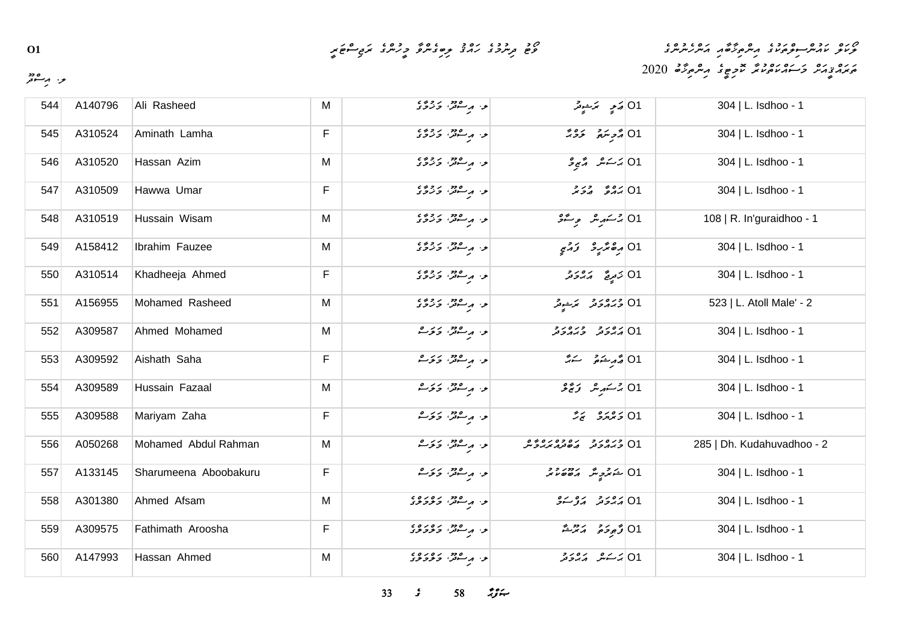*sCw7q7s5w7m< o<n9nOoAw7o< sCq;mAwBoEw7q<m; wBm;vB* م من المرة المرة المرة المرجع المرجع في المركبة 2020<br>مجم*د المريض المربوط المربع المرجع في المراجع المركبة* 

| 544 | A140796 | Ali Rasheed           | M           | و. پرستش وروی                  | 01   رَمِ - بَرَحوِثْر                   | 304   L. Isdhoo - 1        |
|-----|---------|-----------------------|-------------|--------------------------------|------------------------------------------|----------------------------|
| 545 | A310524 | Aminath Lamha         | F           | و. ماستن وزوی                  | 01 مٌ <i>وِسَعْهِ • حَ</i> وْيَّهُ       | 304   L. Isdhoo - 1        |
| 546 | A310520 | Hassan Azim           | M           | و. پرستن، وَزوِّي              | 01 كەسكەش مۇي بى                         | 304   L. Isdhoo - 1        |
| 547 | A310509 | Hawwa Umar            | $\mathsf F$ | كر المرسكين وزوي               | $222$ $2201$                             | 304   L. Isdhoo - 1        |
| 548 | A310519 | Hussain Wisam         | M           | و. پرستن، وزوی                 | 01   پرستهر عربستگ                       | 108   R. In'guraidhoo - 1  |
| 549 | A158412 | Ibrahim Fauzee        | M           | كي پرستن، وزوی                 | 01 م <i>ەھتىب</i> ۇ ئ <i>ەتمى</i>        | 304   L. Isdhoo - 1        |
| 550 | A310514 | Khadheeja Ahmed       | $\mathsf F$ | و ، پرسنگ وروی                 | 01 كَتَعِيقٌ مَ يُرْكَامُ                | 304   L. Isdhoo - 1        |
| 551 | A156955 | Mohamed Rasheed       | M           | كر المرسكين وزوي               | 01 <i>\$ بَرُمْ وَ مَدْ جَرْحُومْر</i> َ | 523   L. Atoll Male' - 2   |
| 552 | A309587 | Ahmed Mohamed         | M           | ا د. برس <sup>ود</sup> ه کرکره | 01 كەبرى ئەسەر ئەرەب                     | 304   L. Isdhoo - 1        |
| 553 | A309592 | Aishath Saha          | F           | كو. مەشقۇ، ئەبۇش               | 01 ۾ په شمھ سنڌ                          | 304   L. Isdhoo - 1        |
| 554 | A309589 | Hussain Fazaal        | M           | و. رحين ووت                    | 01 پرستهر ترتج پی                        | 304   L. Isdhoo - 1        |
| 555 | A309588 | Mariyam Zaha          | F           | ى بەللىق ئەتەش                 | 01 كەبىر كەرگە ئەس                       | 304   L. Isdhoo - 1        |
| 556 | A050268 | Mohamed Abdul Rahman  | M           | ا د. ار سنتر، ترتوس            | 01 כנסני נסכסנסטים                       | 285   Dh. Kudahuvadhoo - 2 |
| 557 | A133145 | Sharumeena Aboobakuru | $\mathsf F$ | ا د. به سوژه کالوک             | 01 خەنزوپىر مەھەمىر                      | 304   L. Isdhoo - 1        |
| 558 | A301380 | Ahmed Afsam           | M           | كر ، ما سه ده کاره ده د        | 01 كەبروتىر كەنزىسكى                     | 304   L. Isdhoo - 1        |
| 559 | A309575 | Fathimath Aroosha     | $\mathsf F$ | كرس المردوع المرورة والمحافظة  | 01 زَّەپ ئەم ئەترىشە                     | 304   L. Isdhoo - 1        |
| 560 | A147993 | Hassan Ahmed          | M           | و ، پرسنتر، ژوروء              | 01 كەستەش كەيمەد تىر                     | 304   L. Isdhoo - 1        |

**33** *s* **58** *n***<sub>y</sub> <b>***n*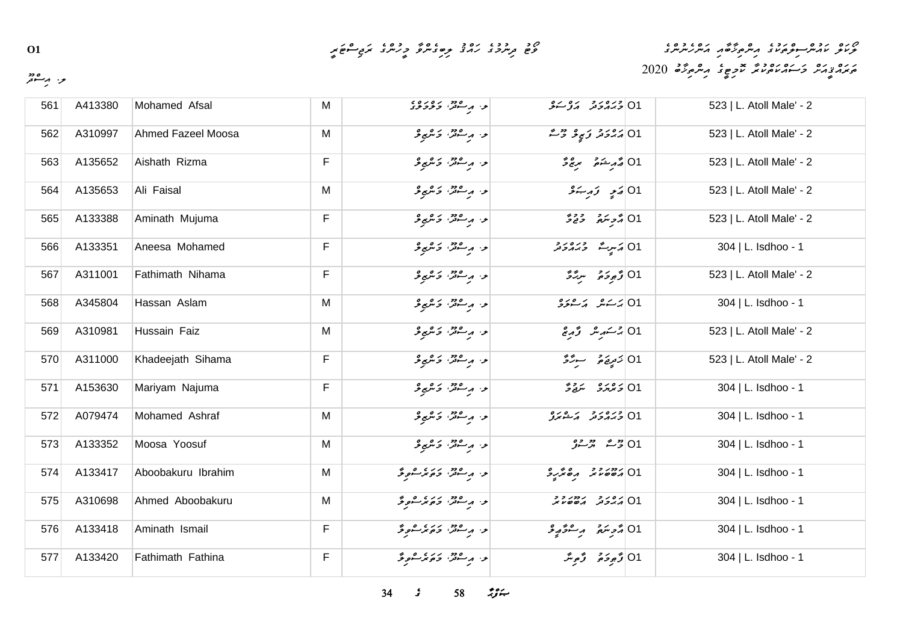*sCw7q7s5w7m< o<n9nOoAw7o< sCq;mAwBoEw7q<m; wBm;vB* م من المرة المرة المرة المرجع المرجع في المركبة 2020<br>مجم*د المريض المربوط المربع المرجع في المراجع المركبة* 

| 561 | A413380 | Mohamed Afsal      | M           | و برسه و و و ده و        | 01 دېم دې مۇشكى                               | 523   L. Atoll Male' - 2 |
|-----|---------|--------------------|-------------|--------------------------|-----------------------------------------------|--------------------------|
| 562 | A310997 | Ahmed Fazeel Moosa | M           | ا د اړېدنگر، کانگرېږي    | 01   ئەندى ئۇ ئۇي قۇ قەمىگە                   | 523   L. Atoll Male' - 2 |
| 563 | A135652 | Aishath Rizma      | $\mathsf F$ | ى بەسىنى كەش ھ           | 01 مۇم شەق <sub>ىم</sub> س <sub>ى</sub> پى ئى | 523   L. Atoll Male' - 2 |
| 564 | A135653 | Ali Faisal         | M           | ى بەسىنى كەش ھ           | 01 كەير   تەمەشكى                             | 523   L. Atoll Male' - 2 |
| 565 | A133388 | Aminath Mujuma     | F           | و. پرستن، وکرم و         | 01 أُدْمِ سَمَّةً وَفَوَّدً                   | 523   L. Atoll Male' - 2 |
| 566 | A133351 | Aneesa Mohamed     | $\mathsf F$ | ى بەسىنى كەش ھ           | 01 كەسرىسى ئەممەكەتر                          | 304   L. Isdhoo - 1      |
| 567 | A311001 | Fathimath Nihama   | $\mathsf F$ | و. رحين وترج و           | 01 <i>وُّجِ دَمْ</i> سِرْدً وَ                | 523   L. Atoll Male' - 2 |
| 568 | A345804 | Hassan Aslam       | M           | و. رستن وسرم و           | 01 كەسىر كەشكەنى                              | 304   L. Isdhoo - 1      |
| 569 | A310981 | Hussain Faiz       | M           | و. مەشقۇ، كەشپەتخ        | 01 كەسىر شىر ئۇرىي                            | 523   L. Atoll Male' - 2 |
| 570 | A311000 | Khadeejath Sihama  | $\mathsf F$ | و. رستن وسرم و           | 01 كَيْرِيَةَ مِنْ رَجَّةً                    | 523   L. Atoll Male' - 2 |
| 571 | A153630 | Mariyam Najuma     | $\mathsf F$ | ى بەسىنى كەش ھ           | 01 كەندىرى بىر ئىچ                            | 304   L. Isdhoo - 1      |
| 572 | A079474 | Mohamed Ashraf     | M           | و. رستن وسرم و           | 01 <i>ۋېزەدى مەشىرۇ</i>                       | 304   L. Isdhoo - 1      |
| 573 | A133352 | Moosa Yoosuf       | M           | ى بەر قەرە كەش كە        | 01 ٿو ته هو شيئو ٿو.                          | 304   L. Isdhoo - 1      |
| 574 | A133417 | Aboobakuru Ibrahim | M           | و ، رسانل وەبرىموگە      | $5.2222$ $-2.2222$                            | 304   L. Isdhoo - 1      |
| 575 | A310698 | Ahmed Aboobakuru   | M           | و. من من وه برره وهو     | 222222222101                                  | 304   L. Isdhoo - 1      |
| 576 | A133418 | Aminath Ismail     | F           | و. من من وه برده و و و گ | 01 أَمُّحِسَمُ مِنْ مِنْ مُحَمَّدٍ مِنْ       | 304   L. Isdhoo - 1      |
| 577 | A133420 | Fathimath Fathina  | F           | و ، رسانل وەبرىموگە      | 01 رَّجِوَۃ وَجِسَّ                           | 304   L. Isdhoo - 1      |

**34** *s* **58** *n***<sub>y</sub> <b>***n*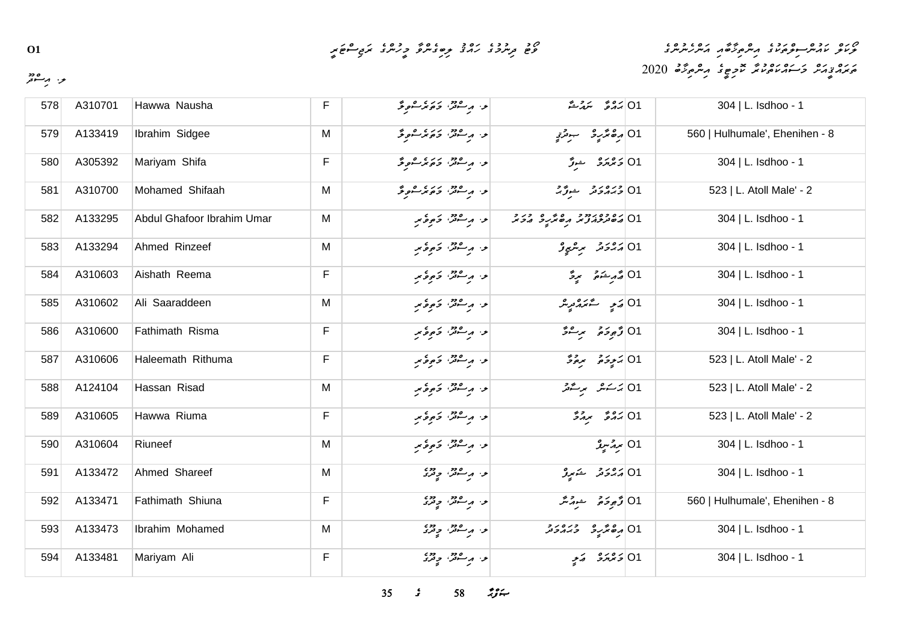*sCw7q7s5w7m< o<n9nOoAw7o< sCq;mAwBoEw7q<m; wBm;vB* م من المرة المرة المرة المرجع المرجع في المركبة 2020<br>مجم*د المريض المربوط المربع المرجع في المراجع المركبة* 

| 578 | A310701 | Hawwa Nausha               | $\mathsf{F}$ | و. من من وه برره وهو         | $2\pi$ $\approx$ 01                 | 304   L. Isdhoo - 1            |
|-----|---------|----------------------------|--------------|------------------------------|-------------------------------------|--------------------------------|
| 579 | A133419 | Ibrahim Sidgee             | M            | و. ماسكان وەيرىسوڭ           | 01  مِرْھَمَّرُرٍ وَ سِيَمْرِّ      | 560   Hulhumale', Ehenihen - 8 |
| 580 | A305392 | Mariyam Shifa              | F            | و. رسمن دەپرىموگە            | 01 كەنگەنگە ئىستىرگە                | 304   L. Isdhoo - 1            |
| 581 | A310700 | Mohamed Shifaah            | M            | و. مەسىن دەمدىسى ئ           | 01 <i>ۇنەۋەتى</i> س <i>وۋ</i> ر     | 523   L. Atoll Male' - 2       |
| 582 | A133295 | Abdul Ghafoor Ibrahim Umar | M            | و ، د حقر، و موفرس           | 01) ړه ده د ده د په په پره په در د  | 304   L. Isdhoo - 1            |
| 583 | A133294 | Ahmed Rinzeef              | M            | و ، رگ <sup>و</sup> ژ، وکوکر | 01 كەبرى قىر بىر بىر بىر بولۇ       | 304   L. Isdhoo - 1            |
| 584 | A310603 | Aishath Reema              | $\mathsf F$  | و روده وهورم                 | 01 ۾ پرڪنمو - س <sub>م</sub> وَّ    | 304   L. Isdhoo - 1            |
| 585 | A310602 | Ali Saaraddeen             | M            | و. پرسنگ وکوکر               | 01 <i>ھ بو سگىتىۋى</i> رى <i>ش</i>  | 304   L. Isdhoo - 1            |
| 586 | A310600 | Fathimath Risma            | $\mathsf F$  | و روده دور                   | 01 رَّجِوحَة مِ سِنْةً              | 304   L. Isdhoo - 1            |
| 587 | A310606 | Haleemath Rithuma          | $\mathsf F$  | و ريدون وکړي                 | 01 كەمچەدىقە ئىمبرەتى               | 523   L. Atoll Male' - 2       |
| 588 | A124104 | Hassan Risad               | M            | و ، پر دور کار کار           | 01 كەسەمىش سېرىشقە                  | 523   L. Atoll Male' - 2       |
| 589 | A310605 | Hawwa Riuma                | F            | و ، رئيس و کامونو مر         | 01 <i>بَدْهُ مَّ</i> مِ <i>دَةٌ</i> | 523   L. Atoll Male' - 2       |
| 590 | A310604 | Riuneef                    | M            | و ، رحمن وَمِوْمِرِ          | 01 مرمز سرپڑ                        | 304   L. Isdhoo - 1            |
| 591 | A133472 | Ahmed Shareef              | M            | ی پر حود وده                 | 01 كەش <sup>ى</sup> رىق خەمرى       | 304   L. Isdhoo - 1            |
| 592 | A133471 | Fathimath Shiuna           | $\mathsf F$  | و. پر شود. ووه               | 01 رُّجِوَۃ ۖ سُنِہُ مَّر           | 560   Hulhumale', Ehenihen - 8 |
| 593 | A133473 | Ibrahim Mohamed            | M            | و برسی ووی                   | 01 رەئزېرى ئەزەر ئ                  | 304   L. Isdhoo - 1            |
| 594 | A133481 | Mariyam Ali                | $\mathsf F$  | و. در حوز، و دو،             | 01   ج <i>امگەن</i> جە ھەمچە        | 304   L. Isdhoo - 1            |

**35** *s* **58** *n***<sub>y</sub> <b>***n*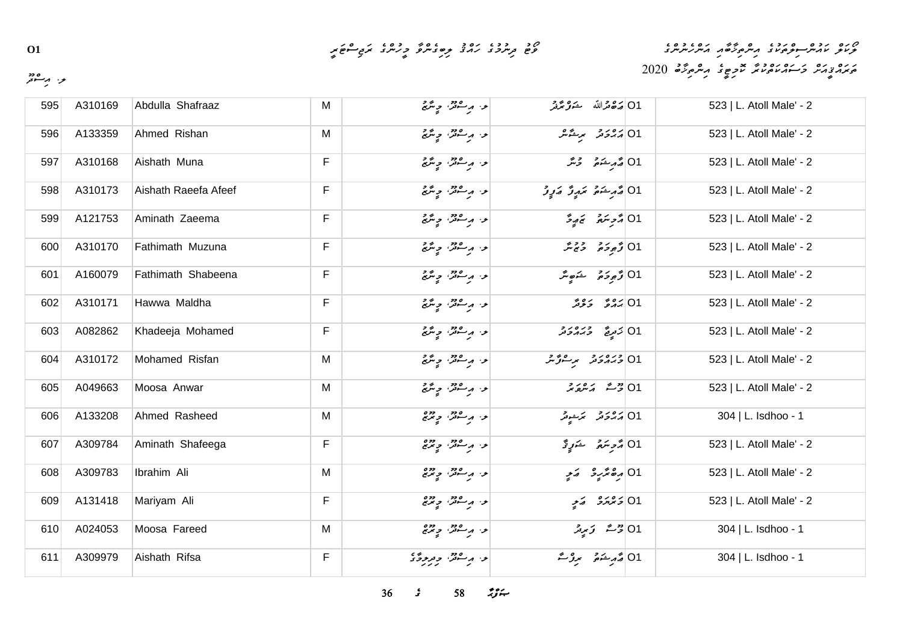*sCw7q7s5w7m< o<n9nOoAw7o< sCq;mAwBoEw7q<m; wBm;vB* م من المرة المرة المرة المرجع المرجع في المركبة 2020<br>مجم*د المريض المربوط المربع المرجع في المراجع المركبة* 

| 595 | A310169 | Abdulla Shafraaz     | M            | ی دیگر دیگر      | O1 كەھەتراللە خ <i>ەۋىتى</i> غر                              | 523   L. Atoll Male' - 2 |
|-----|---------|----------------------|--------------|------------------|--------------------------------------------------------------|--------------------------|
| 596 | A133359 | Ahmed Rishan         | M            | ی دیگر دیگر      | 01 كەبرى تەر ئىرگەش                                          | 523   L. Atoll Male' - 2 |
| 597 | A310168 | Aishath Muna         | F            | ی مرتفق ویڈیج    | 01 مۇم شەمۇ ھىگە                                             | 523   L. Atoll Male' - 2 |
| 598 | A310173 | Aishath Raeefa Afeef | $\mathsf F$  | ی دیگر دیگر      | 01 مٌ مِ حَمَدٍ مَرْمٍ مَ <i>وِ وَ</i>                       | 523   L. Atoll Male' - 2 |
| 599 | A121753 | Aminath Zaeema       | $\mathsf F$  | ی دیگر دیگر      | 01 أُمُّ حِسَمٌ مَجَ مِرَةٌ                                  | 523   L. Atoll Male' - 2 |
| 600 | A310170 | Fathimath Muzuna     | $\mathsf F$  | ی مرتفق ویڈیج    | 01 زَّەپ ئەھم ئەسىمە                                         | 523   L. Atoll Male' - 2 |
| 601 | A160079 | Fathimath Shabeena   | $\mathsf{F}$ | ی دیگر دیگر      | 01 ژُھٖوَمُ شَھٍسً                                           | 523   L. Atoll Male' - 2 |
| 602 | A310171 | Hawwa Maldha         | $\mathsf F$  | ی مرکبی ویژنج    | 01 كەممى ئەر ئەر ئىسىمىتىكى بىر                              | 523   L. Atoll Male' - 2 |
| 603 | A082862 | Khadeeja Mohamed     | $\mathsf F$  | و. مرحقه، ویژهٔ  | 01   كَ <sup>م</sup> ْرِيَّ       وْ يُرْدُوَ مْرْ           | 523   L. Atoll Male' - 2 |
| 604 | A310172 | Mohamed Risfan       | M            | ی مرتفق ویڈیج    | 01 دېرورو برخونک                                             | 523   L. Atoll Male' - 2 |
| 605 | A049663 | Moosa Anwar          | M            | و. مرتفق ویژنج   | 01 تۇشق ئەنگەنگە                                             | 523   L. Atoll Male' - 2 |
| 606 | A133208 | Ahmed Rasheed        | M            | و. مرحص وده      | 01   كەشكە كىم ئىستىر تەركىسى ئىستار 20   كەنتەر ئىستار 2013 | 304   L. Isdhoo - 1      |
| 607 | A309784 | Aminath Shafeega     | $\mathsf F$  | ی پر شود. دوه    | 01 ۾ پرسم شموِرَ گ                                           | 523   L. Atoll Male' - 2 |
| 608 | A309783 | Ibrahim Ali          | M            | و. مرحص وده      | 01 م <i>وڭ ئۇر</i> - م <i>ۇم</i>                             | 523   L. Atoll Male' - 2 |
| 609 | A131418 | Mariyam Ali          | $\mathsf F$  | و. د سوتر، و بوج | 01 ك <i>ېڭىدۇ كەي</i>                                        | 523   L. Atoll Male' - 2 |
| 610 | A024053 | Moosa Fareed         | M            | و ، رحمته و دوه  | 01 تۇشقە كەمپەتمر                                            | 304   L. Isdhoo - 1      |
| 611 | A309979 | Aishath Rifsa        | $\mathsf F$  | و رقص وترووی     | 01 ۾ پرڪنو - برڙ گ                                           | 304   L. Isdhoo - 1      |

**36** *s* **58** *n***<sub>y</sub> <b>***n*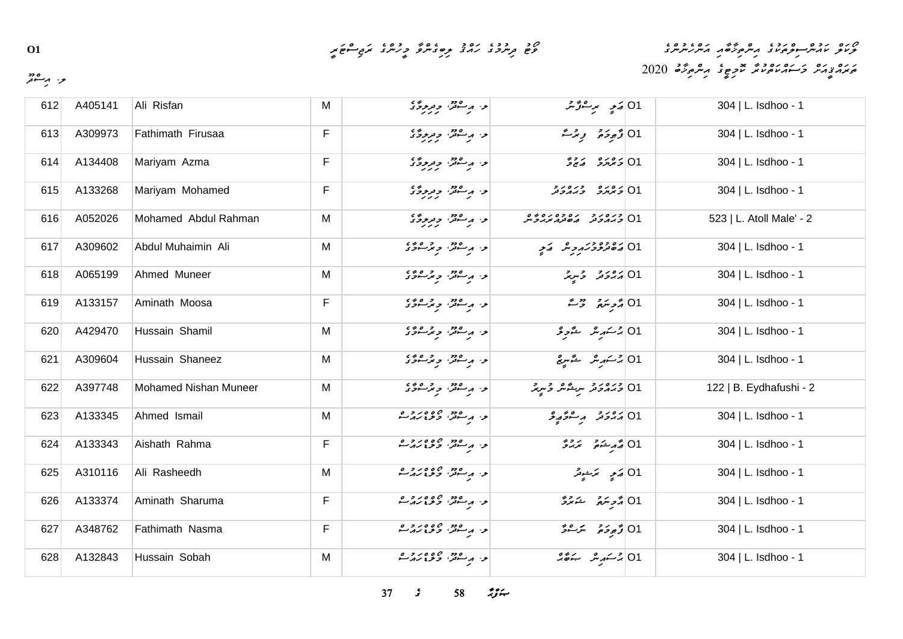*sCw7q7s5w7m< o<n9nOoAw7o< sCq;mAwBoEw7q<m; wBm;vB* م من المرة المرة المرة المرجع المرجع في المركبة 2020<br>مجم*د المريض المربوط المربع المرجع في المراجع المركبة* 

| 612 | A405141 | Ali Risfan                   | M            | و رحمن ومرودی         | 01   رَمِ بِ بِرِحْرٌ تَرُ    | 304   L. Isdhoo - 1      |
|-----|---------|------------------------------|--------------|-----------------------|-------------------------------|--------------------------|
| 613 | A309973 | Fathimath Firusaa            | F            | و رقص وتروی           | 01 ڙَمُوحَمَّر پرمُٿَ         | 304   L. Isdhoo - 1      |
| 614 | A134408 | Mariyam Azma                 | $\mathsf{F}$ | و. من عدد العروجي     | $552 - 575$ 01                | 304   L. Isdhoo - 1      |
| 615 | A133268 | Mariyam Mohamed              | $\mathsf F$  | و رقبي وترووی         | 01 كەممەر قايدە بەر           | 304   L. Isdhoo - 1      |
| 616 | A052026 | Mohamed Abdul Rahman         | M            | و ، رسمن ویروؤی       | 01 دره رو ده ده ده ده و       | 523   L. Atoll Male' - 2 |
| 617 | A309602 | Abdul Muhaimin Ali           | M            | و مسافر وبر وده       | 01 كەھىر <i>335 كەب</i> ر ھېر | 304   L. Isdhoo - 1      |
| 618 | A065199 | Ahmed Muneer                 | M            | و. رسمن وبرسوی        | 01   كەشكە قىلى ئەستىر ئىس    | 304   L. Isdhoo - 1      |
| 619 | A133157 | Aminath Moosa                | $\mathsf F$  | و. دستن وبرسور        | 01 مُ مِينَ حَمْدَ مِنْ       | 304   L. Isdhoo - 1      |
| 620 | A429470 | Hussain Shamil               | M            | و. در دور و در در     | 01 پرستمبر شموی ک             | 304   L. Isdhoo - 1      |
| 621 | A309604 | Hussain Shaneez              | M            | که در دور و ۲۵۰۰      | 01 پرڪمبر هر گھ سيچ           | 304   L. Isdhoo - 1      |
| 622 | A397748 | <b>Mohamed Nishan Muneer</b> | M            | و مسافر وبر وده       | 01  2,23 \$ سِنْدُسْ دُسِكْر  | 122   B. Eydhafushi - 2  |
| 623 | A133345 | Ahmed Ismail                 | M            | كر. به سور، دورو ده   | 01 كەندى ھەم بە ئەھم بۇ       | 304   L. Isdhoo - 1      |
| 624 | A133343 | Aishath Rahma                | $\mathsf F$  | و. به سنتر، ووج زبر و | 01 مُ مِشَعْرِ مَدَرْدً       | 304   L. Isdhoo - 1      |
| 625 | A310116 | Ali Rasheedh                 | M            | و. برسانل، ووورو ه    | 01   رَمِج - سَرَشوش          | 304   L. Isdhoo - 1      |
| 626 | A133374 | Aminath Sharuma              | $\mathsf{F}$ | و. برستن ووورو ه      | 01 أَدَّحِ سَوَ سَنَعْتَدَدُّ | 304   L. Isdhoo - 1      |
| 627 | A348762 | Fathimath Nasma              | $\mathsf{F}$ | و. مشتر، ووورو ه      | 01 رَّجِ دَمَ مَرْ سُرَّ دَ   | 304   L. Isdhoo - 1      |
| 628 | A132843 | Hussain Sobah                | M            | و. مستعل، وووروه      | 01  جرشهر سندھ بر             | 304   L. Isdhoo - 1      |

**37** *s* **58** *n***<sub>y</sub> <b>***n*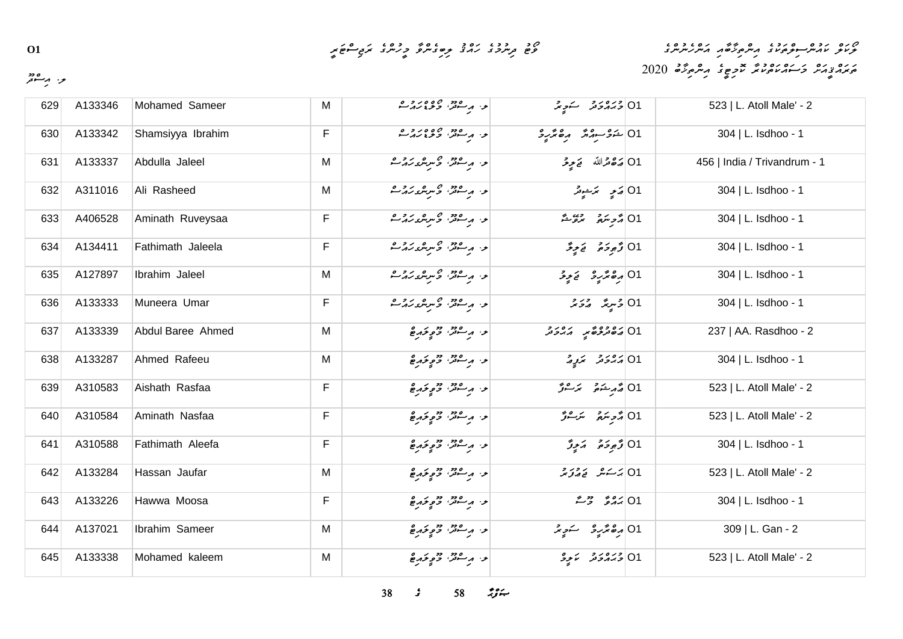*sCw7q7s5w7m< o<n9nOoAw7o< sCq;mAwBoEw7q<m; wBm;vB* م من المرة المرة المرة المرجع المرجع في المركبة 2020<br>مجم*د المريض المربوط المربع المرجع في المراجع المركبة* 

| 629 | A133346 | Mohamed Sameer    | M           | و. مستقر، ووء رو ه    | 01 32,352 سَوِيْر                        | 523   L. Atoll Male' - 2     |
|-----|---------|-------------------|-------------|-----------------------|------------------------------------------|------------------------------|
| 630 | A133342 | Shamsiyya Ibrahim | F           | و. به سنتر، ووج زبر م | 01 خۇسەم مەھرىرى                         | 304   L. Isdhoo - 1          |
| 631 | A133337 | Abdulla Jaleel    | M           | و من من و سر مرد و ه  | O1 \$ەقراللە     قومۇ                    | 456   India / Trivandrum - 1 |
| 632 | A311016 | Ali Rasheed       | M           | و مستعر، وسرهر روم    | 01 أَهَمٍ - مَرْشِيقَر                   | 304   L. Isdhoo - 1          |
| 633 | A406528 | Aminath Ruveysaa  | F           | و. من من و سر مرد و ه |                                          | 304   L. Isdhoo - 1          |
| 634 | A134411 | Fathimath Jaleela | $\mathsf F$ | و من من و سر مرد و ه  | 01 <i>وُّجِ وَءُ</i> تَحَمِّوَ مَ        | 304   L. Isdhoo - 1          |
| 635 | A127897 | Ibrahim Jaleel    | M           | و مستقر و سرهر روم    | 01 <sub>م</sub> ەتمەر قىم يىچى           | 304   L. Isdhoo - 1          |
| 636 | A133333 | Muneera Umar      | $\mathsf F$ | و مستقر و سرهر روم    | 01   جُ سِرَتُہ   مُرْحَمْہ              | 304   L. Isdhoo - 1          |
| 637 | A133339 | Abdul Baree Ahmed | M           | و روسون وو خرم ه      | 01 كەھەر <i>ھەر كەندە</i> تر             | 237   AA. Rasdhoo - 2        |
| 638 | A133287 | Ahmed Rafeeu      | M           | و مستقل ووجده         | 01 كەش <sup>ى</sup> كەن ئىر كەر كەن ئىر  | 304   L. Isdhoo - 1          |
| 639 | A310583 | Aishath Rasfaa    | $\mathsf F$ | و. مستقر، وحوفه ه     | 01 ۾ پرڪو ترڪوڙ                          | 523   L. Atoll Male' - 2     |
| 640 | A310584 | Aminath Nasfaa    | F           | و مستقل ووجده         | 01 مٌ <i>جِي مَبْهِجْ مَدَ شَرَّتْرَ</i> | 523   L. Atoll Male' - 2     |
| 641 | A310588 | Fathimath Aleefa  | $\mathsf F$ | و مستر، وو ومع        | 01 گەچ قىم قىم تەرىخ                     | 304   L. Isdhoo - 1          |
| 642 | A133284 | Hassan Jaufar     | M           | و مستقل ووجده         | 01 كەستەش ئەرتونتى                       | 523   L. Atoll Male' - 2     |
| 643 | A133226 | Hawwa Moosa       | $\mathsf F$ | و ، ما وو و و و و و ه | $23$ $52/01$                             | 304   L. Isdhoo - 1          |
| 644 | A137021 | Ibrahim Sameer    | M           | و رياستر، و و دره     | 01 رەنزىرو سىمبەر                        | 309   L. Gan - 2             |
| 645 | A133338 | Mohamed kaleem    | M           | و . مرحق حمو ترم و    | 01 كەندۇرىق ئەمرى                        | 523   L. Atoll Male' - 2     |

**38** *s* **58** *n***<sub>y</sub> <b>***n*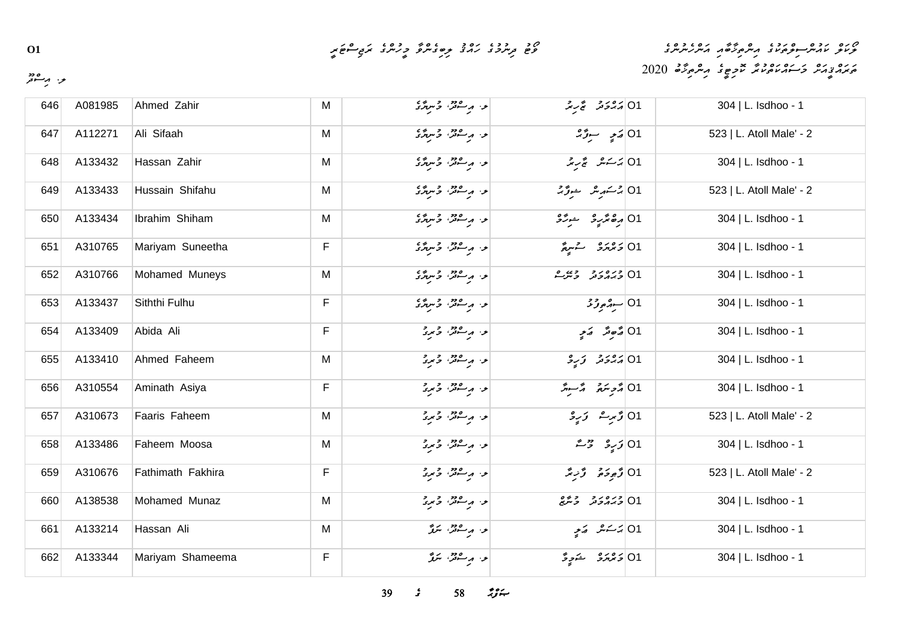*sCw7q7s5w7m< o<n9nOoAw7o< sCq;mAwBoEw7q<m; wBm;vB* م من المرة المرة المرة المرجع المرجع في المركبة 2020<br>مجم*د المريض المربوط المربع المرجع في المراجع المركبة* 

| 646 | A081985 | Ahmed Zahir       | M            | و. رساند، وسرگری | 01 كەبرى قىلى قىلىش              | 304   L. Isdhoo - 1      |
|-----|---------|-------------------|--------------|------------------|----------------------------------|--------------------------|
| 647 | A112271 | Ali Sifaah        | M            | و. رسمن وسرو،    | 01 ړی سوژر                       | 523   L. Atoll Male' - 2 |
| 648 | A133432 | Hassan Zahir      | M            | و. رئيس وسر      | 01   پرسترشہ تج پر تھ            | 304   L. Isdhoo - 1      |
| 649 | A133433 | Hussain Shifahu   | M            | و. رسمن وسرو،    | 01 كەستەر شەرق شەرقى             | 523   L. Atoll Male' - 2 |
| 650 | A133434 | Ibrahim Shiham    | M            | و. رحمن وسرو،    | 01 مۇمگەر ئىمىسى 10 مۇمگە        | 304   L. Isdhoo - 1      |
| 651 | A310765 | Mariyam Suneetha  | $\mathsf F$  | و. رحمن وسروی    | 01 كەنگەر ئەسىرىگە               | 304   L. Isdhoo - 1      |
| 652 | A310766 | Mohamed Muneys    | M            | و. رحمن وسروی    | 01 دېرونو وتر ش                  | 304   L. Isdhoo - 1      |
| 653 | A133437 | Siththi Fulhu     | $\mathsf F$  | و. رئيس وسرگري   | 01 سورموژ ژ                      | 304   L. Isdhoo - 1      |
| 654 | A133409 | Abida Ali         | $\mathsf F$  | و ، رحين و برو   | 01 مُتَّصِمٌ     مَدِّ           | 304   L. Isdhoo - 1      |
| 655 | A133410 | Ahmed Faheem      | M            | و. رحمن ويرو     | 01 كەندى تىرى                    | 304   L. Isdhoo - 1      |
| 656 | A310554 | Aminath Asiya     | $\mathsf{F}$ | و ، رحين و برو   | 01 أَمَّ مِسَمَّدٍ مَنْ مَسِيَّر | 304   L. Isdhoo - 1      |
| 657 | A310673 | Faaris Faheem     | M            | ی در عقر، و برو  | 01 ۇىرىش     زېر ئى              | 523   L. Atoll Male' - 2 |
| 658 | A133486 | Faheem Moosa      | M            | و. د سرس و برو   | 01 تۇرپۇ ئەچىسىگە                | 304   L. Isdhoo - 1      |
| 659 | A310676 | Fathimath Fakhira | $\mathsf F$  | و. پرسش و برو    | 01 وَّجِوَمَةٌ وَّزِيَّرَ        | 523   L. Atoll Male' - 2 |
| 660 | A138538 | Mohamed Munaz     | M            | و. رحمن ويرو     | 01 كەبروكى ئەشقى                 | 304   L. Isdhoo - 1      |
| 661 | A133214 | Hassan Ali        | M            | و. مستش سَمَدٌ   | 01   پرسندھ کی پر                | 304   L. Isdhoo - 1      |
| 662 | A133344 | Mariyam Shameema  | F            | و. برستش سَمَدٌ  | 01 كى يىرتى ھەرگ                 | 304   L. Isdhoo - 1      |

**39** *s* **58** *n***<sub>y</sub> <b>***s*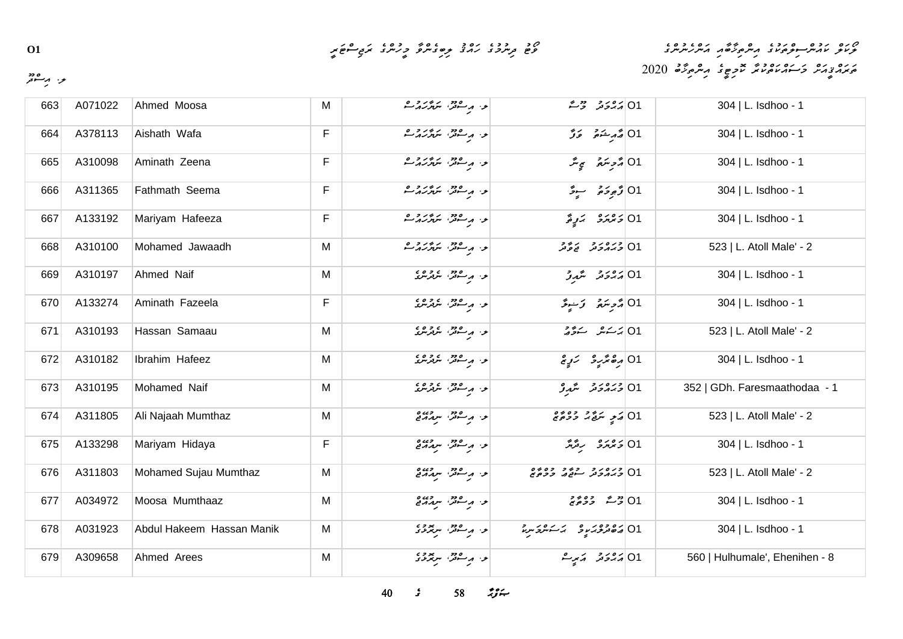*sCw7q7s5w7m< o<n9nOoAw7o< sCq;mAwBoEw7q<m; wBm;vB* م من المرة المرة المرة المرجع المرجع في المركبة 2020<br>مجم*د المريض المربوط المربع المرجع في المراجع المركبة* 

| 663 | A071022 | Ahmed Moosa               | M | و ریاستان شرکرده           | $23.522$   01                                                                                                                               | 304   L. Isdhoo - 1            |
|-----|---------|---------------------------|---|----------------------------|---------------------------------------------------------------------------------------------------------------------------------------------|--------------------------------|
| 664 | A378113 | Aishath Wafa              | F | و ریاستانی شرکرده ک        | 01 م <i>مّه شَمْ وَقُ</i> ّ                                                                                                                 | 304   L. Isdhoo - 1            |
| 665 | A310098 | Aminath Zeena             | F | و ، به سور سرگر در ه       | 01 مٌ <i>وِسَعْہ</i> پِسٌ                                                                                                                   | 304   L. Isdhoo - 1            |
| 666 | A311365 | Fathmath Seema            | F | و ، ما سور سرگر ده         | 01 ۇ <sub>ج</sub> ورۇ س <sub>ې</sub> ۇ                                                                                                      | 304   L. Isdhoo - 1            |
| 667 | A133192 | Mariyam Hafeeza           | F | و. ما سور سور المرکز مر    | 01 ك <i>ر برگرد كرونگ</i> ر                                                                                                                 | 304   L. Isdhoo - 1            |
| 668 | A310100 | Mohamed Jawaadh           | M | و ، ما محمد المتحرك المحمد | 01 دېرونر يځ وگړ                                                                                                                            | 523   L. Atoll Male' - 2       |
| 669 | A310197 | Ahmed Naif                | M | و. مرسوس مروره و           | 01 كەشكەتى بىر ئىگەر تى                                                                                                                     | 304   L. Isdhoo - 1            |
| 670 | A133274 | Aminath Fazeela           | F | و. مرسوس سربرسری           | 01 مٌ وِسَمَعٌ وَسِعَرٌ                                                                                                                     | 304   L. Isdhoo - 1            |
| 671 | A310193 | Hassan Samaau             | M | و. مرتقص مرورهای           | 01 ئەسىئەش سىۋۇر                                                                                                                            | 523   L. Atoll Male' - 2       |
| 672 | A310182 | Ibrahim Hafeez            | M | و. مرسوس مروره و           | 01 <sub>م</sub> ەمگەر ئىرىمى                                                                                                                | 304   L. Isdhoo - 1            |
| 673 | A310195 | Mohamed Naif              | M | و. مستور، شهرسری           | 01 جەيز جۇ ئەر ئىگەر ئى                                                                                                                     | 352   GDh. Faresmaathodaa - 1  |
| 674 | A311805 | Ali Najaah Mumthaz        | M | و. مرسوس سروره و           | 01 كەيپ ئىرق ئەم قام ئ                                                                                                                      | 523   L. Atoll Male' - 2       |
| 675 | A133298 | Mariyam Hidaya            | F | و. مرسوس سرمن ه            | 01 كەنگەر ئۇرگە                                                                                                                             | 304   L. Isdhoo - 1            |
| 676 | A311803 | Mohamed Sujau Mumthaz     | M | و. وسنتي سرديده            | $\frac{1}{2}$ $\frac{1}{2}$ $\frac{1}{2}$ $\frac{1}{2}$ $\frac{1}{2}$ $\frac{1}{2}$ $\frac{1}{2}$ $\frac{1}{2}$ $\frac{1}{2}$ $\frac{1}{2}$ | 523   L. Atoll Male' - 2       |
| 677 | A034972 | Moosa Mumthaaz            | M | و. مرسيقى سرمەم            | 01 تۇشە جۇمۇيى                                                                                                                              | 304   L. Isdhoo - 1            |
| 678 | A031923 | Abdul Hakeem Hassan Manik | M | د ، مرکبود ، سرمروه        | 01 رەمورىرى ئەسەردىن                                                                                                                        | 304   L. Isdhoo - 1            |
| 679 | A309658 | Ahmed Arees               | M | و. ماستور، سربرور،         | 01 كەبرى قىلى كەر بىر ئىس                                                                                                                   | 560   Hulhumale', Ehenihen - 8 |

*40 sC 58 nNw?mS*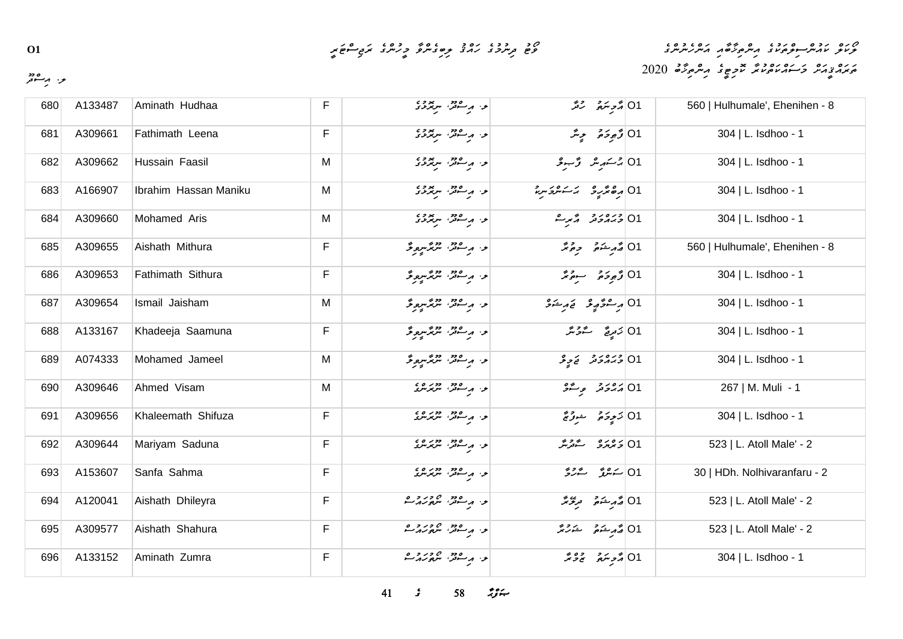*sCw7q7s5w7m< o<n9nOoAw7o< sCq;mAwBoEw7q<m; wBm;vB* م من المرة المرة المرة المرجع المرجع في المركبة 2020<br>مجم*د المريض المربوط المربع المرجع في المراجع المركبة* 

| 680 | A133487 | Aminath Hudhaa        | F | و. رودون سربروی        | 01   مُّحِسَمُ مِنْ مِنْ مِنْ                               | 560   Hulhumale', Ehenihen - 8 |
|-----|---------|-----------------------|---|------------------------|-------------------------------------------------------------|--------------------------------|
| 681 | A309661 | Fathimath Leena       | F | و. رومبور، سربردر      | 01 <i>ؤوخو ڊيڙ</i>                                          | 304   L. Isdhoo - 1            |
| 682 | A309662 | Hussain Faasil        | M | و. رومبور، سربرور،     | 01 پرستهر وگروی                                             | 304   L. Isdhoo - 1            |
| 683 | A166907 | Ibrahim Hassan Maniku | M | و. ماسكاني، سرپروي     | 01 مەھمگرى ئەسكىرى بىر                                      | 304   L. Isdhoo - 1            |
| 684 | A309660 | Mohamed Aris          | M | و. ماساوي سربروه       | 01 ۇرَە دۇر گەرگ                                            | 304   L. Isdhoo - 1            |
| 685 | A309655 | Aishath Mithura       | F | ىر رەھق شۇسمۇ          | 01 ۾ په شمق حي مرغمه                                        | 560   Hulhumale', Ehenihen - 8 |
| 686 | A309653 | Fathimath Sithura     | F | و. رسائل شرگرسره گ     | 01 رقبوحَهْ جَنْ سِنْ مَنْ                                  | 304   L. Isdhoo - 1            |
| 687 | A309654 | Ismail Jaisham        | M | و. رسمن شرگرموگر       | 01 م <sup>ر</sup> مۇم <sub>ە</sub> بۇ   ي <sub>ەم</sub> مۇر | 304   L. Isdhoo - 1            |
| 688 | A133167 | Khadeeja Saamuna      | F | و. مسافر، شرمگرسره و گ | 01 كَتَامِيعٌ - سُنْتَوْسٌرُ -                              | 304   L. Isdhoo - 1            |
| 689 | A074333 | Mohamed Jameel        | M | و. مشتر، شرمگر سره مح  | 01 كەترى 3 قى قى توغ                                        | 304   L. Isdhoo - 1            |
| 690 | A309646 | Ahmed Visam           | M | و. د سرو. دوره د       | 01 <i>22.5 م سگ</i> و                                       | 267   M. Muli - 1              |
| 691 | A309656 | Khaleemath Shifuza    | F | و. پرستور، دوره د      | 01 كَمْ يِوَدَّةً مَسْتَرْبَحَ                              | 304   L. Isdhoo - 1            |
| 692 | A309644 | Mariyam Saduna        | F | و. د سرو. دوره د       | 01 كەنگەر ئەرىگە                                            | 523   L. Atoll Male' - 2       |
| 693 | A153607 | Sanfa Sahma           | F | و. د سور ۲۵۰۰ وروه     | 01 سَعْدٌ سُنْرَدٌ                                          | 30   HDh. Nolhivaranfaru - 2   |
| 694 | A120041 | Aishath Dhileyra      | F | و. مستقل شهر دو ه      | 01 ۾ پرڪنو - مريخونٽر                                       | 523   L. Atoll Male' - 2       |
| 695 | A309577 | Aishath Shahura       | F | و. مشتر، شهر مدور      | 01 مۇم شۇر شەرىمە                                           | 523   L. Atoll Male' - 2       |
| 696 | A133152 | Aminath Zumra         | F | و ریاستور می در د ه    | 01 مَّحِسَمَ جَ حَسَّ                                       | 304   L. Isdhoo - 1            |

*41 sC 58 nNw?mS*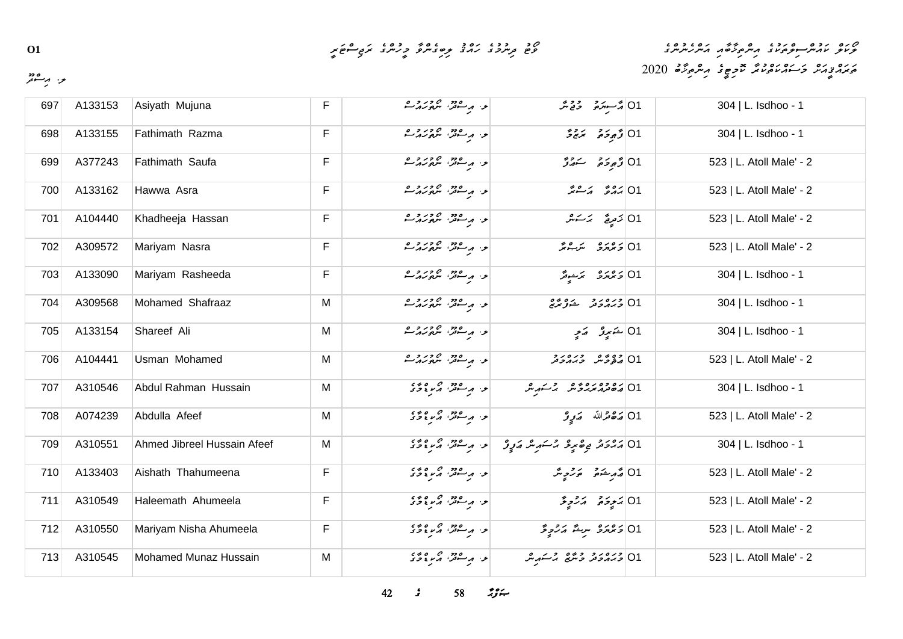*sCw7q7s5w7m< o<n9nOoAw7o< sCq;mAwBoEw7q<m; wBm;vB* م من المرة المرة المرة المرجع المرجع في المركبة 2020<br>مجم*د المريض المربوط المربع المرجع في المراجع المركبة* 

| 697 | A133153 | Asiyath Mujuna              | F | و. مرسوس سرور د ه                                                                                                                                                                                                                                                                                                            | 01 <mark>ئ<i>ۇسىدى خۇ</i>غ</mark> ىگە | 304   L. Isdhoo - 1      |
|-----|---------|-----------------------------|---|------------------------------------------------------------------------------------------------------------------------------------------------------------------------------------------------------------------------------------------------------------------------------------------------------------------------------|---------------------------------------|--------------------------|
| 698 | A133155 | Fathimath Razma             | F | و. وسنتو، مهورو ه                                                                                                                                                                                                                                                                                                            | 01 <i>وُّجِوَدُ بَرَجْ</i> دُّ        | 304   L. Isdhoo - 1      |
| 699 | A377243 | Fathimath Saufa             | F | و. مسائل سهورو ه                                                                                                                                                                                                                                                                                                             | 01 <i>وُّجِ دَمُ</i> سَمْرُوُّ        | 523   L. Atoll Male' - 2 |
| 700 | A133162 | Hawwa Asra                  | F | و. دستو، مهورده                                                                                                                                                                                                                                                                                                              | 01 ئەيمۇ بەشقە                        | 523   L. Atoll Male' - 2 |
| 701 | A104440 | Khadheeja Hassan            | F | و. مشتر، شهر مدوره                                                                                                                                                                                                                                                                                                           | 01] رَمبِيعٌ = بَرَسَرْ لَ            | 523   L. Atoll Male' - 2 |
| 702 | A309572 | Mariyam Nasra               | F | و. مشتر، شوروه                                                                                                                                                                                                                                                                                                               | 01 كەنگەر ئەربە ئە                    | 523   L. Atoll Male' - 2 |
| 703 | A133090 | Mariyam Rasheeda            | F | و. مشتق مهونه م                                                                                                                                                                                                                                                                                                              | 01  52, كارت كرسوند                   | 304   L. Isdhoo - 1      |
| 704 | A309568 | Mohamed Shafraaz            | M | و. مشتر، شهر مدد م                                                                                                                                                                                                                                                                                                           | 01 <i>دېرونو خوړي</i> ږ               | 304   L. Isdhoo - 1      |
| 705 | A133154 | Shareef Ali                 | M | و. مساهر، سهورو ه                                                                                                                                                                                                                                                                                                            | 01 ڪيپو <i>ڻ چ</i> َمِ                | 304   L. Isdhoo - 1      |
| 706 | A104441 | Usman Mohamed               | M | و. مشتر، شهرمدر                                                                                                                                                                                                                                                                                                              | 01 روۋىر بېربەربە                     | 523   L. Atoll Male' - 2 |
| 707 | A310546 | Abdul Rahman Hussain        | M | $\begin{pmatrix} 1 & 0 & 0 & 0 & 0 \\ 0 & 0 & 0 & 0 & 0 \\ 0 & 0 & 0 & 0 & 0 \\ 0 & 0 & 0 & 0 & 0 \\ 0 & 0 & 0 & 0 & 0 \\ 0 & 0 & 0 & 0 & 0 \\ 0 & 0 & 0 & 0 & 0 \\ 0 & 0 & 0 & 0 & 0 \\ 0 & 0 & 0 & 0 & 0 \\ 0 & 0 & 0 & 0 & 0 \\ 0 & 0 & 0 & 0 & 0 \\ 0 & 0 & 0 & 0 & 0 \\ 0 & 0 & 0 & 0 & 0 \\ 0 & 0 & 0 & 0 & 0 \\ 0 & $ | 01   مەھەرمەم مەھ بىر ئىكرىش          | 304   L. Isdhoo - 1      |
| 708 | A074239 | Abdulla Afeef               | M | و. مستقر مروء دي                                                                                                                                                                                                                                                                                                             | O1 كەھىراللە ك <i>ەربى</i>            | 523   L. Atoll Male' - 2 |
| 709 | A310551 | Ahmed Jibreel Hussain Afeef | M | كر. وسكن ويده وي                                                                                                                                                                                                                                                                                                             | 01 كەبرى تو يەھەر ئەسەر سى كەر ۋ      | 304   L. Isdhoo - 1      |
| 710 | A133403 | Aishath Thahumeena          | F | و. مشتر، مهاجو                                                                                                                                                                                                                                                                                                               | 01 مۇم شەمۇر ئ <i>ەرقى</i> تىر        | 523   L. Atoll Male' - 2 |
| 711 | A310549 | Haleemath Ahumeela          | F | و. مشتر، مهاجو                                                                                                                                                                                                                                                                                                               | 01 كيووَة - مَرْوِوَّ                 | 523   L. Atoll Male' - 2 |
| 712 | A310550 | Mariyam Nisha Ahumeela      | F | كر. ما من المعدود المحمد المحمد                                                                                                                                                                                                                                                                                              | 01 كَمْرْتَزْدْ سِتَّە تْرَكْبِرْدَّ  | 523   L. Atoll Male' - 2 |
| 713 | A310545 | Mohamed Munaz Hussain       | M | كر. وسكن ويده وي                                                                                                                                                                                                                                                                                                             | 01 درەرد دىرە برخىرىش                 | 523   L. Atoll Male' - 2 |

*42 s* 58  $23$   $\div$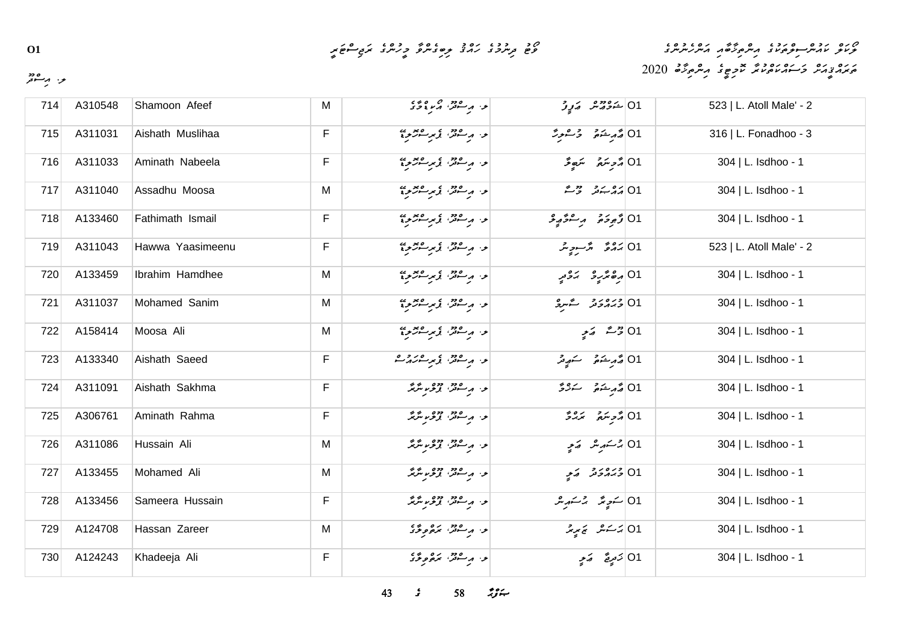*sCw7q7s5w7m< o<n9nOoAw7o< sCq;mAwBoEw7q<m; wBm;vB 2020*<br>*په پوهر وسوډيرونو لومو د موجو د مرمونه* 2020

| 714 | A310548 | Shamoon Afeef    | M | و. پرستن پرسوری          | 01 خ <i>ۇڭ ھۆ</i> ر                    | 523   L. Atoll Male' - 2 |
|-----|---------|------------------|---|--------------------------|----------------------------------------|--------------------------|
| 715 | A311031 | Aishath Muslihaa | F | و ریاده ویرت مرد         | 01   قەرىشمۇ - ئى-شىرىمىتى             | 316   L. Fonadhoo - 3    |
| 716 | A311033 | Aminath Nabeela  | F | و رماده ورموره           | 01 مٌ <i>جِي مَبْهِ مُ</i> مَبِهِ مَحْ | 304   L. Isdhoo - 1      |
| 717 | A311040 | Assadhu Moosa    | M | و رماده ورموسورو،        | 01 كەبر يىقىش خەشىشە                   | 304   L. Isdhoo - 1      |
| 718 | A133460 | Fathimath Ismail | F | و رماده ورمون            | 01 <i>ڙوخۇ بې</i> شۇرېگە               | 304   L. Isdhoo - 1      |
| 719 | A311043 | Hawwa Yaasimeenu | F | و رماده ورموره و         | 01 كَنْدْهُمْ - مُرْسِوِيْرْ.          | 523   L. Atoll Male' - 2 |
| 720 | A133459 | Ibrahim Hamdhee  | M | و رماده ورموده           | 01 <i>مەھگىر ئىمى</i> ر                | 304   L. Isdhoo - 1      |
| 721 | A311037 | Mohamed Sanim    | M | و رماده ورموره           | 01 دېم دېمر شمېر شو                    | 304   L. Isdhoo - 1      |
| 722 | A158414 | Moosa Ali        | M | و رماده ورموسور          | 01 ٿيءَ پي په                          | 304   L. Isdhoo - 1      |
| 723 | A133340 | Aishath Saeed    | F | و ، مەسىق ئۇمرىشىرەك     | 01 مُ مِسْدَمُ کُمَ مِتْر              | 304   L. Isdhoo - 1      |
| 724 | A311091 | Aishath Sakhma   | F | ىز، مەسىقرى تۆتۈرلىگەنگە | $5.32 - 2.2$ $\sim$ 01                 | 304   L. Isdhoo - 1      |
| 725 | A306761 | Aminath Rahma    | F | د. مستقر، بوقوم مترنگه   | 01 مٌ <i>وِ سَهْءُ مَدَدْ \$</i>       | 304   L. Isdhoo - 1      |
| 726 | A311086 | Hussain Ali      | M | و. مەسىن بۇۋرىتىگە       | 01 پرسمبر پر پر                        | 304   L. Isdhoo - 1      |
| 727 | A133455 | Mohamed Ali      | M | د. رحمن بوفرىدىگە        | 01 <i>وُټرو دَوَ</i> کم                | 304   L. Isdhoo - 1      |
| 728 | A133456 | Sameera Hussain  | F | و. مەسىق جۇم ئىگە        | 01  سَوِیز برِسکویٹر                   | 304   L. Isdhoo - 1      |
| 729 | A124708 | Hassan Zareer    | M | و ، ما عقل مره و و د     | 01   پرسٹرش تج پریٹر                   | 304   L. Isdhoo - 1      |
| 730 | A124243 | Khadeeja Ali     | F | و ، ماستش نمکوه و و د    |                                        | 304   L. Isdhoo - 1      |

*43 s* 58  $23$   $\rightarrow$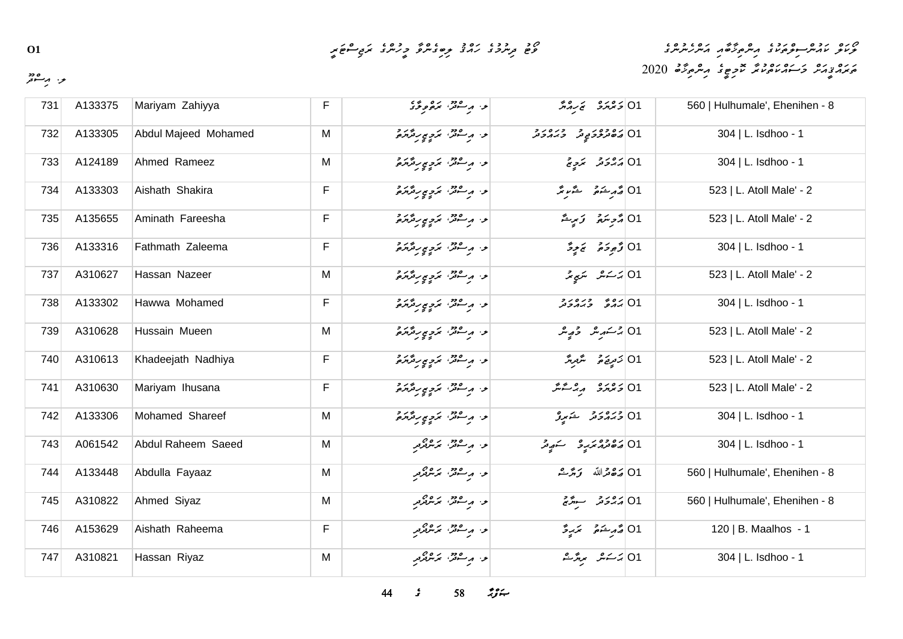*sCw7q7s5w7m< o<n9nOoAw7o< sCq;mAwBoEw7q<m; wBm;vB* م من المرة المرة المرة المرجع المرجع في المركبة 2020<br>مجم*د المريض المربوط المربع المرجع في المراجع المركبة* 

| 731 | A133375 | Mariyam Zahiyya      | F | و ، ما عقل مره و و د           | 01 كى ئىرو كى ئىر ئەنگە           | 560   Hulhumale', Ehenihen - 8 |
|-----|---------|----------------------|---|--------------------------------|-----------------------------------|--------------------------------|
| 732 | A133305 | Abdul Majeed Mohamed | M | و. مستقر، تروپې روگرمزه        | 01 בטינקפיקיה - כמחכת             | 304   L. Isdhoo - 1            |
| 733 | A124189 | Ahmed Rameez         | M | و. من دون مرکب مرکب د          | 01 كەشەك ئىر ئىر                  | 304   L. Isdhoo - 1            |
| 734 | A133303 | Aishath Shakira      | F | و. مرتور، ترویج رفرمزه         | 01 مۇم شۇم ئىشىرىتىر              | 523   L. Atoll Male' - 2       |
| 735 | A135655 | Aminath Fareesha     | F | و٠ و سنتر، نروپه روزوه         | 01 مٌوِسَمٌ وَمِرِثٌ              | 523   L. Atoll Male' - 2       |
| 736 | A133316 | Fathmath Zaleema     | F | و. مرتور، ترویج رفرمزه         | 01 <i>وُّجِ دَمْ</i> گَمَ مِرَدُّ | 304   L. Isdhoo - 1            |
| 737 | A310627 | Hassan Nazeer        | M | و. من دور مرد مرد در د         | 01   ئەسىھ سىپىتى                 | 523   L. Atoll Male' - 2       |
| 738 | A133302 | Hawwa Mohamed        | F | و . مر سوتر ، مرکز بر رفر در و | 01 كەش قىمەد قىر                  | 304   L. Isdhoo - 1            |
| 739 | A310628 | Hussain Mueen        | M | و . مرسوس نمرد بر دارد         | 01  پرستمبر سمح مړينگر            | 523   L. Atoll Male' - 2       |
| 740 | A310613 | Khadeejath Nadhiya   | F | و٠ م سوفر، نروپر مرمزمره       | 01 كَتْمِيعَ هُمْ سُرْبَتْرُ      | 523   L. Atoll Male' - 2       |
| 741 | A310630 | Mariyam Ihusana      | F | و. مرسوس بروپر رورو            | 01 كەندىرى بەيرىشىر               | 523   L. Atoll Male' - 2       |
| 742 | A133306 | Mohamed Shareef      | M | و٠ مرسور، نزد پروگرمره         | 01 ۇرۇۋۇ خەيرۇ                    | 304   L. Isdhoo - 1            |
| 743 | A061542 | Abdul Raheem Saeed   | M | و. مستقر، برندوم               | 01 كەھىركە <i>مكرچى سكوپى</i> تر  | 304   L. Isdhoo - 1            |
| 744 | A133448 | Abdulla Fayaaz       | M | أور مرتشش ترعوهم               | O1 كَەڭ قىرللە ك <b>و</b> گرىشە   | 560   Hulhumale', Ehenihen - 8 |
| 745 | A310822 | Ahmed Siyaz          | M | د . د حقر محمود د              | 01 كەبرى قىر سەھمىي               | 560   Hulhumale', Ehenihen - 8 |
| 746 | A153629 | Aishath Raheema      | F | و. مستقل بره هر                | 01 مَّەمِسْمَعْ - مَدَيدَةَ -     | 120   B. Maalhos - 1           |
| 747 | A310821 | Hassan Riyaz         | M | و. پرستور، برندونور            | 01 كەسكەنگە مېرىگە شە             | 304   L. Isdhoo - 1            |

*44 sC 58 nNw?mS*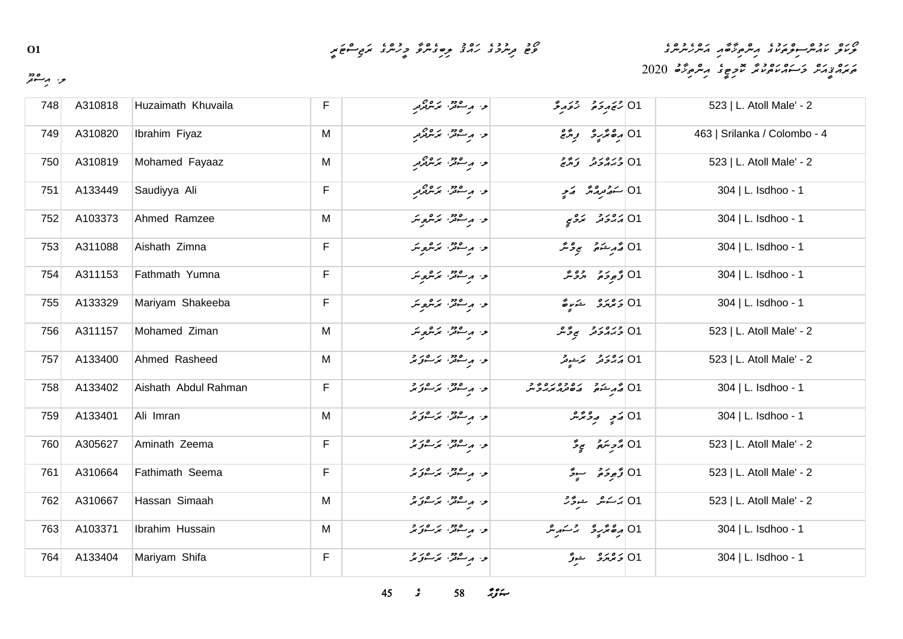*sCw7q7s5w7m< o<n9nOoAw7o< sCq;mAwBoEw7q<m; wBm;vB 2020*<br>*په پوهر وسوډيرونو لومو د موجو د مرمونه* 2020

| 748 | A310818 | Huzaimath Khuvaila   | F | و ، رئىق ئەرەھر             | 01  رُيَم بِرِيَرِ ثَمَ بِرِيَّ            | 523   L. Atoll Male' - 2     |
|-----|---------|----------------------|---|-----------------------------|--------------------------------------------|------------------------------|
| 749 | A310820 | Ibrahim Fiyaz        | M | و. رئيستر، برندور           | 01 مەھەر بەر بورىمى<br>01                  | 463   Srilanka / Colombo - 4 |
| 750 | A310819 | Mohamed Fayaaz       | M | و. ما سوفر، برمامه          | 01 دېرونو زېږ                              | 523   L. Atoll Male' - 2     |
| 751 | A133449 | Saudiyya Ali         | F | و. مستقل، برندوم            | 01 ڪھ مرمگر ڪچي                            | 304   L. Isdhoo - 1          |
| 752 | A103373 | Ahmed Ramzee         | M | و. مشتر، برگرویتر           | 01 كەش <sup>ى</sup> كەش ئىرگەنىي           | 304   L. Isdhoo - 1          |
| 753 | A311088 | Aishath Zimna        | F | و. رئيس ترسموسر             | 01 مەم شىم ئىم ئىگە                        | 304   L. Isdhoo - 1          |
| 754 | A311153 | Fathmath Yumna       | F | و. رئيس ترسموسر             | 01 <i>وُّجِوحَةْ مُ</i> حَمَّدُ            | 304   L. Isdhoo - 1          |
| 755 | A133329 | Mariyam Shakeeba     | F | و رماسی مرکز و              | $64.2.2$ $25.2$ $01$                       | 304   L. Isdhoo - 1          |
| 756 | A311157 | Mohamed Ziman        | M | و. رئيس ترش ترس             | $ 01\rangle$ خ. د د د سم د شر $ 01\rangle$ | 523   L. Atoll Male' - 2     |
| 757 | A133400 | Ahmed Rasheed        | M | ا د ا پر دوره او در د       | 01   كەشكە كىم ئەسمىيە تەر                 | 523   L. Atoll Male' - 2     |
| 758 | A133402 | Aishath Abdul Rahman | F | و. برسین برسویر             |                                            | 304   L. Isdhoo - 1          |
| 759 | A133401 | Ali Imran            | M | و ، پرسه تر کرسوی تر        | 01 <i>ڇَجِ    مِردُ مَ</i> ُسْر            | 304   L. Isdhoo - 1          |
| 760 | A305627 | Aminath Zeema        | F | و ، پرسه تر کرسوی           | 01 مٌوِسَم <sub>َ</sub> مِی گ              | 523   L. Atoll Male' - 2     |
| 761 | A310664 | Fathimath Seema      | F | و. پرستن برسونر             | 01 زَّەپرىق سوڭر                           | 523   L. Atoll Male' - 2     |
| 762 | A310667 | Hassan Simaah        | M | ی پرسه ده برسوی             | 01 كەسكە ئىدۇر                             | 523   L. Atoll Male' - 2     |
| 763 | A103371 | Ibrahim Hussain      | M | د. م <i>ه ساده، برگوی</i> ر | 01 مەھەر بۇ مەسىر بىر                      | 304   L. Isdhoo - 1          |
| 764 | A133404 | Mariyam Shifa        | F | و. پرسه ده برسوس            | 01 ك <i>ر چرنگ جو</i> گر                   | 304   L. Isdhoo - 1          |

*45 sC 58 nNw?mS*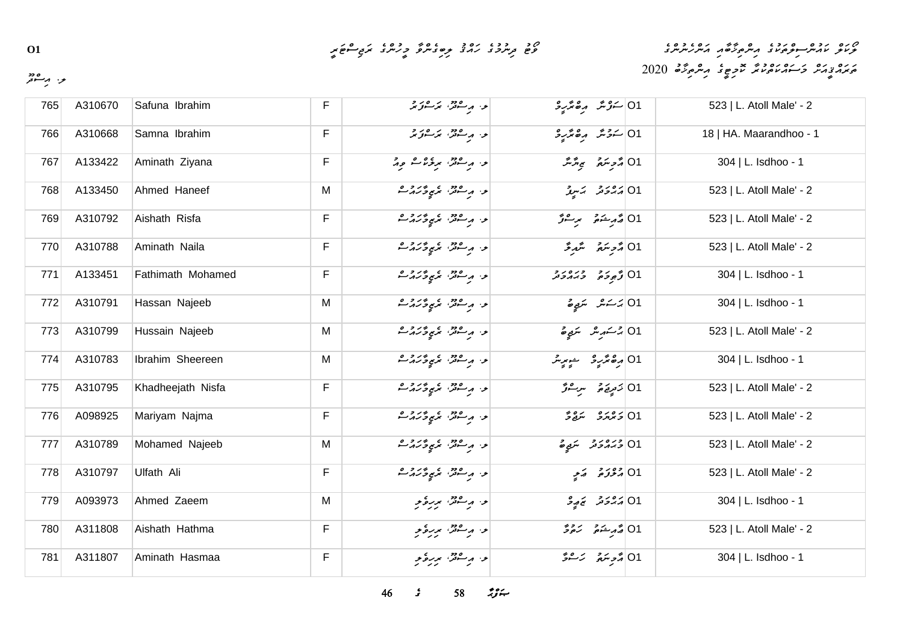*sCw7q7s5w7m< o<n9nOoAw7o< sCq;mAwBoEw7q<m; wBm;vB* م من المرة المرة المرة المرجع المرجع في المركبة 2020<br>مجم*د المريض المربوط المربع المرجع في المراجع المركبة* 

| 765 | A310670 | Safuna Ibrahim    | $\mathsf F$ | ى بەرھەش بۇسۇمۇتىر        | 01  سَوْتَر مِعْتَدِةِ                     | 523   L. Atoll Male' - 2 |
|-----|---------|-------------------|-------------|---------------------------|--------------------------------------------|--------------------------|
| 766 | A310668 | Samna Ibrahim     | F           | ى بەرھەش بۇسۇمۇتىر        | 01 كەنجىنگە بەھ ئۇرىۋ                      | 18   HA. Maarandhoo - 1  |
| 767 | A133422 | Aminath Ziyana    | $\mathsf F$ | و ، مرحص مرورات ور        | 01 أُمُّحِ سَعَةً بِهِ مُمَّتَر            | 304   L. Isdhoo - 1      |
| 768 | A133450 | Ahmed Haneef      | M           | و ، را دوه ، نام و د د ه  | 01 كەش <sup>ى</sup> كەتلەر بەر بىر         | 523   L. Atoll Male' - 2 |
| 769 | A310792 | Aishath Risfa     | $\mathsf F$ | و. مسافر، مهاجر و ه       | 01 ۾ پرڪتو پر صوتر                         | 523   L. Atoll Male' - 2 |
| 770 | A310788 | Aminath Naila     | $\mathsf F$ | و ، ما منتز، تریخ روز م   | 01 أُمُّحِ سَمَّعَ سَمْدِمَّرَ             | 523   L. Atoll Male' - 2 |
| 771 | A133451 | Fathimath Mohamed | F           | و ، ما عقل مربح و رواحد   | 01 رُّجِوَى وَيَرْدُونَرْ                  | 304   L. Isdhoo - 1      |
| 772 | A310791 | Hassan Najeeb     | M           | و ، ما عقل مربح تر تر قرا | 01 كەسەمىش سىرى ئى                         | 304   L. Isdhoo - 1      |
| 773 | A310799 | Hussain Najeeb    | M           | و ، ما عصر ، مرکز ده .    | 01 كەسكەر شەھ سىرتى ھ                      | 523   L. Atoll Male' - 2 |
| 774 | A310783 | Ibrahim Sheereen  | M           | و. ما عقل مربح و روا      | 01 رەمگرىرى ھېرىگە                         | 304   L. Isdhoo - 1      |
| 775 | A310795 | Khadheejath Nisfa | F           | و ، ما عقل مربح و رواحه   | 01   زَمِرِيَ ثَمَّ مَسْ سِرْ تَرَّ        | 523   L. Atoll Male' - 2 |
| 776 | A098925 | Mariyam Najma     | $\mathsf F$ | و ، مەسلىق ترىپوترىمەت    | $5$ $3.2$ $5$ $01$                         | 523   L. Atoll Male' - 2 |
| 777 | A310789 | Mohamed Najeeb    | M           | و ، مرسوس عربي و رو ه     | 01 <i>وُبَرُوْدَوْ مَهِ هُ</i>             | 523   L. Atoll Male' - 2 |
| 778 | A310797 | Ulfath Ali        | F           | و ، رو ده ، پرو ده و      | 01 چوژی کام                                | 523   L. Atoll Male' - 2 |
| 779 | A093973 | Ahmed Zaeem       | M           | و ، رحق برروو             | $396$ $222$ $\sim$ 01                      | 304   L. Isdhoo - 1      |
| 780 | A311808 | Aishath Hathma    | F           | ا د اور ۱۶۵۵ مورځ د       | 01 مۇم شۇ ئىمۇ 3                           | 523   L. Atoll Male' - 2 |
| 781 | A311807 | Aminath Hasmaa    | $\mathsf F$ | و . مرحق مرروم<br>مراجع   | 01 أُمَّ صِنَعْهُ سَنَا مِنْ مِنْ الْمَسْر | 304   L. Isdhoo - 1      |

**46** *s* **58** *n***<sub>3</sub> <b>***n*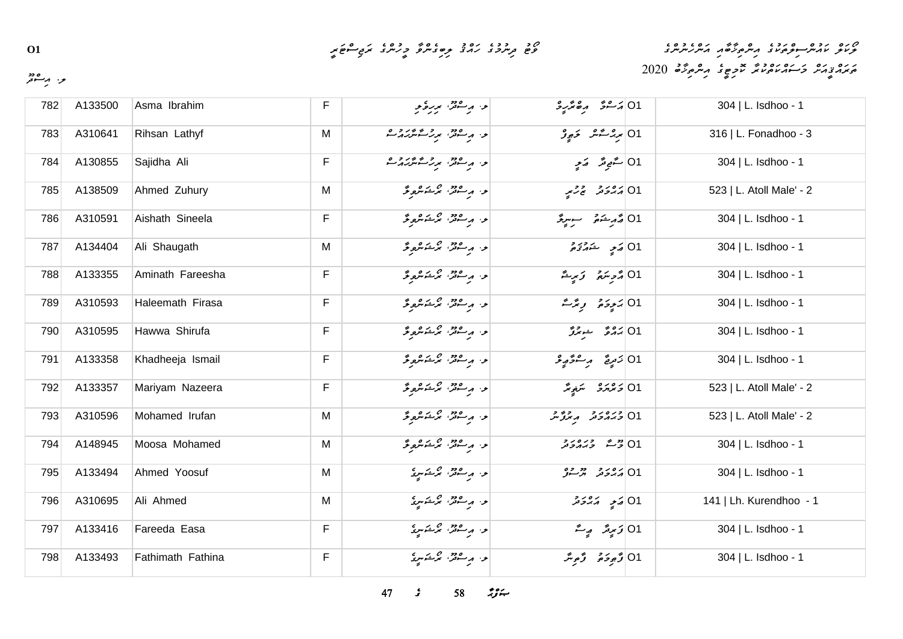*sCw7q7s5w7m< o<n9nOoAw7o< sCq;mAwBoEw7q<m; wBm;vB* م من المرة المرة المرة المرجع المرجع في المركبة 2020<br>مجم*د المريض المربوط المربع المرجع في المراجع المركبة* 

| 782 | A133500 | Asma Ibrahim      | F           | و ، رڪٽڙ، سربروگو            | 01 كەشق مەھتەپە                     | 304   L. Isdhoo - 1      |
|-----|---------|-------------------|-------------|------------------------------|-------------------------------------|--------------------------|
| 783 | A310641 | Rihsan Lathyf     | M           | و منفر برر مشرک و ه          | 01 <i>برىڭ شىر خ<sub>ەت</sub>ۇ</i>  | 316   L. Fonadhoo - 3    |
| 784 | A130855 | Sajidha Ali       | F           | و مرتفق بررگشتریرو ه         | 01   سُمْعٍ مَدْ - دَرِ مِ          | 304   L. Isdhoo - 1      |
| 785 | A138509 | Ahmed Zuhury      | M           | المحزر المراجع والمتفرج ومحر | 01 كەندى كىمى ئىچى بىر              | 523   L. Atoll Male' - 2 |
| 786 | A310591 | Aishath Sineela   | F           | أور ماسكون الرستكس ومحر      | 01 ۾ مرڪمو - سوسريءَ                | 304   L. Isdhoo - 1      |
| 787 | A134404 | Ali Shaugath      | M           | و. رئىس ئۇينىش ئو            | 01 كەير شەرىخە                      | 304   L. Isdhoo - 1      |
| 788 | A133355 | Aminath Fareesha  | $\mathsf F$ | ىز، مەسىق كەشكىلىمىگە        | 01 مَّ حِسَمَةٌ وَمَرِيقٌ           | 304   L. Isdhoo - 1      |
| 789 | A310593 | Haleemath Firasa  | F           | ى رەپىق ئۇيشەھرىگە           | 01 كەردۇقە بويۇمىگە                 | 304   L. Isdhoo - 1      |
| 790 | A310595 | Hawwa Shirufa     | $\mathsf F$ | و. ماستقل برختمبرو گر        | 01 كەش <i>ۇ</i> ھېر <i>ۇ</i>        | 304   L. Isdhoo - 1      |
| 791 | A133358 | Khadheeja Ismail  | F           | و. مەسىق ئۇيشەھرىگە          | 01   زَمِرِةً _ مِرْ - دُوَّمٍ وَ ۖ | 304   L. Isdhoo - 1      |
| 792 | A133357 | Mariyam Nazeera   | $\mathsf F$ | ىر بەسىق ئۇيشەھرىگە          | 01 <i>كۈچۈك سىنى پى</i> گ           | 523   L. Atoll Male' - 2 |
| 793 | A310596 | Mohamed Irufan    | M           | ىر بەرسەتى ئۇيشەھرىگە        | 01 <i>ۋېزەد تىر مەيزۇنتر</i>        | 523   L. Atoll Male' - 2 |
| 794 | A148945 | Moosa Mohamed     | M           | ى بەسلامى ئۇسكەنلىقى ئى      | 01 تۇنئە ئەيرە ئەر                  | 304   L. Isdhoo - 1      |
| 795 | A133494 | Ahmed Yoosuf      | M           | ا د ا بر حقن گرځسري          | 01 كەبرى قەرىبۇ                     | 304   L. Isdhoo - 1      |
| 796 | A310695 | Ali Ahmed         | M           | ا د. مرسانش، نگرېندسری       | 01 <i>ھَ۔ ج</i> مُکومَّر            | 141   Lh. Kurendhoo - 1  |
| 797 | A133416 | Fareeda Easa      | $\mathsf F$ | ا د ا بر دوره الرکتوری       | 01 کو پوتمر پ گ                     | 304   L. Isdhoo - 1      |
| 798 | A133493 | Fathimath Fathina | F           | و. مرسوس محرشوسری            | 01 <i>وُّجِ دَمَّة وُّجِ</i> مَّر   | 304   L. Isdhoo - 1      |

*47 sC 58 nNw?mS*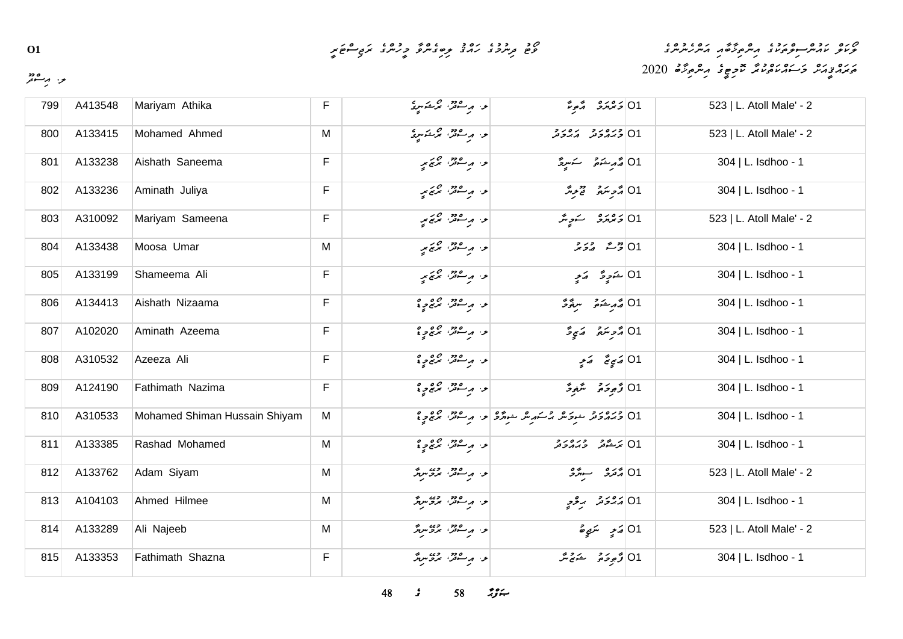*sCw7q7s5w7m< o<n9nOoAw7o< sCq;mAwBoEw7q<m; wBm;vB 2020*<br>*په پوهر وسوډيرونو لومو د موجو د مرمونه* 2020

| 799 | A413548 | Mariyam Athika                | $\mathsf{F}$ | ا د ا برسایش نمرستوسید  | 01 كەبھەر مەھم ئە                                                                                    | 523   L. Atoll Male' - 2 |
|-----|---------|-------------------------------|--------------|-------------------------|------------------------------------------------------------------------------------------------------|--------------------------|
| 800 | A133415 | Mohamed Ahmed                 | M            | ا د ا برساند، نریکه سره | 01 ديروبرو بروبرو                                                                                    | 523   L. Atoll Male' - 2 |
| 801 | A133238 | Aishath Saneema               | $\mathsf F$  | و. مرڪوري جي پي         | 01 مُ مِسْدَمٌ سَمَسِمٌ                                                                              | 304   L. Isdhoo - 1      |
| 802 | A133236 | Aminath Juliya                | F            | ی در مشترک تریخ می      | 01 أُمُّحِ سَمَّةً فَيُحِيَّزُ                                                                       | 304   L. Isdhoo - 1      |
| 803 | A310092 | Mariyam Sameena               | F            | ی در دود هم پر          | 01 كەندىرى سىرىتىر                                                                                   | 523   L. Atoll Male' - 2 |
| 804 | A133438 | Moosa Umar                    | M            | ی در دود می پر          | 2222201                                                                                              | 304   L. Isdhoo - 1      |
| 805 | A133199 | Shameema Ali                  | F            | ی در دود. می پر         | ا شَرِوَ کَرِ $\sim$                                                                                 | 304   L. Isdhoo - 1      |
| 806 | A134413 | Aishath Nizaama               | $\mathsf{F}$ | و. ماستقر، مرج و ه      | 01 مەم شىقى سىقۇق                                                                                    | 304   L. Isdhoo - 1      |
| 807 | A102020 | Aminath Azeema                | $\mathsf{F}$ | و. مرحص می د ه          | 01 مٌحِ سَمَعٌ      مَبِيحٌ                                                                          | 304   L. Isdhoo - 1      |
| 808 | A310532 | Azeeza Ali                    | F            | و. مرسوس مرج و ه        | 01 <i>ھَي گَهِ</i> مَ                                                                                | 304   L. Isdhoo - 1      |
| 809 | A124190 | Fathimath Nazima              | $\mathsf{F}$ | كر ، وسنتر، لرج و ه     | 01 <i>وُّجِوحَةْ</i> مُتَّفِو <i>ح</i> ً                                                             | 304   L. Isdhoo - 1      |
| 810 | A310533 | Mohamed Shiman Hussain Shiyam | M            |                         | 01 ديرورد عود شركت بالت الشركة في المحمد المحمد المحمد المحمد المحمد المحمد المحمد المحمد المحمد الم | 304   L. Isdhoo - 1      |
| 811 | A133385 | Rashad Mohamed                | M            | و. ماسكتر، ترج و ه      | 01 كانت قار بار دار دارد.                                                                            | 304   L. Isdhoo - 1      |
| 812 | A133762 | Adam Siyam                    | M            | و مشتر، بروسر           | $5\%$ گرنرگر سورگر                                                                                   | 523   L. Atoll Male' - 2 |
| 813 | A104103 | Ahmed Hilmee                  | M            | و. مستقر، مرد سر        | 01   كەش <sup>ى</sup> كەرگە بەر يىلى بولىي بول                                                       | 304   L. Isdhoo - 1      |
| 814 | A133289 | Ali Najeeb                    | M            | و مستقر موسير           | 01 <i>۾ ڇهيو آه</i>                                                                                  | 523   L. Atoll Male' - 2 |
| 815 | A133353 | Fathimath Shazna              | $\mathsf F$  | و. رحمن بروسر           | 01 زَّەپرىق شەنجىتر                                                                                  | 304   L. Isdhoo - 1      |

**48** *s* **58** *n***<sub>y</sub> <b>***n*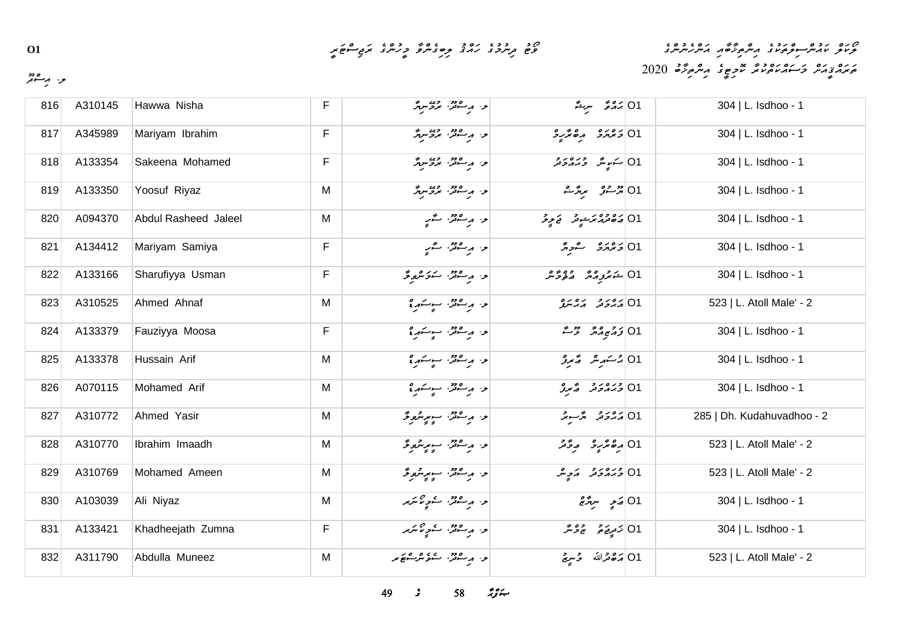*sCw7q7s5w7m< o<n9nOoAw7o< sCq;mAwBoEw7q<m; wBm;vB 2020*<br>*په پوهر وسوډيرونو لومو د موجو د مرمونه* 2020

| 816 | A310145 | Hawwa Nisha                 | F           | و. رحمن بروسر                    | 01 كەنگە ئەس سىرىشكە                         | 304   L. Isdhoo - 1        |
|-----|---------|-----------------------------|-------------|----------------------------------|----------------------------------------------|----------------------------|
| 817 | A345989 | Mariyam Ibrahim             | F           | و. مشتر، مردّ میگر               | 01 كەبرىزى بەھ ئەيرى                         | 304   L. Isdhoo - 1        |
| 818 | A133354 | Sakeena Mohamed             | $\mathsf F$ | و. رحمن مروسر                    | 01  سىرىنىڭ ئەيرە ئەر                        | 304   L. Isdhoo - 1        |
| 819 | A133350 | Yoosuf Riyaz                | M           | و. مشتر، مؤسر                    | 01 تىر يىمبۇ بىر ئىگە                        | 304   L. Isdhoo - 1        |
| 820 | A094370 | <b>Abdul Rasheed Jaleel</b> | M           | و. برستور، سگړ                   | 01 كەھەركە <i>مۇ</i> يرىشون <i>گە</i> كۆپىتى | 304   L. Isdhoo - 1        |
| 821 | A134412 | Mariyam Samiya              | F           | ا د . مرسوسی ستمبر               | 01 كەنگەردە كەرەگە                           | 304   L. Isdhoo - 1        |
| 822 | A133166 | Sharufiyya Usman            | $\mathsf F$ | أور ماستقل سكوكلونج              | 01 ڪئروپريگر چوچ عر                          | 304   L. Isdhoo - 1        |
| 823 | A310525 | Ahmed Ahnaf                 | M           | المحزر والمعقبة السياسية ويتجاري | 01 كەبردىق كەبرىتىلگە                        | 523   L. Atoll Male' - 2   |
| 824 | A133379 | Fauziyya Moosa              | F           | و. مستقل سوسکه همچ               | 01 زَمَّ عِهْدٌ حَيْثٌ                       | 304   L. Isdhoo - 1        |
| 825 | A133378 | Hussain Arif                | M           | و. مستقل سوسکه و                 | 01 پرسٹوریش گھ سوی                           | 304   L. Isdhoo - 1        |
| 826 | A070115 | Mohamed Arif                | M           | و. مستش سوسکه هم                 | 01 دېم دېمر گمبرو                            | 304   L. Isdhoo - 1        |
| 827 | A310772 | Ahmed Yasir                 | M           | و. رساند، سوبرسرو و گ            | 01   ئەجرىقىلى ئەسىرىتىكى                    | 285   Dh. Kudahuvadhoo - 2 |
| 828 | A310770 | Ibrahim Imaadh              | M           | و. رساند، سوبرسره و گ            | 01 مەھ ئىر ئەمە ئەرگە                        | 523   L. Atoll Male' - 2   |
| 829 | A310769 | Mohamed Ameen               | M           | و. رساند، سوبرسرو و گ            | 01 ۇرۇۋۇ مۇم بىر                             | 523   L. Atoll Male' - 2   |
| 830 | A103039 | Ali Niyaz                   | M           | و. رسائل سکوپائیں                | 01 کھ پہ سرگریمی                             | 304   L. Isdhoo - 1        |
| 831 | A133421 | Khadheejath Zumna           | $\mathsf F$ | د. مرسانتي، سکوچاننگهر           | 01   زَمرِيَ ثَمَّ مِنْ مِحْرُ شَرَّ         | 304   L. Isdhoo - 1        |
| 832 | A311790 | Abdulla Muneez              | M           | و برگور عام ۲۵ مر                | 01 كەھەراللە   ئەسرىتى                       | 523   L. Atoll Male' - 2   |

*49 s* 58  $23$   $\rightarrow$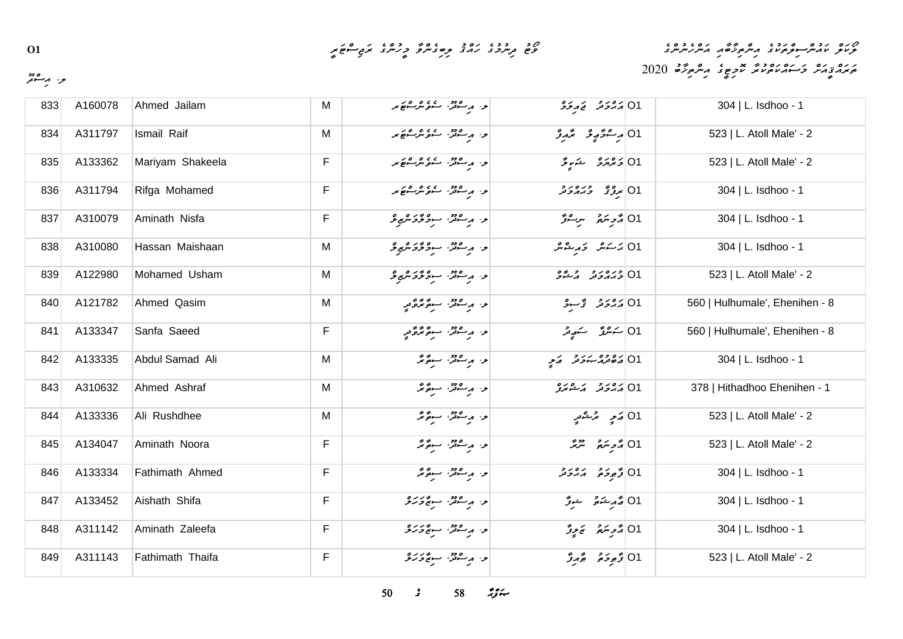*sCw7q7s5w7m< o<n9nOoAw7o< sCq;mAwBoEw7q<m; wBm;vB* م من المرة المرة المرة المرجع المرجع في المركبة 2020<br>مجم*د المريض المربوط المربع المرجع في المراجع المركبة* 

| 833 | A160078 | Ahmed Jailam     | M | و برستور، سورسرسوم د          | 01 ك <i>ەبۇ ئۇم قۇم قۇ</i>              | 304   L. Isdhoo - 1            |
|-----|---------|------------------|---|-------------------------------|-----------------------------------------|--------------------------------|
| 834 | A311797 | Ismail Raif      | M | نو. برستور، سور سرچ در درج مر | 01 م گەنگەر ئىگەر 3 كىل                 | 523   L. Atoll Male' - 2       |
| 835 | A133362 | Mariyam Shakeela | F | نو. برستور، سور سرچ در درج مر | 01 كى ئەچمىر ئىكە ئىكە ئىكە ئىكە ئىكە ئ | 523   L. Atoll Male' - 2       |
| 836 | A311794 | Rifga Mohamed    | F | و مرسور، سورمرسوم د           | 01 بروْتَى بْ25 دىر                     | 304   L. Isdhoo - 1            |
| 837 | A310079 | Aminath Nisfa    | F | و ، رىشى سوۋۇرىمبىر           | 01 أُمُّ مِنْهُمْ مَسْرِ مِنْتَشَرَّ    | 304   L. Isdhoo - 1            |
| 838 | A310080 | Hassan Maishaan  | M | و ، رود. سوؤۇرمىي ۋ           | 01] ئەسەش     قەرىشەشر                  | 304   L. Isdhoo - 1            |
| 839 | A122980 | Mohamed Usham    | M | ى بەيشى سوۋۇش ئو              | $3 - 2 - 2 - 01$                        | 523   L. Atoll Male' - 2       |
| 840 | A121782 | Ahmed Qasim      | M | و ، را دور سوځ تره تړ         | $3 - 3 - 2 - 01$                        | 560   Hulhumale', Ehenihen - 8 |
| 841 | A133347 | Sanfa Saeed      | F | و ، ریادو سوځ ترځ تر          | 01 سەنىر ئىم ئىم                        | 560   Hulhumale', Ehenihen - 8 |
| 842 | A133335 | Abdul Samad Ali  | M | و. د سنتر، سنتونتر            | 01 كەھەرگە كەرگە بىر                    | 304   L. Isdhoo - 1            |
| 843 | A310632 | Ahmed Ashraf     | M | ىق بەستىقى سىقچىقى            | 01 كەبردىر كەشقىرى                      | 378   Hithadhoo Ehenihen - 1   |
| 844 | A133336 | Ali Rushdhee     | M | ىق بەرسىتى سىقى ئىگە          | 01 کھ پر مگھور                          | 523   L. Atoll Male' - 2       |
| 845 | A134047 | Aminath Noora    | F | و. د سوتر، سوتر تر            | 01 مُّ مِسَمَّد مَّثَمَّد               | 523   L. Atoll Male' - 2       |
| 846 | A133334 | Fathimath Ahmed  | F | و. د سوتر، سوتر تر            | 01 زٌموِدَهُ 5. دَرَدَ                  | 304   L. Isdhoo - 1            |
| 847 | A133452 | Aishath Shifa    | F | و ، رەق سۆڭ ك                 | 01 م <i>مَّ مِ</i> شَعْمَةٍ مَسْوَرٌ    | 304   L. Isdhoo - 1            |
| 848 | A311142 | Aminath Zaleefa  | F | و ، رەق سۆڭ ك                 | 01 مُتصِبَعُ بِجَعِزَ                   | 304   L. Isdhoo - 1            |
| 849 | A311143 | Fathimath Thaifa | F | و ، رەش سۆرىرى                | 01 زَّجِوَدَةُ تَجْمِرْزٌ               | 523   L. Atoll Male' - 2       |

 $50$  *s*  $58$  *n***<sub>y</sub>** $\leq$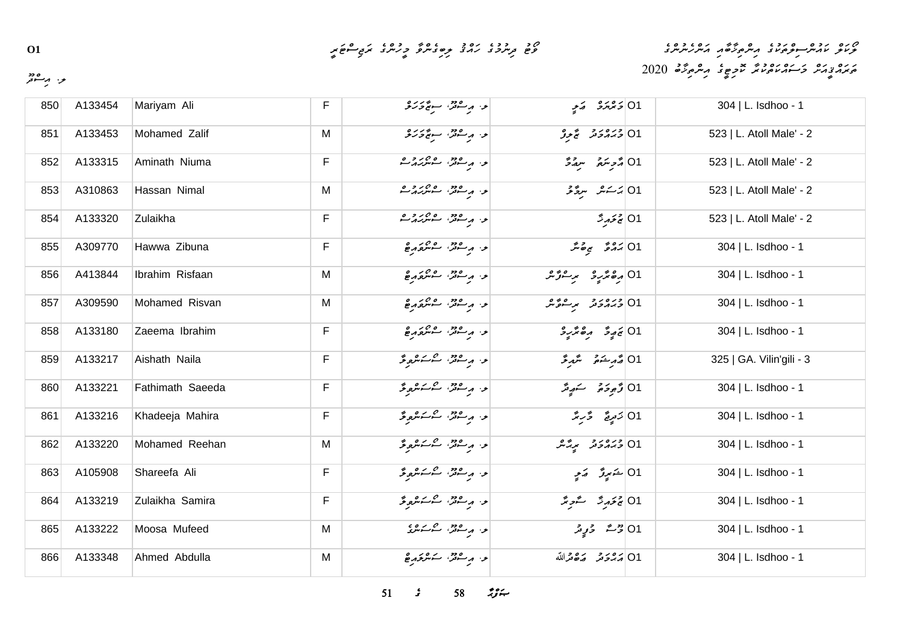*sCw7q7s5w7m< o<n9nOoAw7o< sCq;mAwBoEw7q<m; wBm;vB* م من المرة المرة المرة المرجع المرجع في المركبة 2020<br>مجم*د المريض المربوط المربع المرجع في المراجع المركبة* 

| 850 | A133454 | Mariyam Ali      | F           | و ، رئىش سەئەدىك                    | 01 كەبۇرگە كەمچە                      | 304   L. Isdhoo - 1      |
|-----|---------|------------------|-------------|-------------------------------------|---------------------------------------|--------------------------|
| 851 | A133453 | Mohamed Zalif    | M           | و. رىقى سەئىمى كەنگە                | 01 دېم دېم تخ موثر                    | 523   L. Atoll Male' - 2 |
| 852 | A133315 | Aminath Niuma    | F           | و رسور مشرد و                       | 01 أ <i>مَّ جِسَعَة مِيمَةً</i>       | 523   L. Atoll Male' - 2 |
| 853 | A310863 | Hassan Nimal     | M           | و مستقل مشروره                      | 01   يَرْسَسْ سِرَةٌ تْرُ             | 523   L. Atoll Male' - 2 |
| 854 | A133320 | Zulaikha         | F           | و. مرسوس عصر د ه                    | 01 كى ئۇم ر                           | 523   L. Atoll Male' - 2 |
| 855 | A309770 | Hawwa Zibuna     | $\mathsf F$ | و مستقر عشقهم                       | 01 ئەت <sub>ە</sub> مى بى <i>قىتى</i> | 304   L. Isdhoo - 1      |
| 856 | A413844 | Ibrahim Risfaan  | M           | و مستقر، سه معرضه                   | 01 م <i>ەھترى</i> رى بىر شۇنىر        | 304   L. Isdhoo - 1      |
| 857 | A309590 | Mohamed Risvan   | M           | و مستقل سه معرضه                    | 01 دېرورو برگوگر                      | 304   L. Isdhoo - 1      |
| 858 | A133180 | Zaeema Ibrahim   | F           | و. مستقر، سمبرومو                   | 01 ك <sub>َ</sub> مِرةً مِصْرَّرِةً   | 304   L. Isdhoo - 1      |
| 859 | A133217 | Aishath Naila    | F           | ىر بەستىق سىزىكى ئوق                | 01 مۇم شىم ئىسىمىتى ئىش               | 325   GA. Vilin'gili - 3 |
| 860 | A133221 | Fathimath Saeeda | F           | ىر رىسى شىر شرىر ھو ئ               | 01 گۇجۇڭمۇ سىمپەتر                    | 304   L. Isdhoo - 1      |
| 861 | A133216 | Khadeeja Mahira  | F           | ىر رىسى شىر شرىر ھو ئ               | 01 كَمْرِيعٌ - قُرْبِتٌر              | 304   L. Isdhoo - 1      |
| 862 | A133220 | Mohamed Reehan   | M           | ىر بەستىق سىكە ئىرىمۇ               | 01 دېم پرېمبر ته بر                   | 304   L. Isdhoo - 1      |
| 863 | A105908 | Shareefa Ali     | E           | و. مەسۇر، سىن شرەر ئە               | 01 ڪيپو <i>گا چي</i>                  | 304   L. Isdhoo - 1      |
| 864 | A133219 | Zulaikha Samira  | F           | ىر بەسلار، سىرسكىش <sub>ھو</sub> گە | 01 كى خرىر ئىش سى شىر بىگە            | 304   L. Isdhoo - 1      |
| 865 | A133222 | Moosa Mufeed     | M           | و. مرسوس سوسره و                    | 01 جڙئے - ڦرپوٽر                      | 304   L. Isdhoo - 1      |
| 866 | A133348 | Ahmed Abdulla    | M           | و مستقر سكرومره                     | 01 كەبرىقىر كەھەرللە                  | 304   L. Isdhoo - 1      |

 $51$  *s*  $58$  *n***<sub>y</sub>** $\leq$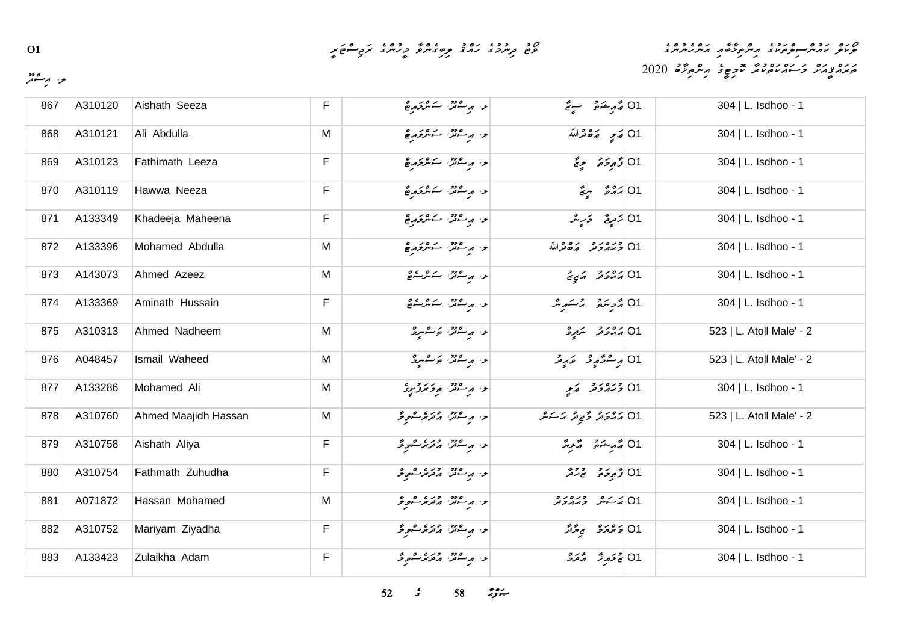*sCw7q7s5w7m< o<n9nOoAw7o< sCq;mAwBoEw7q<m; wBm;vB 2020*<br>*په ټومن د سوم پوره پورې پر سوم د سره پره و*لا

| 867 | A310120 | Aishath Seeza        | F | و ريادو شهر مشركة ده       | 01 ۾ په شمق سوچ                                                   | 304   L. Isdhoo - 1      |
|-----|---------|----------------------|---|----------------------------|-------------------------------------------------------------------|--------------------------|
| 868 | A310121 | Ali Abdulla          | M | و رسوس سوردو ه             | 01 <i>ھَ جِه صَ</i> قْدَاللَّه                                    | 304   L. Isdhoo - 1      |
| 869 | A310123 | Fathimath Leeza      | F | و مستقل سكسر كرمونغ        | 01 <i>وُّجِودَة</i> مِيَّ                                         | 304   L. Isdhoo - 1      |
| 870 | A310119 | Hawwa Neeza          | F | و مرسوس سەمرىخ م           | 01   يَهْرُقُ سِيَّةٌ                                             | 304   L. Isdhoo - 1      |
| 871 | A133349 | Khadeeja Maheena     | F | و ريادو شهر تر             | 01 زَمِرِجٌ = وَرِسٌر                                             | 304   L. Isdhoo - 1      |
| 872 | A133396 | Mohamed Abdulla      | M | و مستقر سكروكرده           | $O1$ $\frac{1}{2}$ $\frac{1}{2}$ $\frac{1}{2}$ $\frac{1}{2}$ $O1$ | 304   L. Isdhoo - 1      |
| 873 | A143073 | Ahmed Azeez          | M | و مستقر، سەمرىسى           | 01 كەش <sup>ى</sup> كەلگەنچە تە                                   | 304   L. Isdhoo - 1      |
| 874 | A133369 | Aminath Hussain      | F | و. مستقر، سكس عام          | 01 مٌ محبة ملاحق محمد مسر مثلا                                    | 304   L. Isdhoo - 1      |
| 875 | A310313 | Ahmed Nadheem        | M | و. رسمن کوسرو              | 01 كەندى كىر سىر ئىرلىر <i>ئى</i> ر                               | 523   L. Atoll Male' - 2 |
| 876 | A048457 | Ismail Waheed        | M | و. رسمن کوسرو              | 01 م <i>وس<sup>و</sup>ۇم</i> ۇ <i>  قې</i> رى <i>ز</i>            | 523   L. Atoll Male' - 2 |
| 877 | A133286 | Mohamed Ali          | M | د. ماستش موځ ترومړی        | 01 دېزورو کې د                                                    | 304   L. Isdhoo - 1      |
| 878 | A310760 | Ahmed Maajidh Hassan | M | و . مرسوس مقرر مصر و تخ    | 01 كەندى قىلى قىرىمىسى ئىسكىنلىك                                  | 523   L. Atoll Male' - 2 |
| 879 | A310758 | Aishath Aliya        | F | و. بەسەنى، بەتەبەر شەھ بۇ  | 01 ۾ په شمتر گه مرهڙ                                              | 304   L. Isdhoo - 1      |
| 880 | A310754 | Fathmath Zuhudha     | F | و . مرحق . متر رو . و و تخ | 01 ۇج <sub>و</sub> چۇ ت <sub>ى ئى</sub> رتۇ                       | 304   L. Isdhoo - 1      |
| 881 | A071872 | Hassan Mohamed       | M | و. مرحص معروف وع           | 01 ئەسەش قەيرەر قىر                                               | 304   L. Isdhoo - 1      |
| 882 | A310752 | Mariyam Ziyadha      | F | و . مرسوس مقرر مصر و تخ    | 01 كەممە <i>ردى ب</i> وم <i>گ</i>                                 | 304   L. Isdhoo - 1      |
| 883 | A133423 | Zulaikha Adam        | F | و٠ در ۵ در ۲ ور ۵ و مح     | 01 كى <i>قەر</i> گە ئە <i>قرى</i>                                 | 304   L. Isdhoo - 1      |

 $52$  *s*  $58$  *n***<sub>3</sub>** *n***<sub>3</sub>**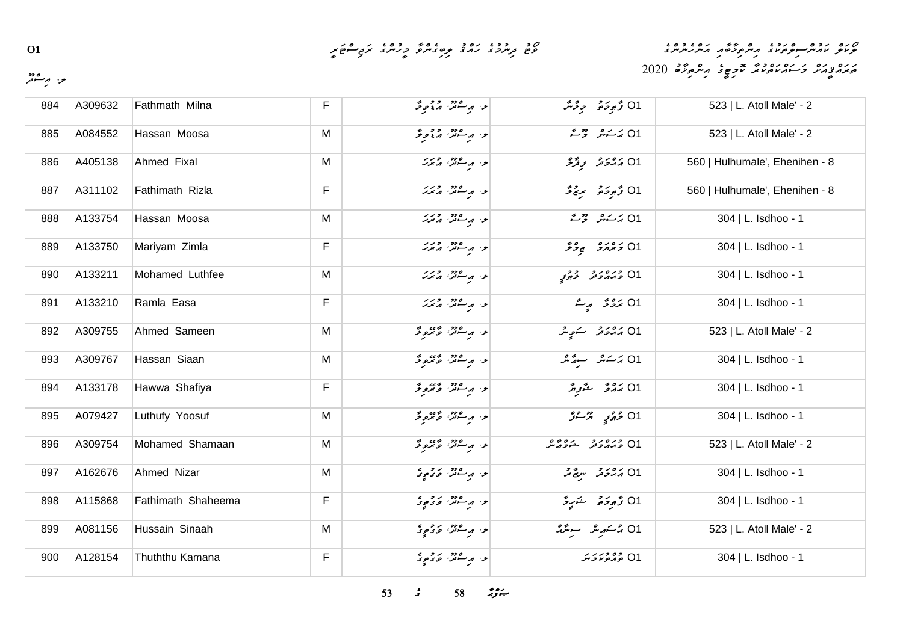*sCw7q7s5w7m< o<n9nOoAw7o< sCq;mAwBoEw7q<m; wBm;vB* م من المرة المرة المرة المرجع المرجع في المركبة 2020<br>مجم*د المريض المربوط المربع المرجع في المراجع المركبة* 

| 884 | A309632 | Fathmath Milna     | F           | الور مرتشق مرقم وتحر            | 01 رَّجِوَةً وِعْسً               | 523   L. Atoll Male' - 2       |
|-----|---------|--------------------|-------------|---------------------------------|-----------------------------------|--------------------------------|
| 885 | A084552 | Hassan Moosa       | M           | و. رسائل رڳوڻ                   | 01 ئەسىئەر بۇسە                   | 523   L. Atoll Male' - 2       |
| 886 | A405138 | Ahmed Fixal        | M           | من وسطق ومحرك                   | 01 كەش <sup>ى</sup> تەرەپ بوقەتلى | 560   Hulhumale', Ehenihen - 8 |
| 887 | A311102 | Fathimath Rizla    | F           | و. مرحق مغرز                    | 01 <i>وُّجِ دَمْ</i> مِنْ مِحْ    | 560   Hulhumale', Ehenihen - 8 |
| 888 | A133754 | Hassan Moosa       | M           | و ، ما مقتل المائزیز            | 01   پرسٹر تی تی ش                | 304   L. Isdhoo - 1            |
| 889 | A133750 | Mariyam Zimla      | $\mathsf F$ | و ، ما سلق الممرکز              | 01 كەبھە <i>كى ئىب</i>            | 304   L. Isdhoo - 1            |
| 890 | A133211 | Mohamed Luthfee    | M           | المحزا والتقرأ وحركته           | 01  <i>\$ند\$ى قى قى</i> ر        | 304   L. Isdhoo - 1            |
| 891 | A133210 | Ramla Easa         | $\mathsf F$ | و ، ما مقتل المائزیز            | 01 ئىزگە ئەپ                      | 304   L. Isdhoo - 1            |
| 892 | A309755 | Ahmed Sameen       | M           | و. مەسىن ئەتتى ئە               | 01 كەبۇبۇقە سىمويتى               | 523   L. Atoll Male' - 2       |
| 893 | A309767 | Hassan Siaan       | M           | و . رودو می و تروتر             | 01 كەسىئەشر سىدە ئەشر             | 304   L. Isdhoo - 1            |
| 894 | A133178 | Hawwa Shafiya      | $\mathsf F$ | و ، رحين وتروتر                 | 01 كەش <i>ۇ</i> شۇرى <i>گ</i>     | 304   L. Isdhoo - 1            |
| 895 | A079427 | Luthufy Yoosuf     | M           | و ، را دو په په د               | 01 څ <sub>م</sub> ونو پر شو       | 304   L. Isdhoo - 1            |
| 896 | A309754 | Mohamed Shamaan    | M           | و. مەسىن ئۇتترىدىگە             | $01$ $0.201$ $0.201$              | 523   L. Atoll Male' - 2       |
| 897 | A162676 | Ahmed Nizar        | M           | و. پرستن، نوی پر                | 01 كەش <sup>ى</sup> رىقە سىنى ئىر | 304   L. Isdhoo - 1            |
| 898 | A115868 | Fathimath Shaheema | $\mathsf F$ | و. پرسه کارو د                  | 01 <i>وُّهِ دَهْ</i> شَرِدُّ      | 304   L. Isdhoo - 1            |
| 899 | A081156 | Hussain Sinaah     | M           | ا د . مر شهر . د . د . د .<br>ا | 01 پرستمبر شرید کرد               | 523   L. Atoll Male' - 2       |
| 900 | A128154 | Thuththu Kamana    | F           | و. پرسوس نوی ده                 | 01 <mark>جۇرىچە ئەخەتىر</mark>    | 304   L. Isdhoo - 1            |

 $53$   $58$   $58$   $59$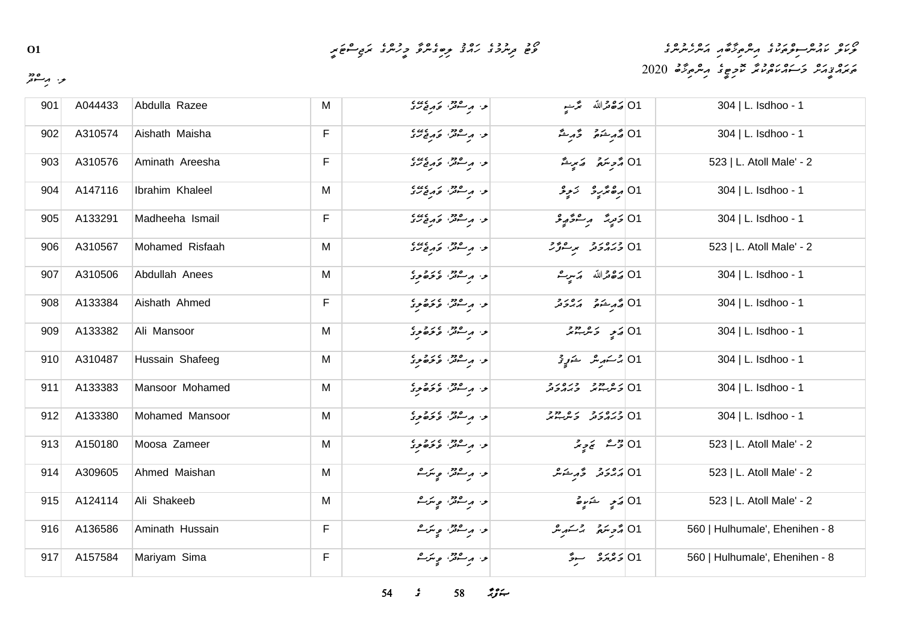*sCw7q7s5w7m< o<n9nOoAw7o< sCq;mAwBoEw7q<m; wBm;vB* م من المرة المرة المرة المرجع المرجع في المركبة 2020<br>مجم*د المريض المربوط المربع المرجع في المراجع المركبة* 

| 901 | A044433 | Abdulla Razee   | M           | و . مرحص تم و و و د                   | 01 كەھەراللە مۇسو                        | 304   L. Isdhoo - 1            |
|-----|---------|-----------------|-------------|---------------------------------------|------------------------------------------|--------------------------------|
| 902 | A310574 | Aishath Maisha  | F           | و٠ در ٥۶٥٠<br>و٠ در سهتر ۱۵ و د ح ر و | 01 مُ مِسْمَعٌ _ دُمِسَّہُ _             | 304   L. Isdhoo - 1            |
| 903 | A310576 | Aminath Areesha | $\mathsf F$ | و. مرسیق نمادی دی                     | 01 أَمَّ صِنَّعَ ۖ مَبِيشًا ۖ            | 523   L. Atoll Male' - 2       |
| 904 | A147116 | Ibrahim Khaleel | M           | و . در دود. نماد ، ، ، ،              | 01 <sub>م</sub> ەنگەر ئىچى               | 304   L. Isdhoo - 1            |
| 905 | A133291 | Madheeha Ismail | $\mathsf F$ | و. پرستن، توپروری                     | 01 كەيپەً بەسەدە پى                      | 304   L. Isdhoo - 1            |
| 906 | A310567 | Mohamed Risfaah | M           | و . مرحص نمادی .                      | 01 ۇرۇۋۇ بېرىۋر                          | 523   L. Atoll Male' - 2       |
| 907 | A310506 | Abdullah Anees  | M           | و. پرستن وتوصور                       | 01   ئەھەتراللە     ئەسرىــ <sup>م</sup> | 304   L. Isdhoo - 1            |
| 908 | A133384 | Aishath Ahmed   | $\mathsf F$ | و ، در دو ، دو ،                      | 01 مۇم شەرق مەئدى قىر                    | 304   L. Isdhoo - 1            |
| 909 | A133382 | Ali Mansoor     | M           | و. پرستن، وتوصور                      | 01 كەيپ كەشرىيىتى                        | 304   L. Isdhoo - 1            |
| 910 | A310487 | Hussain Shafeeg | M           | و مسائل وکوئ                          | 01   پرستمبر شکویتی                      | 304   L. Isdhoo - 1            |
| 911 | A133383 | Mansoor Mohamed | M           | و رقبتي وتوصولی                       | 01 كەشرىيە بەر بەر د                     | 304   L. Isdhoo - 1            |
| 912 | A133380 | Mohamed Mansoor | M           | و رقبتي وتوضوی                        | 01 در در د شهر                           | 304   L. Isdhoo - 1            |
| 913 | A150180 | Moosa Zameer    | M           | و ، در دو ، دو ،                      | 01 ٿڙ جو تمويز                           | 523   L. Atoll Male' - 2       |
| 914 | A309605 | Ahmed Maishan   | M           | ا د ا مرسانگر، او مرس                 | 01   كەشكە قىر ئىكەنگىر                  | 523   L. Atoll Male' - 2       |
| 915 | A124114 | Ali Shakeeb     | M           | ىن مەسىقر، مەسرىسە                    | $\frac{2}{3}$ مَوِ شَرِهْ $\sim$         | 523   L. Atoll Male' - 2       |
| 916 | A136586 | Aminath Hussain | F           | د. مرسکش عٍ مَرَسْد                   | 01 ۾ پريم پر پر شهر مٿر                  | 560   Hulhumale', Ehenihen - 8 |
| 917 | A157584 | Mariyam Sima    | F           | ى برىقۇ، يەنىرى                       | 01 كەبەيدى سىرى                          | 560   Hulhumale', Ehenihen - 8 |

 $54$  *s*  $58$  *n***<sub>2</sub>** *n***<sub>2</sub>** *n***<sub>2</sub> <b>***n*<sub>2</sub> *n*<sub>2</sub> *n*<sub>2</sub> *n*<sub>2</sub> *n*<sub>2</sub> *n*<sub>2</sub> *n*<sub>2</sub> *n*<sub>2</sub> *n*<sub>2</sub> *n*<sub>2</sub> *n*<sub>2</sub> *n*<sub>2</sub> *n*<sub>2</sub> *n*<sub>2</sub> *n*<sub>2</sub> *n*<sub>2</sub> *n*<sub>2</sub> *n*<sub>2</sub> *n*<sub>2</sub> *n***<sub>2</sub>**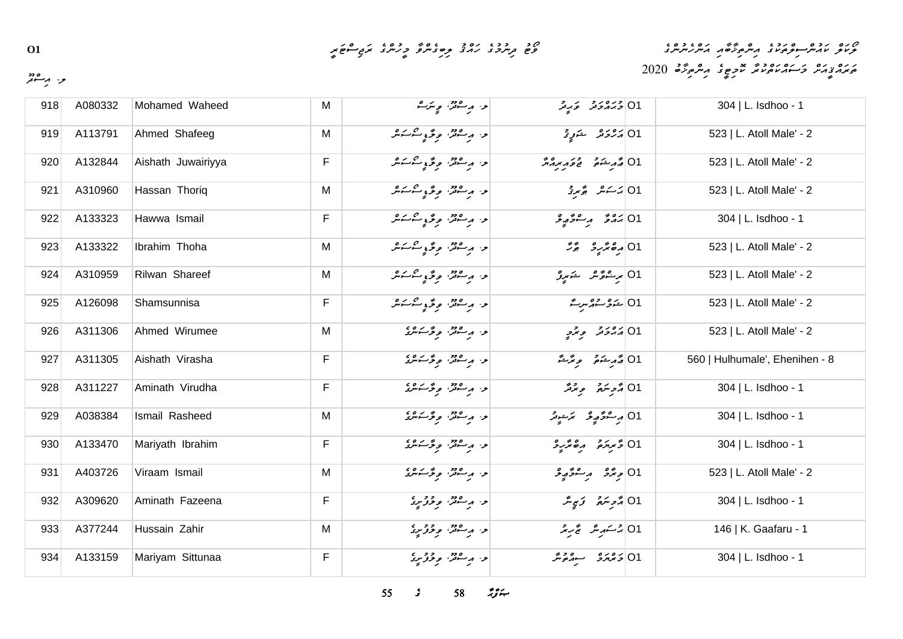*sCw7q7s5w7m< o<n9nOoAw7o< sCq;mAwBoEw7q<m; wBm;vB* م من المرة المرة المرة المرجع المرجع في المركبة 2020<br>مجم*د المريض المربوط المربع المرجع في المراجع المركبة* 

| 918 | A080332 | Mohamed Waheed     | M           | ی پرستی ویژگ              | 01  32,25 كەرىتر                             | 304   L. Isdhoo - 1            |
|-----|---------|--------------------|-------------|---------------------------|----------------------------------------------|--------------------------------|
| 919 | A113791 | Ahmed Shafeeg      | M           | ىر بەيلىق بوقۇپەسكىلگە    | 01 ك <i>ررى ئىم يى</i> قىنى قىچارتى بى       | 523   L. Atoll Male' - 2       |
| 920 | A132844 | Aishath Juwairiyya | F           | و ، مەمىر، مەمۇبە سىمىتىر | 01 مُ مِسْدَمْ يْحَمَّ مِهْدَمَّ             | 523   L. Atoll Male' - 2       |
| 921 | A310960 | Hassan Thoriq      | M           | ى رەھ ھۇيەسىسىر           | 01 كەسەنىش ھەيدىتى                           | 523   L. Atoll Male' - 2       |
| 922 | A133323 | Hawwa Ismail       | F           | ى رەھ ھۇيەسىسىر           | 01 ئەۋۋە بەستۇرپۇ                            | 304   L. Isdhoo - 1            |
| 923 | A133322 | Ibrahim Thoha      | M           | ىر بەيلىق بوقۇپەسكىلگە    | $5.8$ مِعْمَٰدِهِ مِحْمَدِ                   | 523   L. Atoll Male' - 2       |
| 924 | A310959 | Rilwan Shareef     | M           | و ، مەسىر ، مەمۇبە سىرسىر | 01 مرڪوگر ڪمبرو                              | 523   L. Atoll Male' - 2       |
| 925 | A126098 | Shamsunnisa        | F           | ىر بەيلىق ئۇقچە يەسكىلى   | 01 خۇچ شەھ بىرىگە                            | 523   L. Atoll Male' - 2       |
| 926 | A311306 | Ahmed Wirumee      | M           | و ، مەشق جۇسەمدى          | 01 كەشەكە ئەمقەر                             | 523   L. Atoll Male' - 2       |
| 927 | A311305 | Aishath Virasha    | F           | و. رحين وقريمبر           | 01 ۾ پرڪو ۽ بڙڪ                              | 560   Hulhumale', Ehenihen - 8 |
| 928 | A311227 | Aminath Virudha    | F           | و. رسمن وقرسمبره ،        | 01 أُمُّحِ سَمَّةً وَ مِمَّدَّ               | 304   L. Isdhoo - 1            |
| 929 | A038384 | Ismail Rasheed     | M           | و ، مەشق جۇسەمدى          | 01 مِرْ شَوَّمِهِ عَنْ مَرْ مِنْ مِرْ        | 304   L. Isdhoo - 1            |
| 930 | A133470 | Mariyath Ibrahim   | F           | و ، برسانش وقرستهند       | 01 كۇمبەر ئەھەترىرى                          | 304   L. Isdhoo - 1            |
| 931 | A403726 | Viraam Ismail      | M           | و. مەسىق ھەقەسىمى         | 01 مِتَرَى مِسْرَّمَہِ وَ                    | 523   L. Atoll Male' - 2       |
| 932 | A309620 | Aminath Fazeena    | $\mathsf F$ | و. رساند، وژوره           | 01 <mark>ئ</mark> رىرىنى <i>تى قەم</i> پەنگە | 304   L. Isdhoo - 1            |
| 933 | A377244 | Hussain Zahir      | M           | و رحمن وقرير              | 01   جُسَم بِرِ مَنْ مَجْ سِعْرَ             | 146   K. Gaafaru - 1           |
| 934 | A133159 | Mariyam Sittunaa   | F           | و. رساند، وژوره           | 01 كەبىر ئەر سەر ئەسىر                       | 304   L. Isdhoo - 1            |

 $55$   $5$   $58$   $59$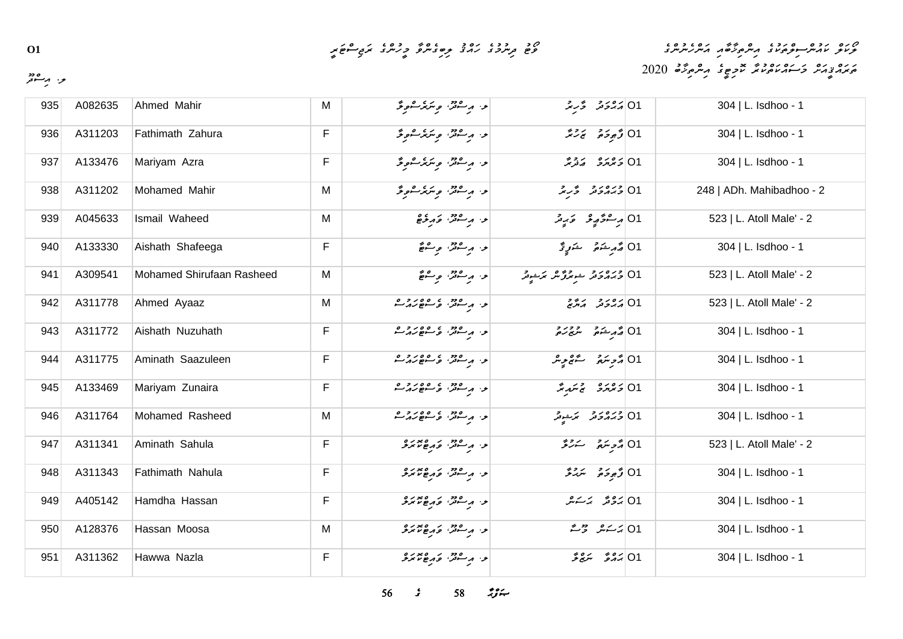*sCw7q7s5w7m< o<n9nOoAw7o< sCq;mAwBoEw7q<m; wBm;vB* م من المرة المرة المرة المرجع المرجع في المركبة 2020<br>مجم*د المريض المربوط المربع المرجع في المراجع المركبة* 

| 935 | A082635 | Ahmed Mahir                      | M           | ى رىقتى وتىركى شوق            | 01 كەندى ئۇرىز                                          | 304   L. Isdhoo - 1       |
|-----|---------|----------------------------------|-------------|-------------------------------|---------------------------------------------------------|---------------------------|
| 936 | A311203 | Fathimath Zahura                 | F           | و ، رسانل ویرکرسونگر          | 01 ۇ <sub>جو</sub> رَى ئەربۇ                            | 304   L. Isdhoo - 1       |
| 937 | A133476 | Mariyam Azra                     | $\mathsf F$ | و ، مەشق جەنگرىشمونۇ          | 01 كەبىر بىر كەنىرىتىر                                  | 304   L. Isdhoo - 1       |
| 938 | A311202 | Mohamed Mahir                    | M           | ا دا اور سوټر، او سرچر شومونځ | 01 كەندى ئەرىتى                                         | 248   ADh. Mahibadhoo - 2 |
| 939 | A045633 | Ismail Waheed                    | M           | د ، مرسیق کارگرمج             | 01 <sub>م</sub> رىئۇم <sub>ى</sub> ر قىي <sup>ى</sup> ر | 523   L. Atoll Male' - 2  |
| 940 | A133330 | Aishath Shafeega                 | $\mathsf F$ | و. مرسكين وسكيم               | 01 ۾ پرڪو شکويو گ                                       | 304   L. Isdhoo - 1       |
| 941 | A309541 | <b>Mohamed Shirufaan Rasheed</b> | M           | د اړ شش و شظ                  | 01  <i>32222 هومروگر برُهوم</i> ً                       | 523   L. Atoll Male' - 2  |
| 942 | A311778 | Ahmed Ayaaz                      | M           | و. من معر، وسع دمار           | 01 كەبرى قىر كەرگىچ                                     | 523   L. Atoll Male' - 2  |
| 943 | A311772 | Aishath Nuzuhath                 | F           | و. من معنى من معامرة من       | 01 مۇم شۇمۇ سى <i>مى ئى</i> م                           | 304   L. Isdhoo - 1       |
| 944 | A311775 | Aminath Saazuleen                | F           | و. مرحود ، موجود م            | 01   مَرْسِرَ مِنْ مِنْ مِنْ مِنْدَرِ مِنْ              | 304   L. Isdhoo - 1       |
| 945 | A133469 | Mariyam Zunaira                  | $\mathsf F$ | و. من معر، وسع دمار           | 01 كەنگەر ئەسىم ئىس                                     | 304   L. Isdhoo - 1       |
| 946 | A311764 | Mohamed Rasheed                  | M           | و مستر، وسعوده                | 01 <i>ۇنزۇ ئى م</i> ترىئ <sub>و</sub> نتر               | 304   L. Isdhoo - 1       |
| 947 | A311341 | Aminath Sahula                   | $\mathsf F$ | والمرافق ومصروف               | 01 مٌ مِسَمَّدٍ سَنَرْتَزُ                              | 523   L. Atoll Male' - 2  |
| 948 | A311343 | Fathimath Nahula                 | $\mathsf F$ | والمرافق ومصروف               | 01 رُّجِوَۃ مَنْ مَدَّدَّ                               | 304   L. Isdhoo - 1       |
| 949 | A405142 | Hamdha Hassan                    | $\mathsf F$ | و مستعل ومعدده                | 01 كەبىر ئەسىر                                          | 304   L. Isdhoo - 1       |
| 950 | A128376 | Hassan Moosa                     | M           | י תיינקי לתשיות               | 01 پرىدىيە تۇسىم                                        | 304   L. Isdhoo - 1       |
| 951 | A311362 | Hawwa Nazla                      | F           | י תיינקי ו בתשעית             | 01 كَنْدْرُمْ - سَيْءَ كَ                               | 304   L. Isdhoo - 1       |

 $56$   $5$   $58$   $294$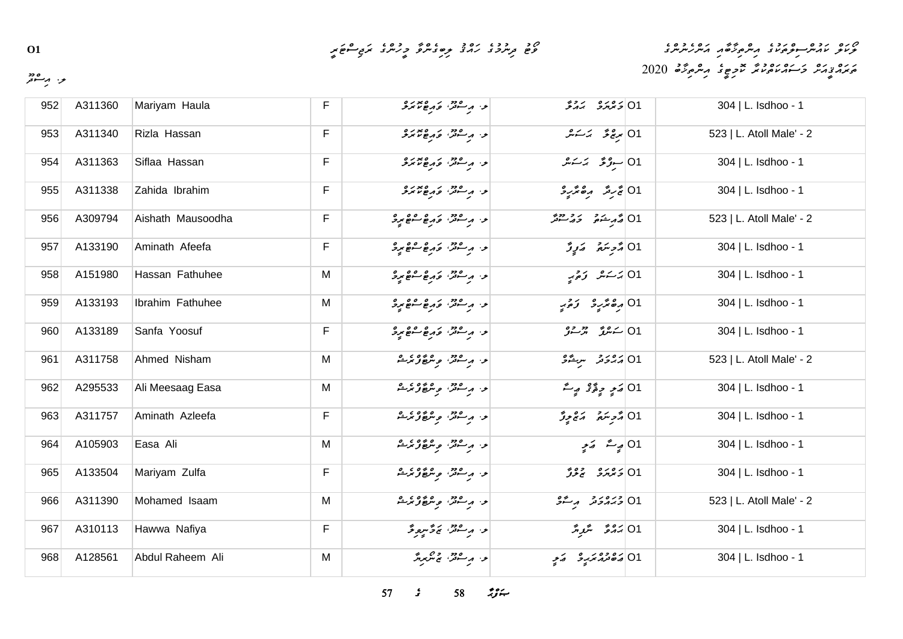*sCw7q7s5w7m< o<n9nOoAw7o< sCq;mAwBoEw7q<m; wBm;vB* م من المرة المرة المرة المرجع المرجع في المركبة 2020<br>مجم*د المريض المربوط المربع المرجع في المراجع المركبة* 

| 952 | A311360 | Mariyam Haula     | F           | والمرافق ومصروف           | 01 كى بۇرگە ئەرگە ئى             | 304   L. Isdhoo - 1      |
|-----|---------|-------------------|-------------|---------------------------|----------------------------------|--------------------------|
| 953 | A311340 | Rizla Hassan      | F           | والمرافق ومصروفه          | 01 مرچ تر - ټر شر                | 523   L. Atoll Male' - 2 |
| 954 | A311363 | Siflaa Hassan     | F           | والمرافق ومصروه           | 01 سورى برسىر                    | 304   L. Isdhoo - 1      |
| 955 | A311338 | Zahida Ibrahim    | $\mathsf F$ | والمرافق ومصروف           | 01 تج بەنگە مەھەتگە <i>ب</i> ىرى | 304   L. Isdhoo - 1      |
| 956 | A309794 | Aishath Mausoodha | $\mathsf F$ | و. مرحود دره مقام ده      | 01 مۇم شەھ كەم ئەشقە             | 523   L. Atoll Male' - 2 |
| 957 | A133190 | Aminath Afeefa    | $\mathsf F$ | و من من ومرة من ومرد      | 01 مٌ <i>جِسَعْہ مَرِوَّ</i>     | 304   L. Isdhoo - 1      |
| 958 | A151980 | Hassan Fathuhee   | M           | و مرحمن ومرد عصومرد       | 01 كەستەش ئۇقەييە                | 304   L. Isdhoo - 1      |
| 959 | A133193 | Ibrahim Fathuhee  | M           | و. من معداد ومرة مشكل مرد | 01 رەمگەر ئۇم ب                  | 304   L. Isdhoo - 1      |
| 960 | A133189 | Sanfa Yoosuf      | F           | و مرحمن ومصروفيو          | 01 كەندى تەرجىۋ                  | 304   L. Isdhoo - 1      |
| 961 | A311758 | Ahmed Nisham      | M           | و مستر، وترکاوی و         | 01 كەشكە ئىر سىيىتىگە            | 523   L. Atoll Male' - 2 |
| 962 | A295533 | Ali Meesaag Easa  | M           | و ریادو و عرفوری          | 01   رَمِ دِوَّتْرُ دِمَّ        | 304   L. Isdhoo - 1      |
| 963 | A311757 | Aminath Azleefa   | $\mathsf F$ | و رستن ویژگانوست          | 01 أُمَّ صِنَّعَ لَمَ يَحْرِزُّ  | 304   L. Isdhoo - 1      |
| 964 | A105903 | Easa Ali          | M           | و برسن ویوه ده ده         | 01 ۾ شه په تيمبر                 | 304   L. Isdhoo - 1      |
| 965 | A133504 | Mariyam Zulfa     | F           | و رسه ده ورووی و          | 01 كەبەر ئەمەر بورگە             | 304   L. Isdhoo - 1      |
| 966 | A311390 | Mohamed Isaam     | M           | و. من من و پرځو برگ       | 01 ۇيرو ئىر مەشۋ                 | 523   L. Atoll Male' - 2 |
| 967 | A310113 | Hawwa Nafiya      | F           | و. مەسىر، ئەۋسمەت         | 01 <i>كەنگۇ</i> ش <i>و</i> ر     | 304   L. Isdhoo - 1      |
| 968 | A128561 | Abdul Raheem Ali  | M           | و. رسمن محمد بره          | 01 <i>أە ھەترە بكەچ</i> ھەمچ     | 304   L. Isdhoo - 1      |

 $57$  *s*  $58$  *n***<sub>3</sub>** *n***<sub>3</sub>**